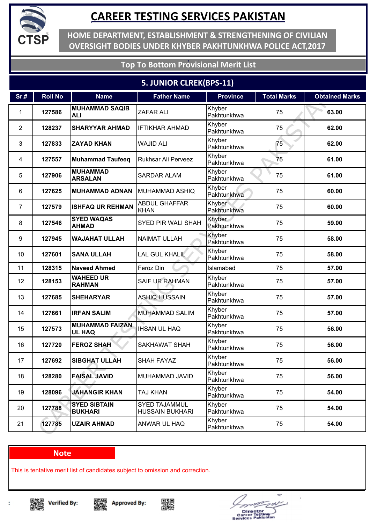

**HOME DEPARTMENT, ESTABLISHMENT & STRENGTHENING OF CIVILIAN OVERSIGHT BODIES UNDER KHYBER PAKHTUNKHWA POLICE ACT,2017**

### **Top To Bottom Provisional Merit List**

### **5. JUNIOR CLREK(BPS-11)**

| Sr.#           | <b>Roll No</b> | <b>Name</b>                             | <b>Father Name</b>                      | <b>Province</b>       | <b>Total Marks</b> | <b>Obtained Marks</b> |
|----------------|----------------|-----------------------------------------|-----------------------------------------|-----------------------|--------------------|-----------------------|
| 1              | 127586         | <b>MUHAMMAD SAQIB</b><br><b>ALI</b>     | <b>ZAFAR ALI</b>                        | Khyber<br>Pakhtunkhwa | 75                 | 63.00                 |
| $\overline{2}$ | 128237         | <b>SHARYYAR AHMAD</b>                   | <b>IFTIKHAR AHMAD</b>                   | Khyber<br>Pakhtunkhwa | 75                 | 62.00                 |
| 3              | 127833         | <b>ZAYAD KHAN</b>                       | <b>WAJID ALI</b>                        | Khyber<br>Pakhtunkhwa | 75                 | 62.00                 |
| 4              | 127557         | <b>Muhammad Taufeeq</b>                 | Rukhsar Ali Perveez                     | Khyber<br>Pakhtunkhwa | 75                 | 61.00                 |
| 5              | 127906         | <b>MUHAMMAD</b><br><b>ARSALAN</b>       | <b>SARDAR ALAM</b>                      | Khyber<br>Pakhtunkhwa | 75                 | 61.00                 |
| 6              | 127625         | <b>MUHAMMAD ADNAN</b>                   | <b>MUHAMMAD ASHIQ</b>                   | Khyber<br>Pakhtunkhwa | 75                 | 60.00                 |
| $\overline{7}$ | 127579         | <b>ISHFAQ UR REHMAN</b>                 | <b>ABDUL GHAFFAR</b><br><b>KHAN</b>     | Khyber<br>Pakhtunkhwa | 75                 | 60.00                 |
| 8              | 127546         | <b>SYED WAQAS</b><br><b>AHMAD</b>       | SYED PIR WALI SHAH                      | Khyber<br>Pakhtunkhwa | 75                 | 59.00                 |
| 9              | 127945         | <b>WAJAHAT ULLAH</b>                    | <b>NAIMAT ULLAH</b>                     | Khyber<br>Pakhtunkhwa | 75                 | 58.00                 |
| 10             | 127601         | <b>SANA ULLAH</b>                       | <b>LAL GUL KHALIL</b>                   | Khyber<br>Pakhtunkhwa | 75                 | 58.00                 |
| 11             | 128315         | <b>Naveed Ahmed</b>                     | Feroz Din                               | Islamabad             | 75                 | 57.00                 |
| 12             | 128153         | <b>WAHEED UR</b><br><b>RAHMAN</b>       | <b>SAIF UR RAHMAN</b>                   | Khyber<br>Pakhtunkhwa | 75                 | 57.00                 |
| 13             | 127685         | <b>SHEHARYAR</b>                        | <b>ASHIQ HUSSAIN</b>                    | Khyber<br>Pakhtunkhwa | 75                 | 57.00                 |
| 14             | 127661         | <b>IRFAN SALIM</b>                      | <b>MUHAMMAD SALIM</b>                   | Khyber<br>Pakhtunkhwa | 75                 | 57.00                 |
| 15             | 127573         | <b>MUHAMMAD FAIZAN</b><br><b>UL HAQ</b> | <b>IHSAN UL HAQ</b>                     | Khyber<br>Pakhtunkhwa | 75                 | 56.00                 |
| 16             | 127720         | <b>FEROZ SHAH</b>                       | <b>SAKHAWAT SHAH</b>                    | Khyber<br>Pakhtunkhwa | 75                 | 56.00                 |
| 17             | 127692         | <b>SIBGHAT ULLAH</b>                    | <b>SHAH FAYAZ</b>                       | Khyber<br>Pakhtunkhwa | 75                 | 56.00                 |
| 18             | 128280         | <b>FAISAL JAVID</b>                     | <b>MUHAMMAD JAVID</b>                   | Khyber<br>Pakhtunkhwa | 75                 | 56.00                 |
| 19             | 128096         | <b>JAHANGIR KHAN</b>                    | TAJ KHAN                                | Khyber<br>Pakhtunkhwa | 75                 | 54.00                 |
| 20             | 127788         | <b>SYED SIBTAIN</b><br><b>BUKHARI</b>   | SYED TAJAMMUL<br><b>HUSSAIN BUKHARI</b> | Khyber<br>Pakhtunkhwa | 75                 | 54.00                 |
| 21             | 127785         | <b>UZAIR AHMAD</b>                      | ANWAR UL HAQ                            | Khyber<br>Pakhtunkhwa | 75                 | 54.00                 |

#### **Note**

This is tentative merit list of candidates subject to omission and correction.

▓ **Verified By:** 







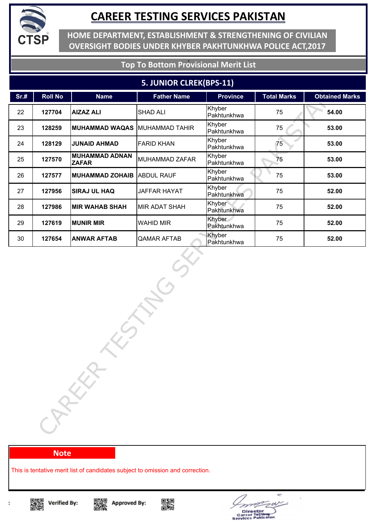

**HOME DEPARTMENT, ESTABLISHMENT & STRENGTHENING OF CIVILIAN OVERSIGHT BODIES UNDER KHYBER PAKHTUNKHWA POLICE ACT,2017**

### **Top To Bottom Provisional Merit List**

#### **5. JUNIOR CLREK(BPS-11)**

| Sr.# | <b>Roll No</b> | <b>Name</b>                           | <b>Father Name</b> | Province              | <b>Total Marks</b> | <b>Obtained Marks</b> |
|------|----------------|---------------------------------------|--------------------|-----------------------|--------------------|-----------------------|
| 22   | 127704         | <b>AIZAZ ALI</b>                      | <b>SHAD ALI</b>    | Khyber<br>Pakhtunkhwa | 75                 | 54.00                 |
| 23   | 128259         | <b>MUHAMMAD WAQAS</b>                 | MUHAMMAD TAHIR     | Khyber<br>Pakhtunkhwa | 75                 | 53.00                 |
| 24   | 128129         | <b>JUNAID AHMAD</b>                   | <b>FARID KHAN</b>  | Khyber<br>Pakhtunkhwa | 75                 | 53.00                 |
| 25   | 127570         | <b>MUHAMMAD ADNAN</b><br><b>ZAFAR</b> | MUHAMMAD ZAFAR     | Khyber<br>Pakhtunkhwa | 75                 | 53.00                 |
| 26   | 127577         | <b>MUHAMMAD ZOHAIB ABDUL RAUF</b>     |                    | Khyber<br>Pakhtunkhwa | 75                 | 53.00                 |
| 27   | 127956         | <b>SIRAJ UL HAQ</b>                   | JAFFAR HAYAT       | Khyber<br>Pakhtunkhwa | 75                 | 52.00                 |
| 28   | 127986         | <b>MIR WAHAB SHAH</b>                 | MIR ADAT SHAH      | Khyber<br>Pakhtunkhwa | 75                 | 52.00                 |
| 29   | 127619         | <b>MUNIR MIR</b>                      | <b>WAHID MIR</b>   | Khyber<br>Pakhtunkhwa | 75                 | 52.00                 |
| 30   | 127654         | <b>ANWAR AFTAB</b>                    | <b>QAMAR AFTAB</b> | Khyber<br>Pakhtunkhwa | 75                 | 52.00                 |
|      |                | CARKA                                 |                    |                       |                    |                       |

#### **Note**

This is tentative merit list of candidates subject to omission and correction.









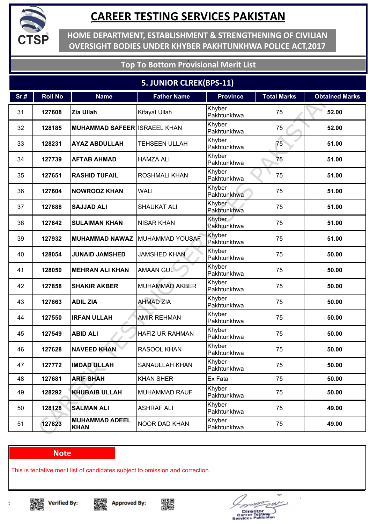

**HOME DEPARTMENT, ESTABLISHMENT & STRENGTHENING OF CIVILIAN OVERSIGHT BODIES UNDER KHYBER PAKHTUNKHWA POLICE ACT,2017**

### **Top To Bottom Provisional Merit List**

### **5. JUNIOR CLREK(BPS-11)**

| Sr.# | <b>Roll No</b> | <b>Name</b>                          | <b>Father Name</b>     | <b>Province</b>       | <b>Total Marks</b> | <b>Obtained Marks</b> |
|------|----------------|--------------------------------------|------------------------|-----------------------|--------------------|-----------------------|
| 31   | 127608         | Zia Ullah                            | Kifayat Ullah          | Khyber<br>Pakhtunkhwa | 75                 | 52.00                 |
| 32   | 128185         | <b>MUHAMMAD SAFEER ISRAEEL KHAN</b>  |                        | Khyber<br>Pakhtunkhwa | 75                 | 52.00                 |
| 33   | 128231         | <b>AYAZ ABDULLAH</b>                 | <b>TEHSEEN ULLAH</b>   | Khyber<br>Pakhtunkhwa | 75                 | 51.00                 |
| 34   | 127739         | <b>AFTAB AHMAD</b>                   | <b>HAMZA ALI</b>       | Khyber<br>Pakhtunkhwa | 75                 | 51.00                 |
| 35   | 127651         | <b>RASHID TUFAIL</b>                 | <b>ROSHMALI KHAN</b>   | Khyber<br>Pakhtunkhwa | 75                 | 51.00                 |
| 36   | 127604         | <b>NOWROOZ KHAN</b>                  | <b>WALI</b>            | Khyber<br>Pakhtunkhwa | 75                 | 51.00                 |
| 37   | 127888         | <b>SAJJAD ALI</b>                    | <b>SHAUKAT ALI</b>     | Khyber<br>Pakhtunkhwa | 75                 | 51.00                 |
| 38   | 127842         | <b>SULAIMAN KHAN</b>                 | <b>NISAR KHAN</b>      | Khyber<br>Pakhtunkhwa | 75                 | 51.00                 |
| 39   | 127932         | <b>MUHAMMAD NAWAZ</b>                | MUHAMMAD YOUSAF        | Khyber<br>Pakhtunkhwa | 75                 | 51.00                 |
| 40   | 128054         | <b>JUNAID JAMSHED</b>                | <b>JAMSHED KHAN</b>    | Khyber<br>Pakhtunkhwa | 75                 | 50.00                 |
| 41   | 128050         | <b>MEHRAN ALI KHAN</b>               | <b>AMAAN GUL</b>       | Khyber<br>Pakhtunkhwa | 75                 | 50.00                 |
| 42   | 127858         | <b>SHAKIR AKBER</b>                  | <b>MUHAMMAD AKBER</b>  | Khyber<br>Pakhtunkhwa | 75                 | 50.00                 |
| 43   | 127863         | <b>ADIL ZIA</b>                      | <b>AHMAD ZIA</b>       | Khyber<br>Pakhtunkhwa | 75                 | 50.00                 |
| 44   | 127550         | <b>IRFAN ULLAH</b>                   | <b>AMIR REHMAN</b>     | Khyber<br>Pakhtunkhwa | 75                 | 50.00                 |
| 45   | 127549         | <b>ABID ALI</b>                      | <b>HAFIZ UR RAHMAN</b> | Khyber<br>Pakhtunkhwa | 75                 | 50.00                 |
| 46   | 127628         | <b>NAVEED KHAN</b>                   | RASOOL KHAN            | Khyber<br>Pakhtunkhwa | 75                 | 50.00                 |
| 47   | 127772         | <b>IMDAD ULLAH</b>                   | <b>SANAULLAH KHAN</b>  | Khyber<br>Pakhtunkhwa | 75                 | 50.00                 |
| 48   | 127681         | <b>ARIF SHAH</b>                     | <b>KHAN SHER</b>       | Ex Fata               | 75                 | 50.00                 |
| 49   | 128292         | <b>KHUBAIB ULLAH</b>                 | <b>MUHAMMAD RAUF</b>   | Khyber<br>Pakhtunkhwa | 75                 | 50.00                 |
| 50   | 128128         | <b>SALMAN ALI</b>                    | <b>ASHRAF ALI</b>      | Khyber<br>Pakhtunkhwa | 75                 | 49.00                 |
| 51   | 127823         | <b>MUHAMMAD ADEEL</b><br><b>KHAN</b> | <b>NOOR DAD KHAN</b>   | Khyber<br>Pakhtunkhwa | 75                 | 49.00                 |

#### **Note**

This is tentative merit list of candidates subject to omission and correction.









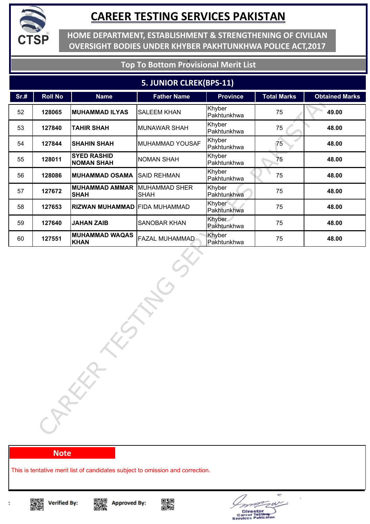

**HOME DEPARTMENT, ESTABLISHMENT & STRENGTHENING OF CIVILIAN OVERSIGHT BODIES UNDER KHYBER PAKHTUNKHWA POLICE ACT,2017**

### **Top To Bottom Provisional Merit List**

#### **5. JUNIOR CLREK(BPS-11)**

| Sr.# | <b>Roll No</b> | <b>Name</b>                                        | <b>Father Name</b>  | <b>Province</b>       | <b>Total Marks</b> | <b>Obtained Marks</b> |
|------|----------------|----------------------------------------------------|---------------------|-----------------------|--------------------|-----------------------|
| 52   | 128065         | <b>MUHAMMAD ILYAS</b>                              | <b>SALEEM KHAN</b>  | Khyber<br>Pakhtunkhwa | 75                 | 49.00                 |
| 53   | 127840         | <b>TAHIR SHAH</b>                                  | <b>MUNAWAR SHAH</b> | Khyber<br>Pakhtunkhwa | 75                 | 48.00                 |
| 54   | 127844         | <b>SHAHIN SHAH</b>                                 | MUHAMMAD YOUSAF     | Khyber<br>Pakhtunkhwa | 75                 | 48.00                 |
| 55   | 128011         | <b>SYED RASHID</b><br><b>NOMAN SHAH</b>            | <b>NOMAN SHAH</b>   | Khyber<br>Pakhtunkhwa | 75                 | 48.00                 |
| 56   | 128086         | <b>MUHAMMAD OSAMA</b>                              | <b>SAID REHMAN</b>  | Khyber<br>Pakhtunkhwa | 75                 | 48.00                 |
| 57   | 127672         | <b>MUHAMMAD AMMAR MUHAMMAD SHER</b><br><b>SHAH</b> | <b>SHAH</b>         | Khyber<br>Pakhtunkhwa | 75                 | 48.00                 |
| 58   | 127653         | RIZWAN MUHAMMAD FIDA MUHAMMAD                      |                     | Khyber<br>Pakhtunkhwa | 75                 | 48.00                 |
| 59   | 127640         | <b>JAHAN ZAIB</b>                                  | <b>SANOBAR KHAN</b> | Khyber<br>Pakhtunkhwa | 75                 | 48.00                 |
| 60   | 127551         | <b>MUHAMMAD WAQAS</b><br><b>KHAN</b>               | FAZAL MUHAMMAD      | Khyber<br>Pakhtunkhwa | 75                 | 48.00                 |
|      |                | CARKA                                              |                     |                       |                    |                       |

#### **Note**

This is tentative merit list of candidates subject to omission and correction.









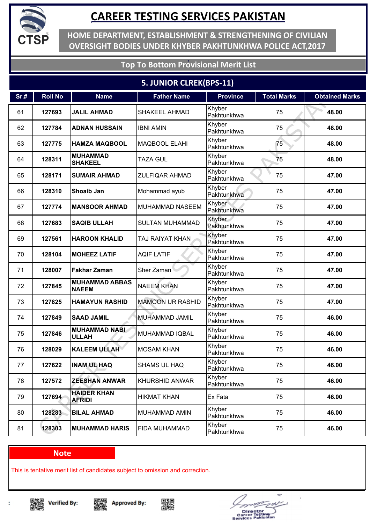

**HOME DEPARTMENT, ESTABLISHMENT & STRENGTHENING OF CIVILIAN OVERSIGHT BODIES UNDER KHYBER PAKHTUNKHWA POLICE ACT,2017**

### **Top To Bottom Provisional Merit List**

### **5. JUNIOR CLREK(BPS-11)**

| Sr.# | <b>Roll No</b> | <b>Name</b>                           | <b>Father Name</b>      | <b>Province</b>       | <b>Total Marks</b> | <b>Obtained Marks</b> |
|------|----------------|---------------------------------------|-------------------------|-----------------------|--------------------|-----------------------|
| 61   | 127693         | <b>JALIL AHMAD</b>                    | <b>SHAKEEL AHMAD</b>    | Khyber<br>Pakhtunkhwa | 75                 | 48.00                 |
| 62   | 127784         | <b>ADNAN HUSSAIN</b>                  | <b>IBNI AMIN</b>        | Khyber<br>Pakhtunkhwa | 75                 | 48.00                 |
| 63   | 127775         | <b>HAMZA MAQBOOL</b>                  | <b>MAQBOOL ELAHI</b>    | Khyber<br>Pakhtunkhwa | 75                 | 48.00                 |
| 64   | 128311         | <b>MUHAMMAD</b><br><b>SHAKEEL</b>     | <b>TAZA GUL</b>         | Khyber<br>Pakhtunkhwa | 75                 | 48.00                 |
| 65   | 128171         | <b>SUMAIR AHMAD</b>                   | <b>ZULFIQAR AHMAD</b>   | Khyber<br>Pakhtunkhwa | 75                 | 47.00                 |
| 66   | 128310         | <b>Shoaib Jan</b>                     | Mohammad ayub           | Khyber<br>Pakhtunkhwa | 75                 | 47.00                 |
| 67   | 127774         | <b>MANSOOR AHMAD</b>                  | <b>MUHAMMAD NASEEM</b>  | Khyber<br>Pakhtunkhwa | 75                 | 47.00                 |
| 68   | 127683         | <b>SAQIB ULLAH</b>                    | <b>SULTAN MUHAMMAD</b>  | Khyber<br>Pakhtunkhwa | 75                 | 47.00                 |
| 69   | 127561         | <b>HAROON KHALID</b>                  | TAJ RAIYAT KHAN         | Khyber<br>Pakhtunkhwa | 75                 | 47.00                 |
| 70   | 128104         | <b>MOHEEZ LATIF</b>                   | <b>AQIF LATIF</b>       | Khyber<br>Pakhtunkhwa | 75                 | 47.00                 |
| 71   | 128007         | <b>Fakhar Zaman</b>                   | Sher Zaman              | Khyber<br>Pakhtunkhwa | 75                 | 47.00                 |
| 72   | 127845         | <b>MUHAMMAD ABBAS</b><br><b>NAEEM</b> | <b>NAEEM KHAN</b>       | Khyber<br>Pakhtunkhwa | 75                 | 47.00                 |
| 73   | 127825         | <b>HAMAYUN RASHID</b>                 | <b>MAMOON UR RASHID</b> | Khyber<br>Pakhtunkhwa | 75                 | 47.00                 |
| 74   | 127849         | <b>SAAD JAMIL</b>                     | MUHAMMAD JAMIL          | Khyber<br>Pakhtunkhwa | 75                 | 46.00                 |
| 75   | 127846         | <b>MUHAMMAD NABI</b><br><b>ULLAH</b>  | <b>MUHAMMAD IQBAL</b>   | Khyber<br>Pakhtunkhwa | 75                 | 46.00                 |
| 76   | 128029         | <b>KALEEM ULLAH</b>                   | <b>MOSAM KHAN</b>       | Khyber<br>Pakhtunkhwa | 75                 | 46.00                 |
| 77   | 127622         | <b>INAM UL HAQ</b>                    | <b>SHAMS UL HAQ</b>     | Khyber<br>Pakhtunkhwa | 75                 | 46.00                 |
| 78   | 127572         | <b>ZEESHAN ANWAR</b>                  | KHURSHID ANWAR          | Khyber<br>Pakhtunkhwa | 75                 | 46.00                 |
| 79   | 127694         | <b>HAIDER KHAN</b><br><b>AFRIDI</b>   | <b>HIKMAT KHAN</b>      | Ex Fata               | 75                 | 46.00                 |
| 80   | 128283         | <b>BILAL AHMAD</b>                    | MUHAMMAD AMIN           | Khyber<br>Pakhtunkhwa | 75                 | 46.00                 |
| 81   | 128303         | <b>MUHAMMAD HARIS</b>                 | <b>FIDA MUHAMMAD</b>    | Khyber<br>Pakhtunkhwa | 75                 | 46.00                 |

#### **Note**

This is tentative merit list of candidates subject to omission and correction.

▓ **Verified By:** 







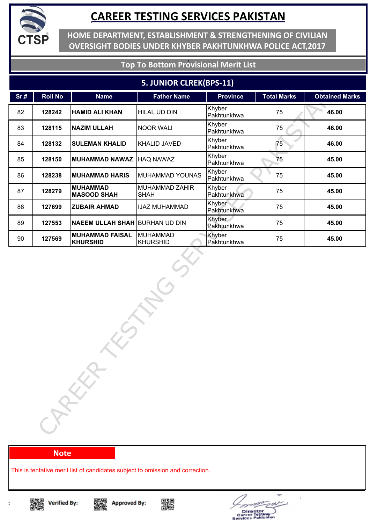

**HOME DEPARTMENT, ESTABLISHMENT & STRENGTHENING OF CIVILIAN OVERSIGHT BODIES UNDER KHYBER PAKHTUNKHWA POLICE ACT,2017**

### **Top To Bottom Provisional Merit List**

#### **5. JUNIOR CLREK(BPS-11)**

| Sr.# | <b>Roll No</b> | <b>Name</b>                               | <b>Father Name</b>            | <b>Province</b>       | <b>Total Marks</b> | <b>Obtained Marks</b> |
|------|----------------|-------------------------------------------|-------------------------------|-----------------------|--------------------|-----------------------|
| 82   | 128242         | <b>HAMID ALI KHAN</b>                     | HILAL UD DIN                  | Khyber<br>Pakhtunkhwa | 75                 | 46.00                 |
| 83   | 128115         | <b>NAZIM ULLAH</b>                        | <b>NOOR WALI</b>              | Khyber<br>Pakhtunkhwa | 75                 | 46.00                 |
| 84   | 128132         | <b>SULEMAN KHALID</b>                     | KHALID JAVED                  | Khyber<br>Pakhtunkhwa | 75                 | 46.00                 |
| 85   | 128150         | MUHAMMAD NAWAZ   HAQ NAWAZ                |                               | Khyber<br>Pakhtunkhwa | 75                 | 45.00                 |
| 86   | 128238         | <b>MUHAMMAD HARIS</b>                     | MUHAMMAD YOUNAS               | Khyber<br>Pakhtunkhwa | 75                 | 45.00                 |
| 87   | 128279         | <b>MUHAMMAD</b><br><b>MASOOD SHAH</b>     | MUHAMMAD ZAHIR<br><b>SHAH</b> | Khyber<br>Pakhtunkhwa | 75                 | 45.00                 |
| 88   | 127699         | <b>ZUBAIR AHMAD</b>                       | <b>IJAZ MUHAMMAD</b>          | Khyber<br>Pakhtunkhwa | 75                 | 45.00                 |
| 89   | 127553         | <b>NAEEM ULLAH SHAH BURHAN UD DIN</b>     |                               | Khyber<br>Pakhtunkhwa | 75                 | 45.00                 |
| 90   | 127569         | <b>MUHAMMAD FAISAL</b><br><b>KHURSHID</b> | MUHAMMAD<br><b>KHURSHID</b>   | Khyber<br>Pakhtunkhwa | 75                 | 45.00                 |
|      |                | CAREER                                    |                               |                       |                    |                       |

#### **Note**

This is tentative merit list of candidates subject to omission and correction.









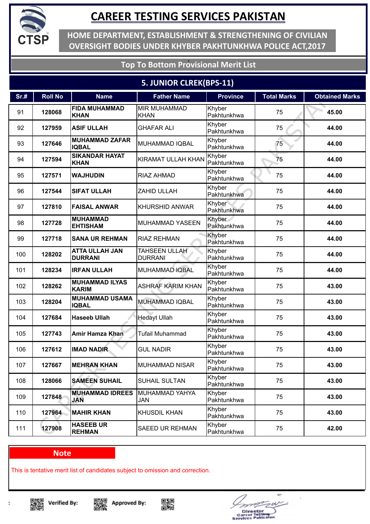

**HOME DEPARTMENT, ESTABLISHMENT & STRENGTHENING OF CIVILIAN OVERSIGHT BODIES UNDER KHYBER PAKHTUNKHWA POLICE ACT,2017**

### **Top To Bottom Provisional Merit List**

### **5. JUNIOR CLREK(BPS-11)**

| Sr.# | <b>Roll No</b> | <b>Name</b>                             | <b>Father Name</b>                     | <b>Province</b>       | <b>Total Marks</b> | <b>Obtained Marks</b> |
|------|----------------|-----------------------------------------|----------------------------------------|-----------------------|--------------------|-----------------------|
| 91   | 128068         | <b>FIDA MUHAMMAD</b><br><b>KHAN</b>     | <b>MIR MUHAMMAD</b><br><b>KHAN</b>     | Khyber<br>Pakhtunkhwa | 75                 | 45.00                 |
| 92   | 127959         | <b>ASIF ULLAH</b>                       | <b>GHAFAR ALI</b>                      | Khyber<br>Pakhtunkhwa | 75                 | 44.00                 |
| 93   | 127646         | <b>MUHAMMAD ZAFAR</b><br><b>IQBAL</b>   | <b>MUHAMMAD IQBAL</b>                  | Khyber<br>Pakhtunkhwa | 75                 | 44.00                 |
| 94   | 127594         | <b>SIKANDAR HAYAT</b><br><b>KHAN</b>    | <b>KIRAMAT ULLAH KHAN</b>              | Khyber<br>Pakhtunkhwa | 75                 | 44.00                 |
| 95   | 127571         | <b>WAJHUDIN</b>                         | <b>RIAZ AHMAD</b>                      | Khyber<br>Pakhtunkhwa | 75                 | 44.00                 |
| 96   | 127544         | <b>SIFAT ULLAH</b>                      | ZAHID ULLAH                            | Khyber<br>Pakhtunkhwa | 75                 | 44.00                 |
| 97   | 127810         | <b>FAISAL ANWAR</b>                     | <b>KHURSHID ANWAR</b>                  | Khyber<br>Pakhtunkhwa | 75                 | 44.00                 |
| 98   | 127728         | <b>MUHAMMAD</b><br><b>EHTISHAM</b>      | <b>MUHAMMAD YASEEN</b>                 | Khyber<br>Pakhtunkhwa | 75                 | 44.00                 |
| 99   | 127718         | <b>SANA UR REHMAN</b>                   | <b>RIAZ REHMAN</b>                     | Khyber<br>Pakhtunkhwa | 75                 | 44.00                 |
| 100  | 128202         | <b>ATTA ULLAH JAN</b><br><b>DURRANI</b> | <b>TAHSEEN ULLAH</b><br><b>DURRANI</b> | Khyber<br>Pakhtunkhwa | 75                 | 44.00                 |
| 101  | 128234         | <b>IRFAN ULLAH</b>                      | MUHAMMAD IQBAL                         | Khyber<br>Pakhtunkhwa | 75                 | 44.00                 |
| 102  | 128262         | <b>MUHAMMAD ILYAS</b><br><b>KARIM</b>   | <b>ASHRAF KARIM KHAN</b>               | Khyber<br>Pakhtunkhwa | 75                 | 43.00                 |
| 103  | 128204         | <b>MUHAMMAD USAMA</b><br><b>IQBAL</b>   | <b>MUHAMMAD IQBAL</b>                  | Khyber<br>Pakhtunkhwa | 75                 | 43.00                 |
| 104  | 127684         | <b>Haseeb Ullah</b>                     | <b>Hedayt Ullah</b>                    | Khyber<br>Pakhtunkhwa | 75                 | 43.00                 |
| 105  | 127743         | <b>Amir Hamza Khan</b>                  | <b>Tufail Muhammad</b>                 | Khyber<br>Pakhtunkhwa | 75                 | 43.00                 |
| 106  | 127612         | <b>IMAD NADIR</b>                       | <b>GUL NADIR</b>                       | Khyber<br>Pakhtunkhwa | 75                 | 43.00                 |
| 107  | 127667         | <b>MEHRAN KHAN</b>                      | <b>MUHAMMAD NISAR</b>                  | Khyber<br>Pakhtunkhwa | 75                 | 43.00                 |
| 108  | 128066         | <b>SAMEEN SUHAIL</b>                    | <b>SUHAIL SULTAN</b>                   | Khyber<br>Pakhtunkhwa | 75                 | 43.00                 |
| 109  | 127848         | <b>MUHAMMAD IDREES</b><br><b>JAN</b>    | MUHAMMAD YAHYA<br>JAN                  | Khyber<br>Pakhtunkhwa | 75                 | 43.00                 |
| 110  | 127964         | <b>MAHIR KHAN</b>                       | <b>KHUSDIL KHAN</b>                    | Khyber<br>Pakhtunkhwa | 75                 | 43.00                 |
| 111  | 127908         | <b>HASEEB UR</b><br><b>REHMAN</b>       | <b>SAEED UR REHMAN</b>                 | Khyber<br>Pakhtunkhwa | 75                 | 42.00                 |

#### **Note**

This is tentative merit list of candidates subject to omission and correction.

▓ **Verified By:** 







÷ Director<br>areer Tostin<br>vices Pakis e.  $\blacksquare$ 

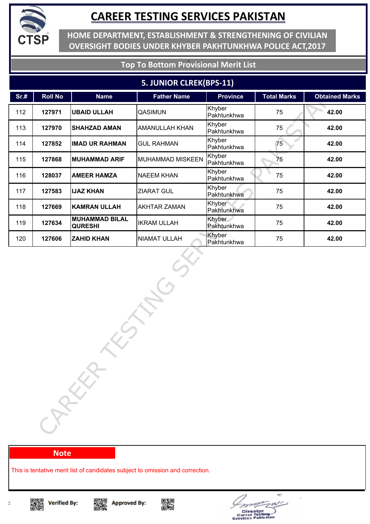

**HOME DEPARTMENT, ESTABLISHMENT & STRENGTHENING OF CIVILIAN OVERSIGHT BODIES UNDER KHYBER PAKHTUNKHWA POLICE ACT,2017**

### **Top To Bottom Provisional Merit List**

#### **5. JUNIOR CLREK(BPS-11)**

| Sr.# | <b>Roll No</b> | <b>Name</b>                             | <b>Father Name</b>      | <b>Province</b>       | <b>Total Marks</b> | <b>Obtained Marks</b> |
|------|----------------|-----------------------------------------|-------------------------|-----------------------|--------------------|-----------------------|
| 112  | 127971         | <b>UBAID ULLAH</b>                      | <b>QASIMUN</b>          | Khyber<br>Pakhtunkhwa | 75                 | 42.00                 |
| 113  | 127970         | <b>SHAHZAD AMAN</b>                     | AMANULLAH KHAN          | Khyber<br>Pakhtunkhwa | 75                 | 42.00                 |
| 114  | 127852         | <b>IMAD UR RAHMAN</b>                   | <b>GUL RAHMAN</b>       | Khyber<br>Pakhtunkhwa | 75                 | 42.00                 |
| 115  | 127868         | <b>MUHAMMAD ARIF</b>                    | <b>MUHAMMAD MISKEEN</b> | Khyber<br>Pakhtunkhwa | 75                 | 42.00                 |
| 116  | 128037         | <b>AMEER HAMZA</b>                      | <b>NAEEM KHAN</b>       | Khyber<br>Pakhtunkhwa | 75                 | 42.00                 |
| 117  | 127583         | <b>IJAZ KHAN</b>                        | ZIARAT GUL              | Khyber<br>Pakhtunkhwa | 75                 | 42.00                 |
| 118  | 127669         | <b>KAMRAN ULLAH</b>                     | <b>AKHTAR ZAMAN</b>     | Khyber<br>Pakhtunkhwa | 75                 | 42.00                 |
| 119  | 127634         | <b>MUHAMMAD BILAL</b><br><b>QURESHI</b> | <b>IKRAM ULLAH</b>      | Khyber<br>Pakhtunkhwa | 75                 | 42.00                 |
| 120  | 127606         | <b>ZAHID KHAN</b>                       | NIAMAT ULLAH            | Khyber<br>Pakhtunkhwa | 75                 | 42.00                 |
|      |                | CARKA                                   |                         |                       |                    |                       |

#### **Note**

This is tentative merit list of candidates subject to omission and correction.









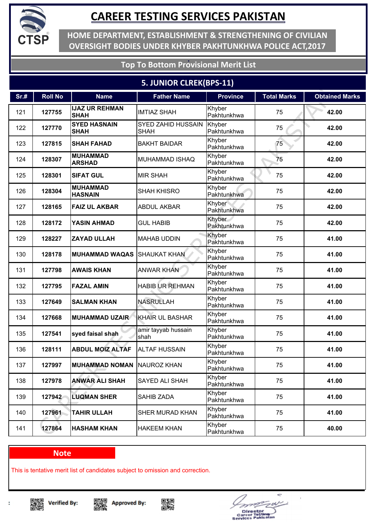

**HOME DEPARTMENT, ESTABLISHMENT & STRENGTHENING OF CIVILIAN OVERSIGHT BODIES UNDER KHYBER PAKHTUNKHWA POLICE ACT,2017**

### **Top To Bottom Provisional Merit List**

### **5. JUNIOR CLREK(BPS-11)**

| Sr.# | <b>Roll No</b> | <b>Name</b>                          | <b>Father Name</b>                       | <b>Province</b>       | <b>Total Marks</b> | <b>Obtained Marks</b> |
|------|----------------|--------------------------------------|------------------------------------------|-----------------------|--------------------|-----------------------|
| 121  | 127755         | <b>IJAZ UR REHMAN</b><br><b>SHAH</b> | <b>IMTIAZ SHAH</b>                       | Khyber<br>Pakhtunkhwa | 75                 | 42.00                 |
| 122  | 127770         | <b>SYED HASNAIN</b><br><b>SHAH</b>   | <b>SYED ZAHID HUSSAIN</b><br><b>SHAH</b> | Khyber<br>Pakhtunkhwa | 75                 | 42.00                 |
| 123  | 127815         | <b>SHAH FAHAD</b>                    | <b>BAKHT BAIDAR</b>                      | Khyber<br>Pakhtunkhwa | 75                 | 42.00                 |
| 124  | 128307         | <b>MUHAMMAD</b><br><b>ARSHAD</b>     | MUHAMMAD ISHAQ                           | Khyber<br>Pakhtunkhwa | 75                 | 42.00                 |
| 125  | 128301         | <b>SIFAT GUL</b>                     | <b>MIR SHAH</b>                          | Khyber<br>Pakhtunkhwa | 75                 | 42.00                 |
| 126  | 128304         | <b>MUHAMMAD</b><br><b>HASNAIN</b>    | <b>SHAH KHISRO</b>                       | Khyber<br>Pakhtunkhwa | 75                 | 42.00                 |
| 127  | 128165         | <b>FAIZ UL AKBAR</b>                 | <b>ABDUL AKBAR</b>                       | Khyber<br>Pakhtunkhwa | 75                 | 42.00                 |
| 128  | 128172         | <b>YASIN AHMAD</b>                   | <b>GUL HABIB</b>                         | Khyber<br>Pakhtunkhwa | 75                 | 42.00                 |
| 129  | 128227         | <b>ZAYAD ULLAH</b>                   | <b>MAHAB UDDIN</b>                       | Khyber<br>Pakhtunkhwa | 75                 | 41.00                 |
| 130  | 128178         | <b>MUHAMMAD WAQAS</b>                | <b>SHAUKAT KHAN</b>                      | Khyber<br>Pakhtunkhwa | 75                 | 41.00                 |
| 131  | 127798         | <b>AWAIS KHAN</b>                    | <b>ANWAR KHAN</b>                        | Khyber<br>Pakhtunkhwa | 75                 | 41.00                 |
| 132  | 127795         | <b>FAZAL AMIN</b>                    | <b>HABIB UR REHMAN</b>                   | Khyber<br>Pakhtunkhwa | 75                 | 41.00                 |
| 133  | 127649         | <b>SALMAN KHAN</b>                   | <b>NASRULLAH</b>                         | Khyber<br>Pakhtunkhwa | 75                 | 41.00                 |
| 134  | 127668         | <b>MUHAMMAD UZAIR</b>                | <b>KHAIR UL BASHAR</b>                   | Khyber<br>Pakhtunkhwa | 75                 | 41.00                 |
| 135  | 127541         | syed faisal shah                     | amir tayyab hussain<br>shah              | Khyber<br>Pakhtunkhwa | 75                 | 41.00                 |
| 136  | 128111         | <b>ABDUL MOIZ ALTAF</b>              | <b>ALTAF HUSSAIN</b>                     | Khyber<br>Pakhtunkhwa | 75                 | 41.00                 |
| 137  | 127997         | <b>MUHAMMAD NOMAN NAUROZ KHAN</b>    |                                          | Khyber<br>Pakhtunkhwa | 75                 | 41.00                 |
| 138  | 127978         | <b>ANWAR ALI SHAH</b>                | SAYED ALI SHAH                           | Khyber<br>Pakhtunkhwa | 75                 | 41.00                 |
| 139  | 127942         | <b>LUQMAN SHER</b>                   | SAHIB ZADA                               | Khyber<br>Pakhtunkhwa | 75                 | 41.00                 |
| 140  | 127961         | <b>TAHIR ULLAH</b>                   | SHER MURAD KHAN                          | Khyber<br>Pakhtunkhwa | 75                 | 41.00                 |
| 141  | 127864         | <b>HASHAM KHAN</b>                   | <b>HAKEEM KHAN</b>                       | Khyber<br>Pakhtunkhwa | 75                 | 40.00                 |

#### **Note**

This is tentative merit list of candidates subject to omission and correction.

▓ **Verified By:** 







÷ Director<br>areer Tostin<br>vices Pakis e.  $\blacksquare$ 

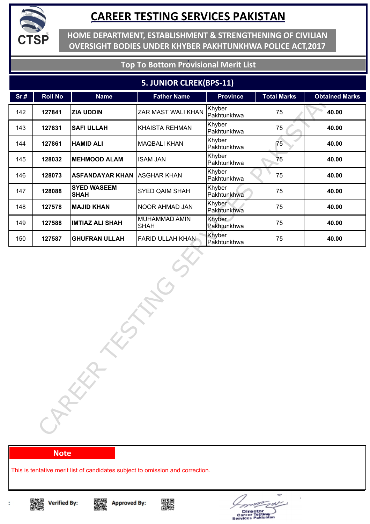

**HOME DEPARTMENT, ESTABLISHMENT & STRENGTHENING OF CIVILIAN OVERSIGHT BODIES UNDER KHYBER PAKHTUNKHWA POLICE ACT,2017**

### **Top To Bottom Provisional Merit List**

#### **5. JUNIOR CLREK(BPS-11)**

| Sr.# | <b>Roll No</b> | <b>Name</b>                       | <b>Father Name</b>           | <b>Province</b>       | <b>Total Marks</b> | <b>Obtained Marks</b> |
|------|----------------|-----------------------------------|------------------------------|-----------------------|--------------------|-----------------------|
| 142  | 127841         | <b>ZIA UDDIN</b>                  | ZAR MAST WALI KHAN           | Khyber<br>Pakhtunkhwa | 75                 | 40.00                 |
| 143  | 127831         | <b>SAFI ULLAH</b>                 | <b>KHAISTA REHMAN</b>        | Khyber<br>Pakhtunkhwa | 75                 | 40.00                 |
| 144  | 127861         | <b>HAMID ALI</b>                  | <b>MAQBALI KHAN</b>          | Khyber<br>Pakhtunkhwa | 75                 | 40.00                 |
| 145  | 128032         | <b>MEHMOOD ALAM</b>               | <b>ISAM JAN</b>              | Khyber<br>Pakhtunkhwa | 75                 | 40.00                 |
| 146  | 128073         | <b>ASFANDAYAR KHAN</b>            | <b>ASGHAR KHAN</b>           | Khyber<br>Pakhtunkhwa | 75                 | 40.00                 |
| 147  | 128088         | <b>SYED WASEEM</b><br><b>SHAH</b> | <b>SYED QAIM SHAH</b>        | Khyber<br>Pakhtunkhwa | 75                 | 40.00                 |
| 148  | 127578         | <b>MAJID KHAN</b>                 | <b>NOOR AHMAD JAN</b>        | Khyber<br>Pakhtunkhwa | 75                 | 40.00                 |
| 149  | 127588         | <b>IMTIAZ ALI SHAH</b>            | MUHAMMAD AMIN<br><b>SHAH</b> | Khyber<br>Pakhtunkhwa | 75                 | 40.00                 |
| 150  | 127587         | <b>GHUFRAN ULLAH</b>              | <b>FARID ULLAH KHAN</b>      | Khyber<br>Pakhtunkhwa | 75                 | 40.00                 |
|      |                | CARECA                            |                              |                       |                    |                       |

#### **Note**

This is tentative merit list of candidates subject to omission and correction.



t

Singer<br>Dengan





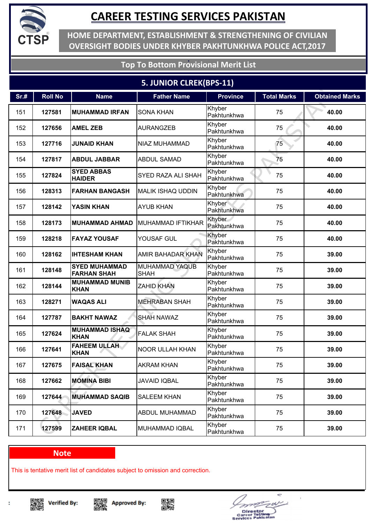

**HOME DEPARTMENT, ESTABLISHMENT & STRENGTHENING OF CIVILIAN OVERSIGHT BODIES UNDER KHYBER PAKHTUNKHWA POLICE ACT,2017**

### **Top To Bottom Provisional Merit List**

### **5. JUNIOR CLREK(BPS-11)**

| Sr.# | <b>Roll No</b> | <b>Name</b>                                | <b>Father Name</b>                   | <b>Province</b>       | <b>Total Marks</b> | <b>Obtained Marks</b> |
|------|----------------|--------------------------------------------|--------------------------------------|-----------------------|--------------------|-----------------------|
| 151  | 127581         | <b>MUHAMMAD IRFAN</b>                      | <b>SONA KHAN</b>                     | Khyber<br>Pakhtunkhwa | 75                 | 40.00                 |
| 152  | 127656         | <b>AMEL ZEB</b>                            | <b>AURANGZEB</b>                     | Khyber<br>Pakhtunkhwa | 75                 | 40.00                 |
| 153  | 127716         | <b>JUNAID KHAN</b>                         | NIAZ MUHAMMAD                        | Khyber<br>Pakhtunkhwa | 75                 | 40.00                 |
| 154  | 127817         | <b>ABDUL JABBAR</b>                        | <b>ABDUL SAMAD</b>                   | Khyber<br>Pakhtunkhwa | 75                 | 40.00                 |
| 155  | 127824         | <b>SYED ABBAS</b><br><b>HAIDER</b>         | SYED RAZA ALI SHAH                   | Khyber<br>Pakhtunkhwa | 75                 | 40.00                 |
| 156  | 128313         | <b>FARHAN BANGASH</b>                      | MALIK ISHAQ UDDIN                    | Khyber<br>Pakhtunkhwa | 75                 | 40.00                 |
| 157  | 128142         | <b>YASIN KHAN</b>                          | <b>AYUB KHAN</b>                     | Khyber<br>Pakhtunkhwa | 75                 | 40.00                 |
| 158  | 128173         | <b>MUHAMMAD AHMAD</b>                      | <b>MUHAMMAD IFTIKHAR</b>             | Khyber<br>Pakhtunkhwa | 75                 | 40.00                 |
| 159  | 128218         | <b>FAYAZ YOUSAF</b>                        | YOUSAF GUL                           | Khyber<br>Pakhtunkhwa | 75                 | 40.00                 |
| 160  | 128162         | <b>IHTESHAM KHAN</b>                       | AMIR BAHADAR KHAN                    | Khyber<br>Pakhtunkhwa | 75                 | 39.00                 |
| 161  | 128148         | <b>SYED MUHAMMAD</b><br><b>FARHAN SHAH</b> | <b>MUHAMMAD YAQUB</b><br><b>SHAH</b> | Khyber<br>Pakhtunkhwa | 75                 | 39.00                 |
| 162  | 128144         | <b>MUHAMMAD MUNIB</b><br><b>KHAN</b>       | <b>ZAHID KHAN</b>                    | Khyber<br>Pakhtunkhwa | 75                 | 39.00                 |
| 163  | 128271         | <b>WAQAS ALI</b>                           | <b>MEHRABAN SHAH</b>                 | Khyber<br>Pakhtunkhwa | 75                 | 39.00                 |
| 164  | 127787         | <b>BAKHT NAWAZ</b>                         | <b>SHAH NAWAZ</b>                    | Khyber<br>Pakhtunkhwa | 75                 | 39.00                 |
| 165  | 127624         | <b>MUHAMMAD ISHAQ</b><br><b>KHAN</b>       | <b>FALAK SHAH</b>                    | Khyber<br>Pakhtunkhwa | 75                 | 39.00                 |
| 166  | 127641         | <b>FAHEEM ULLAH</b><br><b>KHAN</b>         | NOOR ULLAH KHAN                      | Khyber<br>Pakhtunkhwa | 75                 | 39.00                 |
| 167  | 127675         | <b>FAISAL KHAN</b>                         | <b>AKRAM KHAN</b>                    | Khyber<br>Pakhtunkhwa | 75                 | 39.00                 |
| 168  | 127662         | <b>MOMINA BIBI</b>                         | <b>JAVAID IQBAL</b>                  | Khyber<br>Pakhtunkhwa | 75                 | 39.00                 |
| 169  | 127644         | <b>MUHAMMAD SAQIB</b>                      | <b>SALEEM KHAN</b>                   | Khyber<br>Pakhtunkhwa | 75                 | 39.00                 |
| 170  | 127648         | <b>JAVED</b>                               | ABDUL MUHAMMAD                       | Khyber<br>Pakhtunkhwa | 75                 | 39.00                 |
| 171  | 127599         | <b>ZAHEER IQBAL</b>                        | MUHAMMAD IQBAL                       | Khyber<br>Pakhtunkhwa | 75                 | 39.00                 |

#### **Note**

This is tentative merit list of candidates subject to omission and correction.







÷ Director<br>areer Tostin<br>vices Pakis e.  $\blacksquare$ 

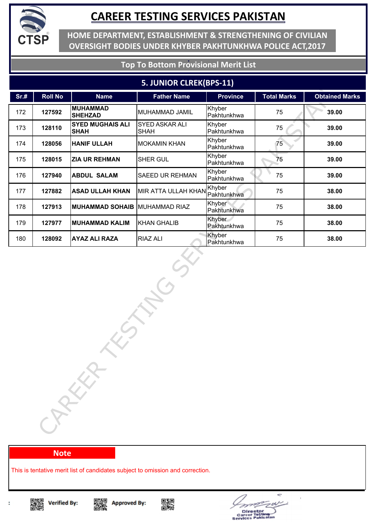

**HOME DEPARTMENT, ESTABLISHMENT & STRENGTHENING OF CIVILIAN OVERSIGHT BODIES UNDER KHYBER PAKHTUNKHWA POLICE ACT,2017**

#### **Top To Bottom Provisional Merit List**

#### **5. JUNIOR CLREK(BPS-11)**

| Sr.# | <b>Roll No</b> | <b>Name</b>                            | <b>Father Name</b>            | <b>Province</b>       | <b>Total Marks</b> | <b>Obtained Marks</b> |
|------|----------------|----------------------------------------|-------------------------------|-----------------------|--------------------|-----------------------|
| 172  | 127592         | <b>MUHAMMAD</b><br><b>SHEHZAD</b>      | MUHAMMAD JAMIL                | Khyber<br>Pakhtunkhwa | 75                 | 39.00                 |
| 173  | 128110         | <b>SYED MUGHAIS ALI</b><br><b>SHAH</b> | SYED ASKAR ALI<br><b>SHAH</b> | Khyber<br>Pakhtunkhwa | 75                 | 39.00                 |
| 174  | 128056         | <b>HANIF ULLAH</b>                     | <b>MOKAMIN KHAN</b>           | Khyber<br>Pakhtunkhwa | 75                 | 39.00                 |
| 175  | 128015         | <b>ZIA UR REHMAN</b>                   | SHER GUL                      | Khyber<br>Pakhtunkhwa | 75                 | 39.00                 |
| 176  | 127940         | <b>ABDUL SALAM</b>                     | SAEED UR REHMAN               | Khyber<br>Pakhtunkhwa | 75                 | 39.00                 |
| 177  | 127882         | <b>ASAD ULLAH KHAN</b>                 | <b>MIR ATTA ULLAH KHAN</b>    | Khyber<br>Pakhtunkhwa | 75                 | 38.00                 |
| 178  | 127913         | <b>MUHAMMAD SOHAIB MUHAMMAD RIAZ</b>   |                               | Khyber<br>Pakhtunkhwa | 75                 | 38.00                 |
| 179  | 127977         | <b>MUHAMMAD KALIM</b>                  | <b>KHAN GHALIB</b>            | Khyber<br>Pakhtunkhwa | 75                 | 38.00                 |
| 180  | 128092         | <b>AYAZ ALI RAZA</b>                   | <b>RIAZ ALI</b>               | Khyber<br>Pakhtunkhwa | 75                 | 38.00                 |
|      |                | 5<br>CARKA                             |                               |                       |                    |                       |

#### **Note**

This is tentative merit list of candidates subject to omission and correction.









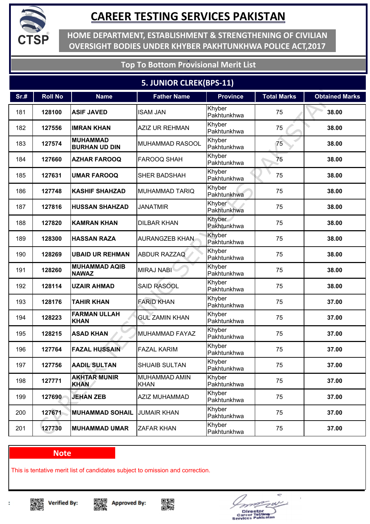

**HOME DEPARTMENT, ESTABLISHMENT & STRENGTHENING OF CIVILIAN OVERSIGHT BODIES UNDER KHYBER PAKHTUNKHWA POLICE ACT,2017**

### **Top To Bottom Provisional Merit List**

### **5. JUNIOR CLREK(BPS-11)**

| Sr.# | <b>Roll No</b> | <b>Name</b>                             | <b>Father Name</b>                  | <b>Province</b>       | <b>Total Marks</b> | <b>Obtained Marks</b> |
|------|----------------|-----------------------------------------|-------------------------------------|-----------------------|--------------------|-----------------------|
| 181  | 128100         | <b>ASIF JAVED</b>                       | <b>ISAM JAN</b>                     | Khyber<br>Pakhtunkhwa | 75                 | 38.00                 |
| 182  | 127556         | <b>IMRAN KHAN</b>                       | <b>AZIZ UR REHMAN</b>               | Khyber<br>Pakhtunkhwa | 75                 | 38.00                 |
| 183  | 127574         | <b>MUHAMMAD</b><br><b>BURHAN UD DIN</b> | <b>MUHAMMAD RASOOL</b>              | Khyber<br>Pakhtunkhwa | 75                 | 38.00                 |
| 184  | 127660         | <b>AZHAR FAROOQ</b>                     | <b>FAROOQ SHAH</b>                  | Khyber<br>Pakhtunkhwa | 75                 | 38.00                 |
| 185  | 127631         | <b>UMAR FAROOQ</b>                      | SHER BADSHAH                        | Khyber<br>Pakhtunkhwa | 75                 | 38.00                 |
| 186  | 127748         | <b>KASHIF SHAHZAD</b>                   | <b>MUHAMMAD TARIQ</b>               | Khyber<br>Pakhtunkhwa | 75                 | 38.00                 |
| 187  | 127816         | <b>HUSSAN SHAHZAD</b>                   | <b>JANATMIR</b>                     | Khyber<br>Pakhtunkhwa | 75                 | 38.00                 |
| 188  | 127820         | <b>KAMRAN KHAN</b>                      | <b>DILBAR KHAN</b>                  | Khyber<br>Pakhtunkhwa | 75                 | 38.00                 |
| 189  | 128300         | <b>HASSAN RAZA</b>                      | AURANGZEB KHAN                      | Khyber<br>Pakhtunkhwa | 75                 | 38.00                 |
| 190  | 128269         | <b>UBAID UR REHMAN</b>                  | <b>ABDUR RAZZAQ</b>                 | Khyber<br>Pakhtunkhwa | 75                 | 38.00                 |
| 191  | 128260         | <b>MUHAMMAD AQIB</b><br><b>NAWAZ</b>    | <b>MIRAJ NABI</b>                   | Khyber<br>Pakhtunkhwa | 75                 | 38.00                 |
| 192  | 128114         | <b>UZAIR AHMAD</b>                      | <b>SAID RASOOL</b>                  | Khyber<br>Pakhtunkhwa | 75                 | 38.00                 |
| 193  | 128176         | <b>TAHIR KHAN</b>                       | <b>FARID KHAN</b>                   | Khyber<br>Pakhtunkhwa | 75                 | 37.00                 |
| 194  | 128223         | <b>FARMAN ULLAH</b><br><b>KHAN</b>      | <b>GUL ZAMIN KHAN</b>               | Khyber<br>Pakhtunkhwa | 75                 | 37.00                 |
| 195  | 128215         | <b>ASAD KHAN</b>                        | MUHAMMAD FAYAZ                      | Khyber<br>Pakhtunkhwa | 75                 | 37.00                 |
| 196  | 127764         | <b>FAZAL HUSSAIN</b>                    | <b>FAZAL KARIM</b>                  | Khyber<br>Pakhtunkhwa | 75                 | 37.00                 |
| 197  | 127756         | <b>AADIL SULTAN</b>                     | <b>SHUAIB SULTAN</b>                | Khyber<br>Pakhtunkhwa | 75                 | 37.00                 |
| 198  | 127771         | <b>AKHTAR MUNIR</b><br><b>KHAN</b>      | <b>MUHAMMAD AMIN</b><br><b>KHAN</b> | Khyber<br>Pakhtunkhwa | 75                 | 37.00                 |
| 199  | 127690         | <b>JEHAN ZEB</b>                        | AZIZ MUHAMMAD                       | Khyber<br>Pakhtunkhwa | 75                 | 37.00                 |
| 200  | 127671         | <b>MUHAMMAD SOHAIL</b>                  | <b>JUMAIR KHAN</b>                  | Khyber<br>Pakhtunkhwa | 75                 | 37.00                 |
| 201  | 127730         | <b>MUHAMMAD UMAR</b>                    | <b>ZAFAR KHAN</b>                   | Khyber<br>Pakhtunkhwa | 75                 | 37.00                 |

#### **Note**

This is tentative merit list of candidates subject to omission and correction.

▓ **Verified By:** 







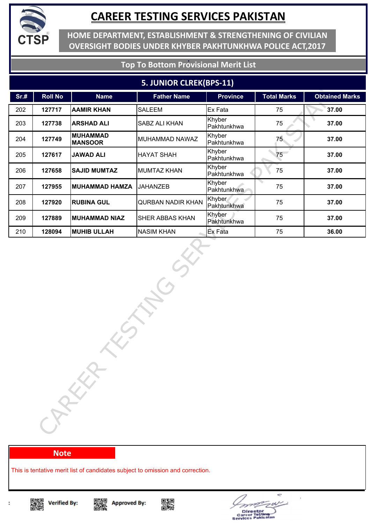

**HOME DEPARTMENT, ESTABLISHMENT & STRENGTHENING OF CIVILIAN OVERSIGHT BODIES UNDER KHYBER PAKHTUNKHWA POLICE ACT,2017**

### **Top To Bottom Provisional Merit List**

#### **5. JUNIOR CLREK(BPS-11)**

| Sr.# | <b>Roll No</b> | <b>Name</b>                       | <b>Father Name</b>       | <b>Province</b>       | <b>Total Marks</b> | <b>Obtained Marks</b> |
|------|----------------|-----------------------------------|--------------------------|-----------------------|--------------------|-----------------------|
| 202  | 127717         | <b>AAMIR KHAN</b>                 | <b>SALEEM</b>            | Ex Fata               | 75                 | 37.00                 |
| 203  | 127738         | <b>ARSHAD ALI</b>                 | SABZ ALI KHAN            | Khyber<br>Pakhtunkhwa | 75                 | 37.00                 |
| 204  | 127749         | <b>MUHAMMAD</b><br><b>MANSOOR</b> | MUHAMMAD NAWAZ           | Khyber<br>Pakhtunkhwa | 75 <sub>2</sub>    | 37.00                 |
| 205  | 127617         | <b>JAWAD ALI</b>                  | <b>HAYAT SHAH</b>        | Khyber<br>Pakhtunkhwa | 75                 | 37.00                 |
| 206  | 127658         | <b>SAJID MUMTAZ</b>               | <b>MUMTAZ KHAN</b>       | Khyber<br>Pakhtunkhwa | 75                 | 37.00                 |
| 207  | 127955         | <b>MUHAMMAD HAMZA</b>             | <b>JAHANZEB</b>          | Khyber<br>Pakhtunkhwa | 75                 | 37.00                 |
| 208  | 127920         | <b>RUBINA GUL</b>                 | <b>QURBAN NADIR KHAN</b> | Khyber<br>Pakhtunkhwa | 75                 | 37.00                 |
| 209  | 127889         | <b>MUHAMMAD NIAZ</b>              | SHER ABBAS KHAN          | Khyber<br>Pakhtunkhwa | 75                 | 37.00                 |
| 210  | 128094         | <b>MUHIB ULLAH</b>                | <b>NASIM KHAN</b>        | Ex Fata               | 75                 | 36.00                 |
|      |                | ORKER                             |                          |                       |                    |                       |

#### **Note**

This is tentative merit list of candidates subject to omission and correction.



t

Singer<br>Dengan





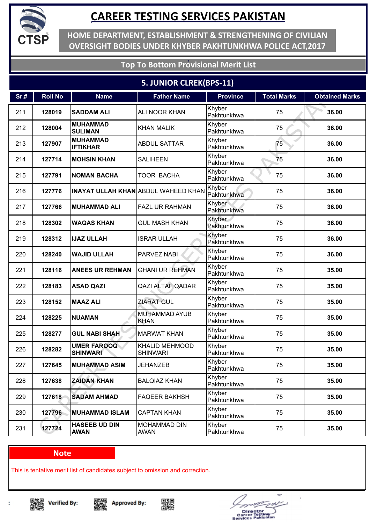

**HOME DEPARTMENT, ESTABLISHMENT & STRENGTHENING OF CIVILIAN OVERSIGHT BODIES UNDER KHYBER PAKHTUNKHWA POLICE ACT,2017**

### **Top To Bottom Provisional Merit List**

### **5. JUNIOR CLREK(BPS-11)**

| Sr.# | <b>Roll No</b> | <b>Name</b>                           | <b>Father Name</b>                         | <b>Province</b>       | <b>Total Marks</b> | <b>Obtained Marks</b> |
|------|----------------|---------------------------------------|--------------------------------------------|-----------------------|--------------------|-----------------------|
| 211  | 128019         | <b>SADDAM ALI</b>                     | <b>ALI NOOR KHAN</b>                       | Khyber<br>Pakhtunkhwa | 75                 | 36.00                 |
| 212  | 128004         | <b>MUHAMMAD</b><br><b>SULIMAN</b>     | <b>KHAN MALIK</b>                          | Khyber<br>Pakhtunkhwa | 75                 | 36.00                 |
| 213  | 127907         | <b>MUHAMMAD</b><br><b>IFTIKHAR</b>    | <b>ABDUL SATTAR</b>                        | Khyber<br>Pakhtunkhwa | 75                 | 36.00                 |
| 214  | 127714         | <b>MOHSIN KHAN</b>                    | <b>SALIHEEN</b>                            | Khyber<br>Pakhtunkhwa | 75                 | 36.00                 |
| 215  | 127791         | <b>NOMAN BACHA</b>                    | TOOR BACHA                                 | Khyber<br>Pakhtunkhwa | 75                 | 36.00                 |
| 216  | 127776         |                                       | <b>INAYAT ULLAH KHAN ABDUL WAHEED KHAN</b> | Khyber<br>Pakhtunkhwa | 75                 | 36.00                 |
| 217  | 127766         | <b>MUHAMMAD ALI</b>                   | <b>FAZL UR RAHMAN</b>                      | Khyber<br>Pakhtunkhwa | 75                 | 36.00                 |
| 218  | 128302         | <b>WAQAS KHAN</b>                     | <b>GUL MASH KHAN</b>                       | Khyber<br>Pakhtunkhwa | 75                 | 36.00                 |
| 219  | 128312         | <b>IJAZ ULLAH</b>                     | <b>ISRAR ULLAH</b>                         | Khyber<br>Pakhtunkhwa | 75                 | 36.00                 |
| 220  | 128240         | <b>WAJID ULLAH</b>                    | <b>PARVEZ NABI</b>                         | Khyber<br>Pakhtunkhwa | 75                 | 36.00                 |
| 221  | 128116         | <b>ANEES UR REHMAN</b>                | <b>GHANI UR REHMAN</b>                     | Khyber<br>Pakhtunkhwa | 75                 | 35.00                 |
| 222  | 128183         | <b>ASAD QAZI</b>                      | <b>QAZI ALTAF QADAR</b>                    | Khyber<br>Pakhtunkhwa | 75                 | 35.00                 |
| 223  | 128152         | <b>MAAZ ALI</b>                       | <b>ZIARAT GUL</b>                          | Khyber<br>Pakhtunkhwa | 75                 | 35.00                 |
| 224  | 128225         | <b>NUAMAN</b>                         | <b>MUHAMMAD AYUB</b><br><b>KHAN</b>        | Khyber<br>Pakhtunkhwa | 75                 | 35.00                 |
| 225  | 128277         | <b>GUL NABI SHAH</b>                  | <b>MARWAT KHAN</b>                         | Khyber<br>Pakhtunkhwa | 75                 | 35.00                 |
| 226  | 128282         | <b>UMER FAROOQ</b><br><b>SHINWARI</b> | <b>KHALID MEHMOOD</b><br><b>SHINWARI</b>   | Khyber<br>Pakhtunkhwa | 75                 | 35.00                 |
| 227  | 127645         | <b>MUHAMMAD ASIM</b>                  | <b>JEHANZEB</b>                            | Khyber<br>Pakhtunkhwa | 75                 | 35.00                 |
| 228  | 127638         | <b>ZAIDAN KHAN</b>                    | <b>BALQIAZ KHAN</b>                        | Khyber<br>Pakhtunkhwa | 75                 | 35.00                 |
| 229  | 127618         | <b>SADAM AHMAD</b>                    | <b>FAQEER BAKHSH</b>                       | Khyber<br>Pakhtunkhwa | 75                 | 35.00                 |
| 230  | 127796         | <b>MUHAMMAD ISLAM</b>                 | <b>CAPTAN KHAN</b>                         | Khyber<br>Pakhtunkhwa | 75                 | 35.00                 |
| 231  | 127724         | <b>HASEEB UD DIN</b><br><b>AWAN</b>   | MOHAMMAD DIN<br>AWAN                       | Khyber<br>Pakhtunkhwa | 75                 | 35.00                 |

#### **Note**

This is tentative merit list of candidates subject to omission and correction.

▓ **Verified By:** 







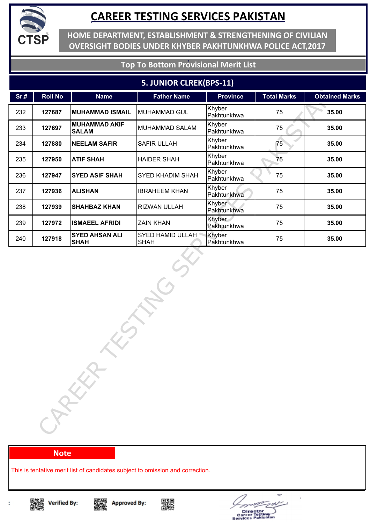

**HOME DEPARTMENT, ESTABLISHMENT & STRENGTHENING OF CIVILIAN OVERSIGHT BODIES UNDER KHYBER PAKHTUNKHWA POLICE ACT,2017**

### **Top To Bottom Provisional Merit List**

#### **5. JUNIOR CLREK(BPS-11)**

| Sr.# | <b>Roll No</b> | <b>Name</b>                          | <b>Father Name</b>              | <b>Province</b>       | <b>Total Marks</b> | <b>Obtained Marks</b> |
|------|----------------|--------------------------------------|---------------------------------|-----------------------|--------------------|-----------------------|
| 232  | 127687         | <b>MUHAMMAD ISMAIL</b>               | <b>MUHAMMAD GUL</b>             | Khyber<br>Pakhtunkhwa | 75                 | 35.00                 |
| 233  | 127697         | <b>MUHAMMAD AKIF</b><br><b>SALAM</b> | <b>MUHAMMAD SALAM</b>           | Khyber<br>Pakhtunkhwa | 75                 | 35.00                 |
| 234  | 127880         | <b>NEELAM SAFIR</b>                  | SAFIR ULLAH                     | Khyber<br>Pakhtunkhwa | 75                 | 35.00                 |
| 235  | 127950         | <b>ATIF SHAH</b>                     | <b>HAIDER SHAH</b>              | Khyber<br>Pakhtunkhwa | 75                 | 35.00                 |
| 236  | 127947         | <b>SYED ASIF SHAH</b>                | SYED KHADIM SHAH                | Khyber<br>Pakhtunkhwa | 75                 | 35.00                 |
| 237  | 127936         | <b>ALISHAN</b>                       | <b>IBRAHEEM KHAN</b>            | Khyber<br>Pakhtunkhwa | 75                 | 35.00                 |
| 238  | 127939         | <b>SHAHBAZ KHAN</b>                  | RIZWAN ULLAH                    | Khyber<br>Pakhtunkhwa | 75                 | 35.00                 |
| 239  | 127972         | <b>ISMAEEL AFRIDI</b>                | <b>ZAIN KHAN</b>                | Khyber<br>Pakhtunkhwa | 75                 | 35.00                 |
| 240  | 127918         | <b>SYED AHSAN ALI</b><br><b>SHAH</b> | SYED HAMID ULLAH<br><b>SHAH</b> | Khyber<br>Pakhtunkhwa | 75                 | 35.00                 |
|      |                | CARKA                                |                                 |                       |                    |                       |

#### **Note**

This is tentative merit list of candidates subject to omission and correction.







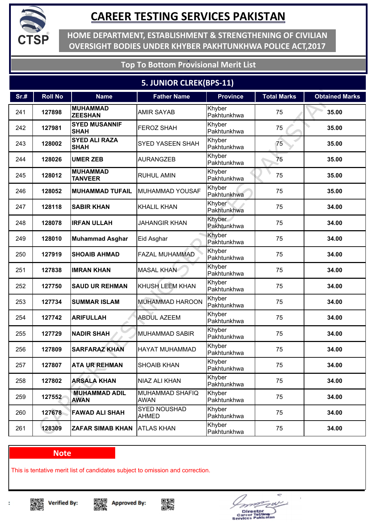

**HOME DEPARTMENT, ESTABLISHMENT & STRENGTHENING OF CIVILIAN OVERSIGHT BODIES UNDER KHYBER PAKHTUNKHWA POLICE ACT,2017**

### **Top To Bottom Provisional Merit List**

### **5. JUNIOR CLREK(BPS-11)**

| Sr.# | <b>Roll No</b> | <b>Name</b>                         | <b>Father Name</b>                    | <b>Province</b>       | <b>Total Marks</b> | <b>Obtained Marks</b> |
|------|----------------|-------------------------------------|---------------------------------------|-----------------------|--------------------|-----------------------|
| 241  | 127898         | <b>MUHAMMAD</b><br><b>ZEESHAN</b>   | <b>AMIR SAYAB</b>                     | Khyber<br>Pakhtunkhwa | 75                 | 35.00                 |
| 242  | 127981         | <b>SYED MUSANNIF</b><br><b>SHAH</b> | <b>FEROZ SHAH</b>                     | Khyber<br>Pakhtunkhwa | 75                 | 35.00                 |
| 243  | 128002         | <b>SYED ALI RAZA</b><br><b>SHAH</b> | <b>SYED YASEEN SHAH</b>               | Khyber<br>Pakhtunkhwa | 75                 | 35.00                 |
| 244  | 128026         | <b>UMER ZEB</b>                     | <b>AURANGZEB</b>                      | Khyber<br>Pakhtunkhwa | 75                 | 35.00                 |
| 245  | 128012         | <b>MUHAMMAD</b><br><b>TANVEER</b>   | <b>RUHUL AMIN</b>                     | Khyber<br>Pakhtunkhwa | 75                 | 35.00                 |
| 246  | 128052         | <b>MUHAMMAD TUFAIL</b>              | MUHAMMAD YOUSAF                       | Khyber<br>Pakhtunkhwa | 75                 | 35.00                 |
| 247  | 128118         | <b>SABIR KHAN</b>                   | <b>KHALIL KHAN</b>                    | Khyber<br>Pakhtunkhwa | 75                 | 34.00                 |
| 248  | 128078         | <b>IRFAN ULLAH</b>                  | <b>JAHANGIR KHAN</b>                  | Khyber<br>Pakhtunkhwa | 75                 | 34.00                 |
| 249  | 128010         | <b>Muhammad Asghar</b>              | Eid Asghar                            | Khyber<br>Pakhtunkhwa | 75                 | 34.00                 |
| 250  | 127919         | <b>SHOAIB AHMAD</b>                 | FAZAL MUHAMMAD                        | Khyber<br>Pakhtunkhwa | 75                 | 34.00                 |
| 251  | 127838         | <b>IMRAN KHAN</b>                   | <b>MASAL KHAN</b>                     | Khyber<br>Pakhtunkhwa | 75                 | 34.00                 |
| 252  | 127750         | <b>SAUD UR REHMAN</b>               | KHUSH LEEM KHAN                       | Khyber<br>Pakhtunkhwa | 75                 | 34.00                 |
| 253  | 127734         | <b>SUMMAR ISLAM</b>                 | <b>MUHAMMAD HAROON</b>                | Khyber<br>Pakhtunkhwa | 75                 | 34.00                 |
| 254  | 127742         | <b>ARIFULLAH</b>                    | <b>ABDUL AZEEM</b>                    | Khyber<br>Pakhtunkhwa | 75                 | 34.00                 |
| 255  | 127729         | <b>NADIR SHAH</b>                   | <b>MUHAMMAD SABIR</b>                 | Khyber<br>Pakhtunkhwa | 75                 | 34.00                 |
| 256  | 127809         | <b>SARFARAZ KHAN</b>                | HAYAT MUHAMMAD                        | Khyber<br>Pakhtunkhwa | 75                 | 34.00                 |
| 257  | 127807         | <b>ATA UR REHMAN</b>                | <b>SHOAIB KHAN</b>                    | Khyber<br>Pakhtunkhwa | 75                 | 34.00                 |
| 258  | 127802         | <b>ARSALA KHAN</b>                  | NIAZ ALI KHAN                         | Khyber<br>Pakhtunkhwa | 75                 | 34.00                 |
| 259  | 127552         | <b>MUHAMMAD ADIL</b><br><b>AWAN</b> | <b>MUHAMMAD SHAFIQ</b><br><b>AWAN</b> | Khyber<br>Pakhtunkhwa | 75                 | 34.00                 |
| 260  | 127678         | <b>FAWAD ALI SHAH</b>               | SYED NOUSHAD<br><b>AHMED</b>          | Khyber<br>Pakhtunkhwa | 75                 | 34.00                 |
| 261  | 128309         | <b>ZAFAR SIMAB KHAN</b>             | <b>ATLAS KHAN</b>                     | Khyber<br>Pakhtunkhwa | 75                 | 34.00                 |

#### **Note**

This is tentative merit list of candidates subject to omission and correction.

▓ **Verified By:** 







÷ Director<br>areer Tosting<br>vices Pakisat c.  $\blacksquare$ 

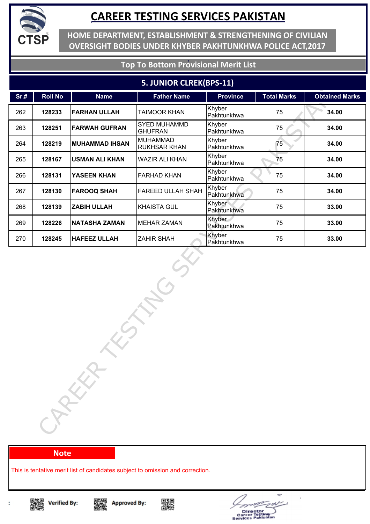

**HOME DEPARTMENT, ESTABLISHMENT & STRENGTHENING OF CIVILIAN OVERSIGHT BODIES UNDER KHYBER PAKHTUNKHWA POLICE ACT,2017**

**Top To Bottom Provisional Merit List**

#### **5. JUNIOR CLREK(BPS-11)**

| Sr.# | <b>Roll No</b> | <b>Name</b>           | <b>Father Name</b>                     | <b>Province</b>       | <b>Total Marks</b> | <b>Obtained Marks</b> |
|------|----------------|-----------------------|----------------------------------------|-----------------------|--------------------|-----------------------|
| 262  | 128233         | <b>FARHAN ULLAH</b>   | TAIMOOR KHAN                           | Khyber<br>Pakhtunkhwa | 75                 | 34.00                 |
| 263  | 128251         | <b>FARWAH GUFRAN</b>  | SYED MUHAMMD<br><b>GHUFRAN</b>         | Khyber<br>Pakhtunkhwa | 75                 | 34.00                 |
| 264  | 128219         | <b>MUHAMMAD IHSAN</b> | <b>MUHAMMAD</b><br><b>RUKHSAR KHAN</b> | Khyber<br>Pakhtunkhwa | 75                 | 34.00                 |
| 265  | 128167         | <b>USMAN ALI KHAN</b> | <b>WAZIR ALI KHAN</b>                  | Khyber<br>Pakhtunkhwa | 75                 | 34.00                 |
| 266  | 128131         | YASEEN KHAN           | <b>FARHAD KHAN</b>                     | Khyber<br>Pakhtunkhwa | 75                 | 34.00                 |
| 267  | 128130         | <b>FAROOQ SHAH</b>    | FAREED ULLAH SHAH                      | Khyber<br>Pakhtunkhwa | 75                 | 34.00                 |
| 268  | 128139         | <b>ZABIH ULLAH</b>    | <b>KHAISTA GUL</b>                     | Khyber<br>Pakhtunkhwa | 75                 | 33.00                 |
| 269  | 128226         | <b>NATASHA ZAMAN</b>  | <b>MEHAR ZAMAN</b>                     | Khyber<br>Pakhtunkhwa | 75                 | 33.00                 |
| 270  | 128245         | <b>HAFEEZ ULLAH</b>   | <b>ZAHIR SHAH</b>                      | Khyber<br>Pakhtunkhwa | 75                 | 33.00                 |
|      |                | CARKA                 |                                        |                       |                    |                       |

#### **Note**

This is tentative merit list of candidates subject to omission and correction.









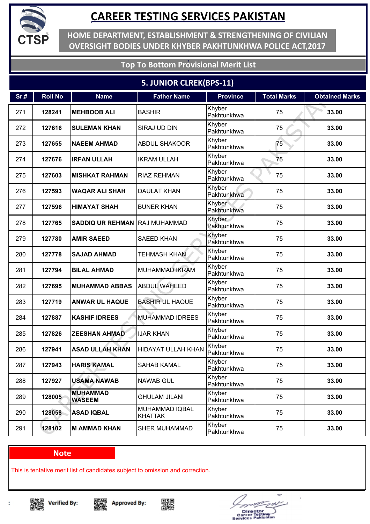

**HOME DEPARTMENT, ESTABLISHMENT & STRENGTHENING OF CIVILIAN OVERSIGHT BODIES UNDER KHYBER PAKHTUNKHWA POLICE ACT,2017**

### **Top To Bottom Provisional Merit List**

### **5. JUNIOR CLREK(BPS-11)**

| Sr.# | <b>Roll No</b> | <b>Name</b>                      | <b>Father Name</b>               | <b>Province</b>       | <b>Total Marks</b> | <b>Obtained Marks</b> |
|------|----------------|----------------------------------|----------------------------------|-----------------------|--------------------|-----------------------|
| 271  | 128241         | <b>MEHBOOB ALI</b>               | <b>BASHIR</b>                    | Khyber<br>Pakhtunkhwa | 75                 | 33.00                 |
| 272  | 127616         | <b>SULEMAN KHAN</b>              | SIRAJ UD DIN                     | Khyber<br>Pakhtunkhwa | 75                 | 33.00                 |
| 273  | 127655         | <b>NAEEM AHMAD</b>               | <b>ABDUL SHAKOOR</b>             | Khyber<br>Pakhtunkhwa | 75                 | 33.00                 |
| 274  | 127676         | <b>IRFAN ULLAH</b>               | <b>IKRAM ULLAH</b>               | Khyber<br>Pakhtunkhwa | 75                 | 33.00                 |
| 275  | 127603         | <b>MISHKAT RAHMAN</b>            | <b>RIAZ REHMAN</b>               | Khyber<br>Pakhtunkhwa | 75                 | 33.00                 |
| 276  | 127593         | <b>WAQAR ALI SHAH</b>            | <b>DAULAT KHAN</b>               | Khyber<br>Pakhtunkhwa | 75                 | 33.00                 |
| 277  | 127596         | <b>HIMAYAT SHAH</b>              | <b>BUNER KHAN</b>                | Khyber<br>Pakhtunkhwa | 75                 | 33.00                 |
| 278  | 127765         | <b>SADDIQ UR REHMAN</b>          | RAJ MUHAMMAD                     | Khyber<br>Pakhtunkhwa | 75                 | 33.00                 |
| 279  | 127780         | <b>AMIR SAEED</b>                | <b>SAEED KHAN</b>                | Khyber<br>Pakhtunkhwa | 75                 | 33.00                 |
| 280  | 127778         | <b>SAJAD AHMAD</b>               | <b>TEHMASH KHAN</b>              | Khyber<br>Pakhtunkhwa | 75                 | 33.00                 |
| 281  | 127794         | <b>BILAL AHMAD</b>               | <b>MUHAMMAD IKRAM</b>            | Khyber<br>Pakhtunkhwa | 75                 | 33.00                 |
| 282  | 127695         | <b>MUHAMMAD ABBAS</b>            | <b>ABDUL WAHEED</b>              | Khyber<br>Pakhtunkhwa | 75                 | 33.00                 |
| 283  | 127719         | <b>ANWAR UL HAQUE</b>            | <b>BASHIR UL HAQUE</b>           | Khyber<br>Pakhtunkhwa | 75                 | 33.00                 |
| 284  | 127887         | <b>KASHIF IDREES</b>             | <b>MUHAMMAD IDREES</b>           | Khyber<br>Pakhtunkhwa | 75                 | 33.00                 |
| 285  | 127826         | <b>ZEESHAN AHMAD</b>             | <b>IJAR KHAN</b>                 | Khyber<br>Pakhtunkhwa | 75                 | 33.00                 |
| 286  | 127941         | <b>ASAD ULLAH KHAN</b>           | <b>HIDAYAT ULLAH KHAN</b>        | Khyber<br>Pakhtunkhwa | 75                 | 33.00                 |
| 287  | 127943         | <b>HARIS KAMAL</b>               | <b>SAHAB KAMAL</b>               | Khyber<br>Pakhtunkhwa | 75                 | 33.00                 |
| 288  | 127927         | <b>USAMA NAWAB</b>               | <b>NAWAB GUL</b>                 | Khyber<br>Pakhtunkhwa | 75                 | 33.00                 |
| 289  | 128005         | <b>MUHAMMAD</b><br><b>WASEEM</b> | <b>GHULAM JILANI</b>             | Khyber<br>Pakhtunkhwa | 75                 | 33.00                 |
| 290  | 128058         | <b>ASAD IQBAL</b>                | MUHAMMAD IQBAL<br><b>KHATTAK</b> | Khyber<br>Pakhtunkhwa | 75                 | 33.00                 |
| 291  | 128102         | <b>M AMMAD KHAN</b>              | SHER MUHAMMAD                    | Khyber<br>Pakhtunkhwa | 75                 | 33.00                 |

#### **Note**

This is tentative merit list of candidates subject to omission and correction.

▓ **Verified By:** 







÷ Director<br>areer Tostin<br>vices Pakis e.  $\blacksquare$ 

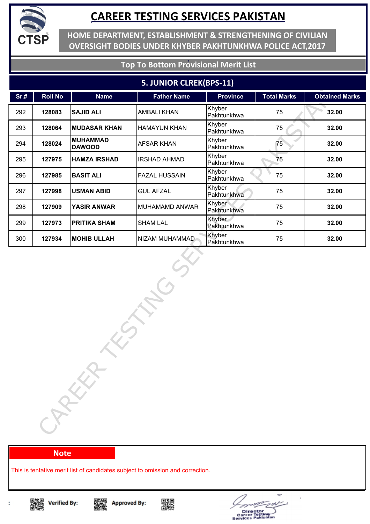

**HOME DEPARTMENT, ESTABLISHMENT & STRENGTHENING OF CIVILIAN OVERSIGHT BODIES UNDER KHYBER PAKHTUNKHWA POLICE ACT,2017**

### **Top To Bottom Provisional Merit List**

#### **5. JUNIOR CLREK(BPS-11)**

| Sr.# | <b>Roll No</b> | <b>Name</b>                      | <b>Father Name</b>   | <b>Province</b>       | <b>Total Marks</b> | <b>Obtained Marks</b> |
|------|----------------|----------------------------------|----------------------|-----------------------|--------------------|-----------------------|
| 292  | 128083         | <b>SAJID ALI</b>                 | <b>AMBALI KHAN</b>   | Khyber<br>Pakhtunkhwa | 75                 | 32.00                 |
| 293  | 128064         | <b>MUDASAR KHAN</b>              | <b>HAMAYUN KHAN</b>  | Khyber<br>Pakhtunkhwa | 75                 | 32.00                 |
| 294  | 128024         | <b>MUHAMMAD</b><br><b>DAWOOD</b> | <b>AFSAR KHAN</b>    | Khyber<br>Pakhtunkhwa | 75                 | 32.00                 |
| 295  | 127975         | <b>HAMZA IRSHAD</b>              | <b>IRSHAD AHMAD</b>  | Khyber<br>Pakhtunkhwa | 75                 | 32.00                 |
| 296  | 127985         | <b>BASIT ALI</b>                 | <b>FAZAL HUSSAIN</b> | Khyber<br>Pakhtunkhwa | 75                 | 32.00                 |
| 297  | 127998         | <b>USMAN ABID</b>                | <b>GUL AFZAL</b>     | Khyber<br>Pakhtunkhwa | 75                 | 32.00                 |
| 298  | 127909         | <b>YASIR ANWAR</b>               | MUHAMAMD ANWAR       | Khyber<br>Pakhtunkhwa | 75                 | 32.00                 |
| 299  | 127973         | <b>PRITIKA SHAM</b>              | <b>SHAM LAL</b>      | Khyber<br>Pakhtunkhwa | 75                 | 32.00                 |
| 300  | 127934         | <b>MOHIB ULLAH</b>               | NIZAM MUHAMMAD       | Khyber<br>Pakhtunkhwa | 75                 | 32.00                 |
|      |                | CARKA                            |                      |                       |                    |                       |

#### **Note**

This is tentative merit list of candidates subject to omission and correction.







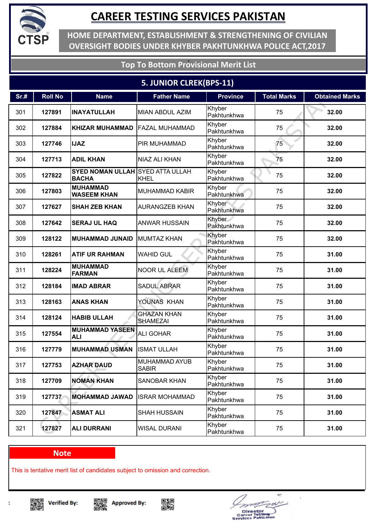

**HOME DEPARTMENT, ESTABLISHMENT & STRENGTHENING OF CIVILIAN OVERSIGHT BODIES UNDER KHYBER PAKHTUNKHWA POLICE ACT,2017**

### **Top To Bottom Provisional Merit List**

### **5. JUNIOR CLREK(BPS-11)**

| Sr.# | <b>Roll No</b> | <b>Name</b>                                             | <b>Father Name</b>                    | <b>Province</b>       | <b>Total Marks</b> | <b>Obtained Marks</b> |
|------|----------------|---------------------------------------------------------|---------------------------------------|-----------------------|--------------------|-----------------------|
| 301  | 127891         | <b>INAYATULLAH</b>                                      | <b>MIAN ABDUL AZIM</b>                | Khyber<br>Pakhtunkhwa | 75                 | 32.00                 |
| 302  | 127884         | <b>KHIZAR MUHAMMAD</b>                                  | <b>FAZAL MUHAMMAD</b>                 | Khyber<br>Pakhtunkhwa | 75                 | 32.00                 |
| 303  | 127746         | <b>IJAZ</b>                                             | PIR MUHAMMAD                          | Khyber<br>Pakhtunkhwa | 75                 | 32.00                 |
| 304  | 127713         | <b>ADIL KHAN</b>                                        | NIAZ ALI KHAN                         | Khyber<br>Pakhtunkhwa | 75                 | 32.00                 |
| 305  | 127822         | <b>SYED NOMAN ULLAH SYED ATTA ULLAH</b><br><b>BACHA</b> | <b>KHEL</b>                           | Khyber<br>Pakhtunkhwa | 75                 | 32.00                 |
| 306  | 127803         | <b>MUHAMMAD</b><br><b>WASEEM KHAN</b>                   | <b>MUHAMMAD KABIR</b>                 | Khyber<br>Pakhtunkhwa | 75                 | 32.00                 |
| 307  | 127627         | <b>SHAH ZEB KHAN</b>                                    | <b>AURANGZEB KHAN</b>                 | Khyber<br>Pakhtunkhwa | 75                 | 32.00                 |
| 308  | 127642         | <b>SERAJ UL HAQ</b>                                     | <b>ANWAR HUSSAIN</b>                  | Khyber<br>Pakhtunkhwa | 75                 | 32.00                 |
| 309  | 128122         | <b>MUHAMMAD JUNAID</b>                                  | <b>MUMTAZ KHAN</b>                    | Khyber<br>Pakhtunkhwa | 75                 | 32.00                 |
| 310  | 128261         | <b>ATIF UR RAHMAN</b>                                   | <b>WAHID GUL</b>                      | Khyber<br>Pakhtunkhwa | 75                 | 31.00                 |
| 311  | 128224         | <b>MUHAMMAD</b><br><b>FARMAN</b>                        | <b>NOOR UL ALEEM</b>                  | Khyber<br>Pakhtunkhwa | 75                 | 31.00                 |
| 312  | 128184         | <b>IMAD ABRAR</b>                                       | <b>SADUL ABRAR</b>                    | Khyber<br>Pakhtunkhwa | 75                 | 31.00                 |
| 313  | 128163         | <b>ANAS KHAN</b>                                        | YOUNAS KHAN                           | Khyber<br>Pakhtunkhwa | 75                 | 31.00                 |
| 314  | 128124         | <b>HABIB ULLAH</b>                                      | <b>GHAZAN KHAN</b><br><b>SHAMEZAI</b> | Khyber<br>Pakhtunkhwa | 75                 | 31.00                 |
| 315  | 127554         | <b>MUHAMMAD YASEEN</b><br><b>ALI</b>                    | <b>ALI GOHAR</b>                      | Khyber<br>Pakhtunkhwa | 75                 | 31.00                 |
| 316  | 127779         | <b>MUHAMMAD USMAN</b>                                   | <b>ISMAT ULLAH</b>                    | Khyber<br>Pakhtunkhwa | 75                 | 31.00                 |
| 317  | 127753         | <b>AZHAR DAUD</b>                                       | <b>MUHAMMAD AYUB</b><br><b>SABIR</b>  | Khyber<br>Pakhtunkhwa | 75                 | 31.00                 |
| 318  | 127709         | <b>NOMAN KHAN</b>                                       | <b>SANOBAR KHAN</b>                   | Khyber<br>Pakhtunkhwa | 75                 | 31.00                 |
| 319  | 127737         | <b>MOHAMMAD JAWAD</b>                                   | <b>ISRAR MOHAMMAD</b>                 | Khyber<br>Pakhtunkhwa | 75                 | 31.00                 |
| 320  | 127847         | <b>ASMAT ALI</b>                                        | <b>SHAH HUSSAIN</b>                   | Khyber<br>Pakhtunkhwa | 75                 | 31.00                 |
| 321  | 127827         | <b>ALI DURRANI</b>                                      | <b>WISAL DURANI</b>                   | Khyber<br>Pakhtunkhwa | 75                 | 31.00                 |

#### **Note**

This is tentative merit list of candidates subject to omission and correction.









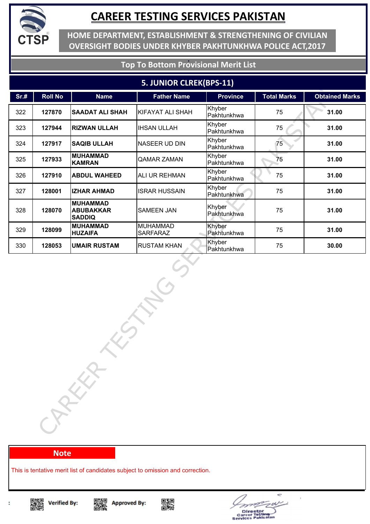

**HOME DEPARTMENT, ESTABLISHMENT & STRENGTHENING OF CIVILIAN OVERSIGHT BODIES UNDER KHYBER PAKHTUNKHWA POLICE ACT,2017**

### **Top To Bottom Provisional Merit List**

#### **5. JUNIOR CLREK(BPS-11)**

| Sr.# | <b>Roll No</b> | <b>Name</b>                                          | <b>Father Name</b>                 | <b>Province</b>       | <b>Total Marks</b> | <b>Obtained Marks</b> |
|------|----------------|------------------------------------------------------|------------------------------------|-----------------------|--------------------|-----------------------|
| 322  | 127870         | <b>SAADAT ALI SHAH</b>                               | <b>KIFAYAT ALI SHAH</b>            | Khyber<br>Pakhtunkhwa | 75                 | 31.00                 |
| 323  | 127944         | <b>RIZWAN ULLAH</b>                                  | <b>IHSAN ULLAH</b>                 | Khyber<br>Pakhtunkhwa | 75                 | 31.00                 |
| 324  | 127917         | <b>SAQIB ULLAH</b>                                   | NASEER UD DIN                      | Khyber<br>Pakhtunkhwa | 75                 | 31.00                 |
| 325  | 127933         | <b>MUHAMMAD</b><br><b>KAMRAN</b>                     | <b>QAMAR ZAMAN</b>                 | Khyber<br>Pakhtunkhwa | 75                 | 31.00                 |
| 326  | 127910         | <b>ABDUL WAHEED</b>                                  | ALI UR REHMAN                      | Khyber<br>Pakhtunkhwa | 75                 | 31.00                 |
| 327  | 128001         | <b>IZHAR AHMAD</b>                                   | <b>ISRAR HUSSAIN</b>               | Khyber<br>Pakhtunkhwa | 75                 | 31.00                 |
| 328  | 128070         | <b>MUHAMMAD</b><br><b>ABUBAKKAR</b><br><b>SADDIQ</b> | <b>SAMEEN JAN</b>                  | Khyber<br>Pakhtunkhwa | 75                 | 31.00                 |
| 329  | 128099         | <b>MUHAMMAD</b><br><b>HUZAIFA</b>                    | <b>MUHAMMAD</b><br><b>SARFARAZ</b> | Khyber<br>Pakhtunkhwa | 75                 | 31.00                 |
| 330  | 128053         | <b>UMAIR RUSTAM</b>                                  | <b>RUSTAM KHAN</b>                 | Khyber<br>Pakhtunkhwa | 75                 | 30.00                 |
|      |                | CARKA                                                |                                    |                       |                    |                       |

**Note**

This is tentative merit list of candidates subject to omission and correction.

Singer<br>Dengan







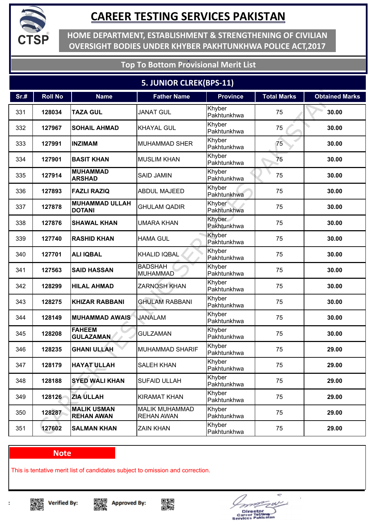

**HOME DEPARTMENT, ESTABLISHMENT & STRENGTHENING OF CIVILIAN OVERSIGHT BODIES UNDER KHYBER PAKHTUNKHWA POLICE ACT,2017**

### **Top To Bottom Provisional Merit List**

### **5. JUNIOR CLREK(BPS-11)**

| Sr.# | <b>Roll No</b> | <b>Name</b>                             | <b>Father Name</b>                         | <b>Province</b>       | <b>Total Marks</b> | <b>Obtained Marks</b> |
|------|----------------|-----------------------------------------|--------------------------------------------|-----------------------|--------------------|-----------------------|
| 331  | 128034         | <b>TAZA GUL</b>                         | <b>JANAT GUL</b>                           | Khyber<br>Pakhtunkhwa | 75                 | 30.00                 |
| 332  | 127967         | <b>SOHAIL AHMAD</b>                     | <b>KHAYAL GUL</b>                          | Khyber<br>Pakhtunkhwa | 75                 | 30.00                 |
| 333  | 127991         | <b>INZIMAM</b>                          | <b>MUHAMMAD SHER</b>                       | Khyber<br>Pakhtunkhwa | 75                 | 30.00                 |
| 334  | 127901         | <b>BASIT KHAN</b>                       | <b>MUSLIM KHAN</b>                         | Khyber<br>Pakhtunkhwa | 75                 | 30.00                 |
| 335  | 127914         | <b>MUHAMMAD</b><br><b>ARSHAD</b>        | <b>SAID JAMIN</b>                          | Khyber<br>Pakhtunkhwa | 75                 | 30.00                 |
| 336  | 127893         | <b>FAZLI RAZIQ</b>                      | <b>ABDUL MAJEED</b>                        | Khyber<br>Pakhtunkhwa | 75                 | 30.00                 |
| 337  | 127878         | <b>MUHAMMAD ULLAH</b><br><b>DOTANI</b>  | <b>GHULAM QADIR</b>                        | Khyber<br>Pakhtunkhwa | 75                 | 30.00                 |
| 338  | 127876         | <b>SHAWAL KHAN</b>                      | UMARA KHAN                                 | Khyber<br>Pakhtunkhwa | 75                 | 30.00                 |
| 339  | 127740         | <b>RASHID KHAN</b>                      | <b>HAMA GUL</b>                            | Khyber<br>Pakhtunkhwa | 75                 | 30.00                 |
| 340  | 127701         | <b>ALI IQBAL</b>                        | <b>KHALID IQBAL</b>                        | Khyber<br>Pakhtunkhwa | 75                 | 30.00                 |
| 341  | 127563         | <b>SAID HASSAN</b>                      | <b>BADSHAH</b><br><b>MUHAMMAD</b>          | Khyber<br>Pakhtunkhwa | 75                 | 30.00                 |
| 342  | 128299         | <b>HILAL AHMAD</b>                      | <b>ZARNOSH KHAN</b>                        | Khyber<br>Pakhtunkhwa | 75                 | 30.00                 |
| 343  | 128275         | <b>KHIZAR RABBANI</b>                   | <b>GHULAM RABBANI</b>                      | Khyber<br>Pakhtunkhwa | 75                 | 30.00                 |
| 344  | 128149         | <b>MUHAMMAD AWAIS</b>                   | <b>JANALAM</b>                             | Khyber<br>Pakhtunkhwa | 75                 | 30.00                 |
| 345  | 128208         | <b>FAHEEM</b><br><b>GULAZAMAN</b>       | <b>GULZAMAN</b>                            | Khyber<br>Pakhtunkhwa | 75                 | 30.00                 |
| 346  | 128235         | <b>GHANI ULLAH</b>                      | <b>MUHAMMAD SHARIF</b>                     | Khyber<br>Pakhtunkhwa | 75                 | 29.00                 |
| 347  | 128179         | <b>HAYAT ULLAH</b>                      | <b>SALEH KHAN</b>                          | Khyber<br>Pakhtunkhwa | 75                 | 29.00                 |
| 348  | 128188         | <b>SYED WALI KHAN</b>                   | <b>SUFAID ULLAH</b>                        | Khyber<br>Pakhtunkhwa | 75                 | 29.00                 |
| 349  | 128126         | <b>ZIA ULLAH</b>                        | <b>KIRAMAT KHAN</b>                        | Khyber<br>Pakhtunkhwa | 75                 | 29.00                 |
| 350  | 128287         | <b>MALIK USMAN</b><br><b>REHAN AWAN</b> | <b>MALIK MUHAMMAD</b><br><b>REHAN AWAN</b> | Khyber<br>Pakhtunkhwa | 75                 | 29.00                 |
| 351  | 127602         | <b>SALMAN KHAN</b>                      | <b>ZAIN KHAN</b>                           | Khyber<br>Pakhtunkhwa | 75                 | 29.00                 |

#### **Note**

This is tentative merit list of candidates subject to omission and correction.

▓ **Verified By:** 







Director<br>areer Tostin<br>vices Pakis

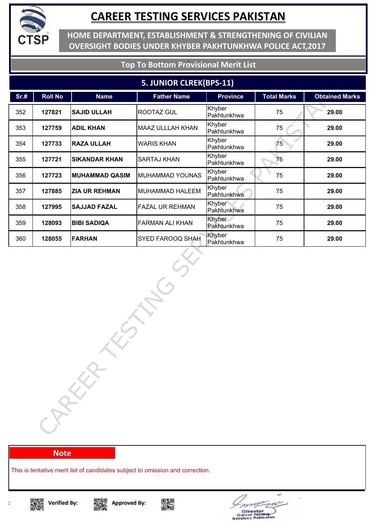

**HOME DEPARTMENT, ESTABLISHMENT & STRENGTHENING OF CIVILIAN OVERSIGHT BODIES UNDER KHYBER PAKHTUNKHWA POLICE ACT,2017**

### **Top To Bottom Provisional Merit List**

#### **5. JUNIOR CLREK(BPS-11)**

| Sr.# | <b>Roll No</b> | <b>Name</b>           | <b>Father Name</b>      | <b>Province</b>       | <b>Total Marks</b> | <b>Obtained Marks</b> |
|------|----------------|-----------------------|-------------------------|-----------------------|--------------------|-----------------------|
| 352  | 127821         | <b>SAJID ULLAH</b>    | <b>ROOTAZ GUL</b>       | Khyber<br>Pakhtunkhwa | 75                 | 29.00                 |
| 353  | 127759         | <b>ADIL KHAN</b>      | <b>MAAZ ULLLAH KHAN</b> | Khyber<br>Pakhtunkhwa | 75                 | 29.00                 |
| 354  | 127733         | <b>RAZA ULLAH</b>     | <b>WARIS KHAN</b>       | Khyber<br>Pakhtunkhwa | 75                 | 29.00                 |
| 355  | 127721         | <b>SIKANDAR KHAN</b>  | <b>SARTAJ KHAN</b>      | Khyber<br>Pakhtunkhwa | 75                 | 29.00                 |
| 356  | 127723         | <b>MUHAMMAD QASIM</b> | MUHAMMAD YOUNAS         | Khyber<br>Pakhtunkhwa | 75                 | 29.00                 |
| 357  | 127885         | <b>ZIA UR REHMAN</b>  | MUHAMMAD HALEEM         | Khyber<br>Pakhtunkhwa | 75                 | 29.00                 |
| 358  | 127995         | <b>SAJJAD FAZAL</b>   | <b>FAZAL UR REHMAN</b>  | Khyber<br>Pakhtunkhwa | 75                 | 29.00                 |
| 359  | 128093         | <b>BIBI SADIQA</b>    | <b>FARMAN ALI KHAN</b>  | Khyber<br>Pakhtunkhwa | 75                 | 29.00                 |
| 360  | 128055         | <b>FARHAN</b>         | SYED FAROOQ SHAH        | Khyber<br>Pakhtunkhwa | 75                 | 29.00                 |
|      |                | CARKA                 |                         |                       |                    |                       |

#### **Note**

This is tentative merit list of candidates subject to omission and correction.



t

Singer<br>Dengan





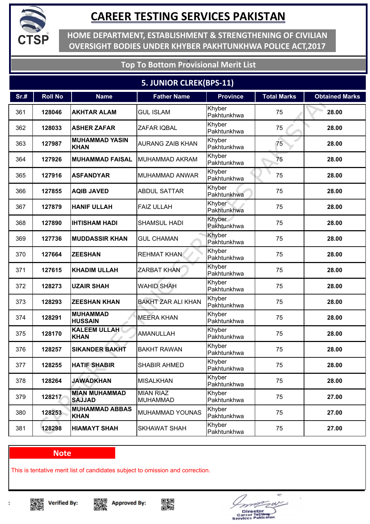

**HOME DEPARTMENT, ESTABLISHMENT & STRENGTHENING OF CIVILIAN OVERSIGHT BODIES UNDER KHYBER PAKHTUNKHWA POLICE ACT,2017**

### **Top To Bottom Provisional Merit List**

### **5. JUNIOR CLREK(BPS-11)**

| Sr.# | <b>Roll No</b> | <b>Name</b>                           | <b>Father Name</b>                  | <b>Province</b>       | <b>Total Marks</b> | <b>Obtained Marks</b> |
|------|----------------|---------------------------------------|-------------------------------------|-----------------------|--------------------|-----------------------|
| 361  | 128046         | <b>AKHTAR ALAM</b>                    | <b>GUL ISLAM</b>                    | Khyber<br>Pakhtunkhwa | 75                 | 28.00                 |
| 362  | 128033         | <b>ASHER ZAFAR</b>                    | ZAFAR IQBAL                         | Khyber<br>Pakhtunkhwa | 75                 | 28.00                 |
| 363  | 127987         | <b>MUHAMMAD YASIN</b><br><b>KHAN</b>  | <b>AURANG ZAIB KHAN</b>             | Khyber<br>Pakhtunkhwa | 75                 | 28.00                 |
| 364  | 127926         | <b>MUHAMMAD FAISAL</b>                | <b>MUHAMMAD AKRAM</b>               | Khyber<br>Pakhtunkhwa | 75                 | 28.00                 |
| 365  | 127916         | <b>ASFANDYAR</b>                      | <b>MUHAMMAD ANWAR</b>               | Khyber<br>Pakhtunkhwa | 75                 | 28.00                 |
| 366  | 127855         | <b>AQIB JAVED</b>                     | <b>ABDUL SATTAR</b>                 | Khyber<br>Pakhtunkhwa | 75                 | 28.00                 |
| 367  | 127879         | <b>HANIF ULLAH</b>                    | <b>FAIZ ULLAH</b>                   | Khyber<br>Pakhtunkhwa | 75                 | 28.00                 |
| 368  | 127890         | <b>IHTISHAM HADI</b>                  | <b>SHAMSUL HADI</b>                 | Khyber<br>Pakhtunkhwa | 75                 | 28.00                 |
| 369  | 127736         | <b>MUDDASSIR KHAN</b>                 | <b>GUL CHAMAN</b>                   | Khyber<br>Pakhtunkhwa | 75                 | 28.00                 |
| 370  | 127664         | <b>ZEESHAN</b>                        | <b>REHMAT KHAN</b>                  | Khyber<br>Pakhtunkhwa | 75                 | 28.00                 |
| 371  | 127615         | <b>KHADIM ULLAH</b>                   | <b>ZARBAT KHAN</b>                  | Khyber<br>Pakhtunkhwa | 75                 | 28.00                 |
| 372  | 128273         | <b>UZAIR SHAH</b>                     | <b>WAHID SHAH</b>                   | Khyber<br>Pakhtunkhwa | 75                 | 28.00                 |
| 373  | 128293         | <b>ZEESHAN KHAN</b>                   | <b>BAKHT ZAR ALI KHAN</b>           | Khyber<br>Pakhtunkhwa | 75                 | 28.00                 |
| 374  | 128291         | <b>MUHAMMAD</b><br><b>HUSSAIN</b>     | <b>MEERA KHAN</b>                   | Khyber<br>Pakhtunkhwa | 75                 | 28.00                 |
| 375  | 128170         | <b>KALEEM ULLAH</b><br><b>KHAN</b>    | <b>AMANULLAH</b>                    | Khyber<br>Pakhtunkhwa | 75                 | 28.00                 |
| 376  | 128257         | <b>SIKANDER BAKHT</b>                 | <b>BAKHT RAWAN</b>                  | Khyber<br>Pakhtunkhwa | 75                 | 28.00                 |
| 377  | 128255         | <b>HATIF SHABIR</b>                   | <b>SHABIR AHMED</b>                 | Khyber<br>Pakhtunkhwa | 75                 | 28.00                 |
| 378  | 128264         | <b>JAWADKHAN</b>                      | <b>MISALKHAN</b>                    | Khyber<br>Pakhtunkhwa | 75                 | 28.00                 |
| 379  | 128217         | <b>MIAN MUHAMMAD</b><br><b>SAJJAD</b> | <b>MIAN RIAZ</b><br><b>MUHAMMAD</b> | Khyber<br>Pakhtunkhwa | 75                 | 27.00                 |
| 380  | 128253         | <b>MUHAMMAD ABBAS</b><br><b>KHAN</b>  | MUHAMMAD YOUNAS                     | Khyber<br>Pakhtunkhwa | 75                 | 27.00                 |
| 381  | 128298         | <b>HIAMAYT SHAH</b>                   | <b>SKHAWAT SHAH</b>                 | Khyber<br>Pakhtunkhwa | 75                 | 27.00                 |

#### **Note**

This is tentative merit list of candidates subject to omission and correction.

▓ **Verified By:** 







÷ Director<br>areer Tostin<br>vices Pakis e.  $\blacksquare$ 

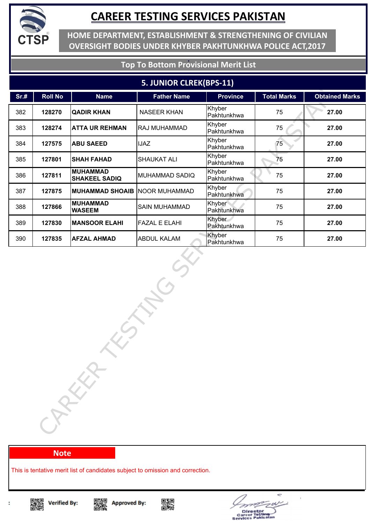

**HOME DEPARTMENT, ESTABLISHMENT & STRENGTHENING OF CIVILIAN OVERSIGHT BODIES UNDER KHYBER PAKHTUNKHWA POLICE ACT,2017**

### **Top To Bottom Provisional Merit List**

#### **5. JUNIOR CLREK(BPS-11)**

| Sr.# | <b>Roll No</b> | <b>Name</b>                             | <b>Father Name</b>   | <b>Province</b>       | <b>Total Marks</b> | <b>Obtained Marks</b> |
|------|----------------|-----------------------------------------|----------------------|-----------------------|--------------------|-----------------------|
| 382  | 128270         | <b>QADIR KHAN</b>                       | <b>NASEER KHAN</b>   | Khyber<br>Pakhtunkhwa | 75                 | 27.00                 |
| 383  | 128274         | <b>ATTA UR REHMAN</b>                   | RAJ MUHAMMAD         | Khyber<br>Pakhtunkhwa | 75                 | 27.00                 |
| 384  | 127575         | <b>ABU SAEED</b>                        | <b>IJAZ</b>          | Khyber<br>Pakhtunkhwa | 75                 | 27.00                 |
| 385  | 127801         | <b>SHAH FAHAD</b>                       | <b>SHAUKAT ALI</b>   | Khyber<br>Pakhtunkhwa | 75                 | 27.00                 |
| 386  | 127811         | <b>MUHAMMAD</b><br><b>SHAKEEL SADIQ</b> | MUHAMMAD SADIQ       | Khyber<br>Pakhtunkhwa | 75                 | 27.00                 |
| 387  | 127875         | <b>MUHAMMAD SHOAIB NOOR MUHAMMAD</b>    |                      | Khyber<br>Pakhtunkhwa | 75                 | 27.00                 |
| 388  | 127866         | <b>MUHAMMAD</b><br><b>WASEEM</b>        | <b>SAIN MUHAMMAD</b> | Khyber<br>Pakhtunkhwa | 75                 | 27.00                 |
| 389  | 127830         | <b>MANSOOR ELAHI</b>                    | <b>FAZAL E ELAHI</b> | Khyber<br>Pakhtunkhwa | 75                 | 27.00                 |
| 390  | 127835         | <b>AFZAL AHMAD</b>                      | <b>ABDUL KALAM</b>   | Khyber<br>Pakhtunkhwa | 75                 | 27.00                 |
|      |                | CARKA                                   |                      |                       |                    |                       |

#### **Note**

This is tentative merit list of candidates subject to omission and correction.



t

Singer<br>Dengan





Director<br>areer Tostl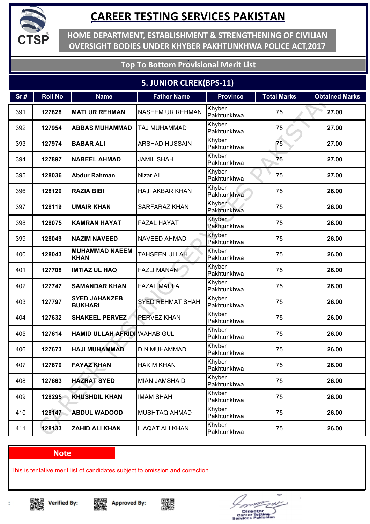

**HOME DEPARTMENT, ESTABLISHMENT & STRENGTHENING OF CIVILIAN OVERSIGHT BODIES UNDER KHYBER PAKHTUNKHWA POLICE ACT,2017**

### **Top To Bottom Provisional Merit List**

### **5. JUNIOR CLREK(BPS-11)**

| Sr.# | <b>Roll No</b> | <b>Name</b>                            | <b>Father Name</b>      | <b>Province</b>       | <b>Total Marks</b> | <b>Obtained Marks</b> |
|------|----------------|----------------------------------------|-------------------------|-----------------------|--------------------|-----------------------|
| 391  | 127828         | <b>MATI UR REHMAN</b>                  | <b>NASEEM UR REHMAN</b> | Khyber<br>Pakhtunkhwa | 75                 | 27.00                 |
| 392  | 127954         | <b>ABBAS MUHAMMAD</b>                  | TAJ MUHAMMAD            | Khyber<br>Pakhtunkhwa | 75                 | 27.00                 |
| 393  | 127974         | <b>BABAR ALI</b>                       | <b>ARSHAD HUSSAIN</b>   | Khyber<br>Pakhtunkhwa | 75                 | 27.00                 |
| 394  | 127897         | <b>NABEEL AHMAD</b>                    | <b>JAMIL SHAH</b>       | Khyber<br>Pakhtunkhwa | 75                 | 27.00                 |
| 395  | 128036         | <b>Abdur Rahman</b>                    | Nizar Ali               | Khyber<br>Pakhtunkhwa | 75                 | 27.00                 |
| 396  | 128120         | <b>RAZIA BIBI</b>                      | <b>HAJI AKBAR KHAN</b>  | Khyber<br>Pakhtunkhwa | 75                 | 26.00                 |
| 397  | 128119         | <b>UMAIR KHAN</b>                      | SARFARAZ KHAN           | Khyber<br>Pakhtunkhwa | 75                 | 26.00                 |
| 398  | 128075         | <b>KAMRAN HAYAT</b>                    | <b>FAZAL HAYAT</b>      | Khyber<br>Pakhtunkhwa | 75                 | 26.00                 |
| 399  | 128049         | <b>NAZIM NAVEED</b>                    | NAVEED AHMAD            | Khyber<br>Pakhtunkhwa | 75                 | 26.00                 |
| 400  | 128043         | <b>MUHAMMAD NAEEM</b><br><b>KHAN</b>   | TAHSEEN ULLAH           | Khyber<br>Pakhtunkhwa | 75                 | 26.00                 |
| 401  | 127708         | <b>IMTIAZ UL HAQ</b>                   | <b>FAZLI MANAN</b>      | Khyber<br>Pakhtunkhwa | 75                 | 26.00                 |
| 402  | 127747         | <b>SAMANDAR KHAN</b>                   | <b>FAZAL MAULA</b>      | Khyber<br>Pakhtunkhwa | 75                 | 26.00                 |
| 403  | 127797         | <b>SYED JAHANZEB</b><br><b>BUKHARI</b> | <b>SYED REHMAT SHAH</b> | Khyber<br>Pakhtunkhwa | 75                 | 26.00                 |
| 404  | 127632         | <b>SHAKEEL PERVEZ</b>                  | <b>PERVEZ KHAN</b>      | Khyber<br>Pakhtunkhwa | 75                 | 26.00                 |
| 405  | 127614         | <b>HAMID ULLAH AFRIDI WAHAB GUL</b>    |                         | Khyber<br>Pakhtunkhwa | 75                 | 26.00                 |
| 406  | 127673         | HAJI MUHAMMAD                          | <b>DIN MUHAMMAD</b>     | Khyber<br>Pakhtunkhwa | 75                 | 26.00                 |
| 407  | 127670         | <b>FAYAZ KHAN</b>                      | <b>HAKIM KHAN</b>       | Khyber<br>Pakhtunkhwa | 75                 | 26.00                 |
| 408  | 127663         | <b>HAZRAT SYED</b>                     | <b>MIAN JAMSHAID</b>    | Khyber<br>Pakhtunkhwa | 75                 | 26.00                 |
| 409  | 128295         | <b>KHUSHDIL KHAN</b>                   | <b>IMAM SHAH</b>        | Khyber<br>Pakhtunkhwa | 75                 | 26.00                 |
| 410  | 128147         | <b>ABDUL WADOOD</b>                    | MUSHTAQ AHMAD           | Khyber<br>Pakhtunkhwa | 75                 | 26.00                 |
| 411  | 128133         | <b>ZAHID ALI KHAN</b>                  | <b>LIAQAT ALI KHAN</b>  | Khyber<br>Pakhtunkhwa | 75                 | 26.00                 |

#### **Note**

This is tentative merit list of candidates subject to omission and correction.







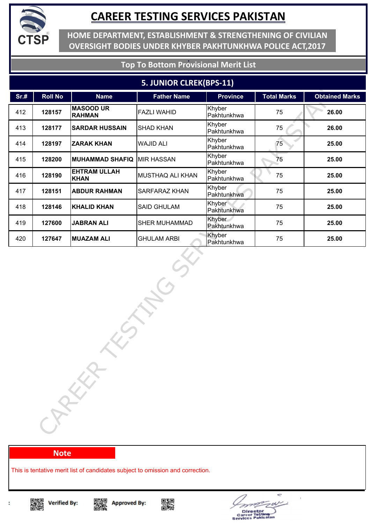

**HOME DEPARTMENT, ESTABLISHMENT & STRENGTHENING OF CIVILIAN OVERSIGHT BODIES UNDER KHYBER PAKHTUNKHWA POLICE ACT,2017**

### **Top To Bottom Provisional Merit List**

#### **5. JUNIOR CLREK(BPS-11)**

| Sr.# | <b>Roll No</b> | <b>Name</b>                        | <b>Father Name</b>   | <b>Province</b>       | <b>Total Marks</b> | <b>Obtained Marks</b> |
|------|----------------|------------------------------------|----------------------|-----------------------|--------------------|-----------------------|
| 412  | 128157         | <b>MASOOD UR</b><br><b>RAHMAN</b>  | <b>FAZLI WAHID</b>   | Khyber<br>Pakhtunkhwa | 75                 | 26.00                 |
| 413  | 128177         | <b>SARDAR HUSSAIN</b>              | <b>SHAD KHAN</b>     | Khyber<br>Pakhtunkhwa | 75                 | 26.00                 |
| 414  | 128197         | <b>ZARAK KHAN</b>                  | <b>WAJID ALI</b>     | Khyber<br>Pakhtunkhwa | 75                 | 25.00                 |
| 415  | 128200         | <b>MUHAMMAD SHAFIQ MIR HASSAN</b>  |                      | Khyber<br>Pakhtunkhwa | 75                 | 25.00                 |
| 416  | 128190         | <b>EHTRAM ULLAH</b><br><b>KHAN</b> | MUSTHAQ ALI KHAN     | Khyber<br>Pakhtunkhwa | 75                 | 25.00                 |
| 417  | 128151         | <b>ABDUR RAHMAN</b>                | <b>SARFARAZ KHAN</b> | Khyber<br>Pakhtunkhwa | 75                 | 25.00                 |
| 418  | 128146         | <b>KHALID KHAN</b>                 | <b>SAID GHULAM</b>   | Khyber<br>Pakhtunkhwa | 75                 | 25.00                 |
| 419  | 127600         | <b>JABRAN ALI</b>                  | <b>SHER MUHAMMAD</b> | Khyber<br>Pakhtunkhwa | 75                 | 25.00                 |
| 420  | 127647         | <b>MUAZAM ALI</b>                  | <b>GHULAM ARBI</b>   | Khyber<br>Pakhtunkhwa | 75                 | 25.00                 |
|      |                | CARECA                             |                      |                       |                    |                       |

#### **Note**

This is tentative merit list of candidates subject to omission and correction.









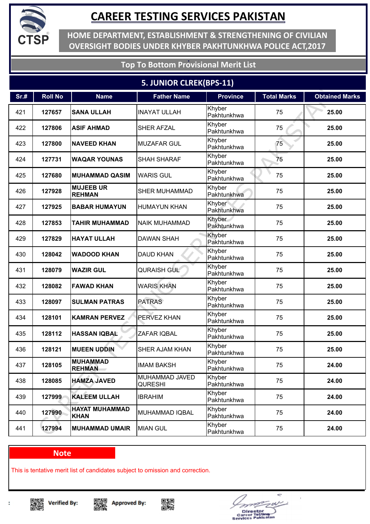

**HOME DEPARTMENT, ESTABLISHMENT & STRENGTHENING OF CIVILIAN OVERSIGHT BODIES UNDER KHYBER PAKHTUNKHWA POLICE ACT,2017**

### **Top To Bottom Provisional Merit List**

### **5. JUNIOR CLREK(BPS-11)**

| Sr.# | <b>Roll No</b> | <b>Name</b>                          | <b>Father Name</b>               | <b>Province</b>       | <b>Total Marks</b> | <b>Obtained Marks</b> |
|------|----------------|--------------------------------------|----------------------------------|-----------------------|--------------------|-----------------------|
| 421  | 127657         | <b>SANA ULLAH</b>                    | <b>INAYAT ULLAH</b>              | Khyber<br>Pakhtunkhwa | 75                 | 25.00                 |
| 422  | 127806         | <b>ASIF AHMAD</b>                    | <b>SHER AFZAL</b>                | Khyber<br>Pakhtunkhwa | 75                 | 25.00                 |
| 423  | 127800         | <b>NAVEED KHAN</b>                   | <b>MUZAFAR GUL</b>               | Khyber<br>Pakhtunkhwa | 75                 | 25.00                 |
| 424  | 127731         | <b>WAQAR YOUNAS</b>                  | <b>SHAH SHARAF</b>               | Khyber<br>Pakhtunkhwa | 75                 | 25.00                 |
| 425  | 127680         | <b>MUHAMMAD QASIM</b>                | <b>WARIS GUL</b>                 | Khyber<br>Pakhtunkhwa | 75                 | 25.00                 |
| 426  | 127928         | <b>MUJEEB UR</b><br><b>REHMAN</b>    | <b>SHER MUHAMMAD</b>             | Khyber<br>Pakhtunkhwa | 75                 | 25.00                 |
| 427  | 127925         | <b>BABAR HUMAYUN</b>                 | <b>HUMAYUN KHAN</b>              | Khyber<br>Pakhtunkhwa | 75                 | 25.00                 |
| 428  | 127853         | <b>TAHIR MUHAMMAD</b>                | <b>NAIK MUHAMMAD</b>             | Khyber<br>Pakhtunkhwa | 75                 | 25.00                 |
| 429  | 127829         | <b>HAYAT ULLAH</b>                   | <b>DAWAN SHAH</b>                | Khyber<br>Pakhtunkhwa | 75                 | 25.00                 |
| 430  | 128042         | <b>WADOOD KHAN</b>                   | <b>DAUD KHAN</b>                 | Khyber<br>Pakhtunkhwa | 75                 | 25.00                 |
| 431  | 128079         | <b>WAZIR GUL</b>                     | <b>QURAISH GUL</b>               | Khyber<br>Pakhtunkhwa | 75                 | 25.00                 |
| 432  | 128082         | <b>FAWAD KHAN</b>                    | <b>WARIS KHAN</b>                | Khyber<br>Pakhtunkhwa | 75                 | 25.00                 |
| 433  | 128097         | <b>SULMAN PATRAS</b>                 | <b>PATRAS</b>                    | Khyber<br>Pakhtunkhwa | 75                 | 25.00                 |
| 434  | 128101         | <b>KAMRAN PERVEZ</b>                 | <b>PERVEZ KHAN</b>               | Khyber<br>Pakhtunkhwa | 75                 | 25.00                 |
| 435  | 128112         | <b>HASSAN IQBAL</b>                  | ZAFAR IQBAL                      | Khyber<br>Pakhtunkhwa | 75                 | 25.00                 |
| 436  | 128121         | <b>MUEEN UDDIN</b>                   | SHER AJAM KHAN                   | Khyber<br>Pakhtunkhwa | 75                 | 25.00                 |
| 437  | 128105         | <b>MUHAMMAD</b><br><b>REHMAN</b>     | <b>IMAM BAKSH</b>                | Khyber<br>Pakhtunkhwa | 75                 | 24.00                 |
| 438  | 128085         | <b>HAMZA JAVED</b>                   | MUHAMMAD JAVED<br><b>QURESHI</b> | Khyber<br>Pakhtunkhwa | 75                 | 24.00                 |
| 439  | 127999         | <b>KALEEM ULLAH</b>                  | <b>IBRAHIM</b>                   | Khyber<br>Pakhtunkhwa | 75                 | 24.00                 |
| 440  | 127990         | <b>HAYAT MUHAMMAD</b><br><b>KHAN</b> | MUHAMMAD IQBAL                   | Khyber<br>Pakhtunkhwa | 75                 | 24.00                 |
| 441  | 127994         | <b>MUHAMMAD UMAIR</b>                | <b>MIAN GUL</b>                  | Khyber<br>Pakhtunkhwa | 75                 | 24.00                 |

#### **Note**

This is tentative merit list of candidates subject to omission and correction.







Director<br>areer Tostin<br>vices Pakis

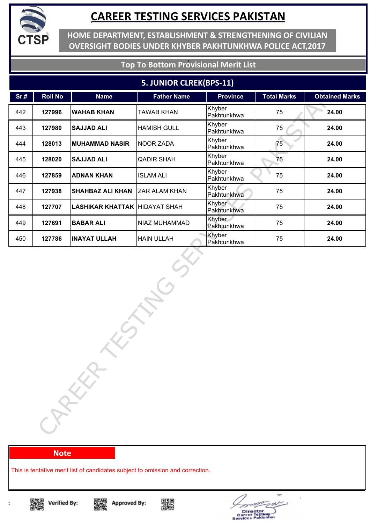

**HOME DEPARTMENT, ESTABLISHMENT & STRENGTHENING OF CIVILIAN OVERSIGHT BODIES UNDER KHYBER PAKHTUNKHWA POLICE ACT,2017**

### **Top To Bottom Provisional Merit List**

#### **5. JUNIOR CLREK(BPS-11)**

| Sr.# | <b>Roll No</b> | <b>Name</b>                          | <b>Father Name</b> | <b>Province</b>       | <b>Total Marks</b> | <b>Obtained Marks</b> |
|------|----------------|--------------------------------------|--------------------|-----------------------|--------------------|-----------------------|
| 442  | 127996         | <b>WAHAB KHAN</b>                    | <b>TAWAB KHAN</b>  | Khyber<br>Pakhtunkhwa | 75                 | 24.00                 |
| 443  | 127980         | <b>SAJJAD ALI</b>                    | <b>HAMISH GULL</b> | Khyber<br>Pakhtunkhwa | 75                 | 24.00                 |
| 444  | 128013         | <b>MUHAMMAD NASIR</b>                | NOOR ZADA          | Khyber<br>Pakhtunkhwa | 75                 | 24.00                 |
| 445  | 128020         | <b>SAJJAD ALI</b>                    | <b>QADIR SHAH</b>  | Khyber<br>Pakhtunkhwa | 75                 | 24.00                 |
| 446  | 127859         | <b>ADNAN KHAN</b>                    | <b>ISLAM ALI</b>   | Khyber<br>Pakhtunkhwa | 75                 | 24.00                 |
| 447  | 127938         | <b>SHAHBAZ ALI KHAN</b>              | ZAR ALAM KHAN      | Khyber<br>Pakhtunkhwa | 75                 | 24.00                 |
| 448  | 127707         | <b>LASHIKAR KHATTAK HIDAYAT SHAH</b> |                    | Khyber<br>Pakhtunkhwa | 75                 | 24.00                 |
| 449  | 127691         | <b>BABAR ALI</b>                     | NIAZ MUHAMMAD      | Khyber<br>Pakhtunkhwa | 75                 | 24.00                 |
| 450  | 127786         | <b>INAYAT ULLAH</b>                  | <b>HAIN ULLAH</b>  | Khyber<br>Pakhtunkhwa | 75                 | 24.00                 |
|      |                | CARKA                                |                    |                       |                    |                       |

#### **Note**

This is tentative merit list of candidates subject to omission and correction.







Director<br>areer Tostl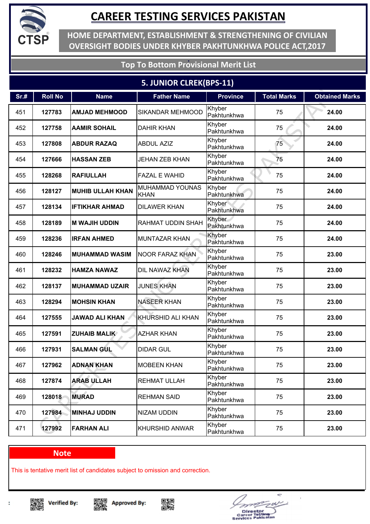

**HOME DEPARTMENT, ESTABLISHMENT & STRENGTHENING OF CIVILIAN OVERSIGHT BODIES UNDER KHYBER PAKHTUNKHWA POLICE ACT,2017**

### **Top To Bottom Provisional Merit List**

### **5. JUNIOR CLREK(BPS-11)**

| Sr.# | <b>Roll No</b> | <b>Name</b>             | <b>Father Name</b>                    | <b>Province</b>       | <b>Total Marks</b> | <b>Obtained Marks</b> |
|------|----------------|-------------------------|---------------------------------------|-----------------------|--------------------|-----------------------|
| 451  | 127783         | <b>AMJAD MEHMOOD</b>    | SIKANDAR MEHMOOD                      | Khyber<br>Pakhtunkhwa | 75                 | 24.00                 |
| 452  | 127758         | <b>AAMIR SOHAIL</b>     | <b>DAHIR KHAN</b>                     | Khyber<br>Pakhtunkhwa | 75                 | 24.00                 |
| 453  | 127808         | <b>ABDUR RAZAQ</b>      | <b>ABDUL AZIZ</b>                     | Khyber<br>Pakhtunkhwa | 75                 | 24.00                 |
| 454  | 127666         | <b>HASSAN ZEB</b>       | <b>JEHAN ZEB KHAN</b>                 | Khyber<br>Pakhtunkhwa | 75                 | 24.00                 |
| 455  | 128268         | <b>RAFIULLAH</b>        | <b>FAZAL E WAHID</b>                  | Khyber<br>Pakhtunkhwa | 75                 | 24.00                 |
| 456  | 128127         | <b>MUHIB ULLAH KHAN</b> | <b>MUHAMMAD YOUNAS</b><br><b>KHAN</b> | Khyber<br>Pakhtunkhwa | 75                 | 24.00                 |
| 457  | 128134         | <b>IFTIKHAR AHMAD</b>   | <b>DILAWER KHAN</b>                   | Khyber<br>Pakhtunkhwa | 75                 | 24.00                 |
| 458  | 128189         | <b>M WAJIH UDDIN</b>    | <b>RAHMAT UDDIN SHAH</b>              | Khyber<br>Pakhtunkhwa | 75                 | 24.00                 |
| 459  | 128236         | <b>IRFAN AHMED</b>      | <b>MUNTAZAR KHAN</b>                  | Khyber<br>Pakhtunkhwa | 75                 | 24.00                 |
| 460  | 128246         | <b>MUHAMMAD WASIM</b>   | <b>NOOR FARAZ KHAN</b>                | Khyber<br>Pakhtunkhwa | 75                 | 23.00                 |
| 461  | 128232         | <b>HAMZA NAWAZ</b>      | DIL NAWAZ KHAN                        | Khyber<br>Pakhtunkhwa | 75                 | 23.00                 |
| 462  | 128137         | <b>MUHAMMAD UZAIR</b>   | <b>JUNES KHAN</b>                     | Khyber<br>Pakhtunkhwa | 75                 | 23.00                 |
| 463  | 128294         | <b>MOHSIN KHAN</b>      | <b>NASEER KHAN</b>                    | Khyber<br>Pakhtunkhwa | 75                 | 23.00                 |
| 464  | 127555         | <b>JAWAD ALI KHAN</b>   | KHURSHID ALI KHAN                     | Khyber<br>Pakhtunkhwa | 75                 | 23.00                 |
| 465  | 127591         | <b>ZUHAIB MALIK</b>     | <b>AZHAR KHAN</b>                     | Khyber<br>Pakhtunkhwa | 75                 | 23.00                 |
| 466  | 127931         | <b>SALMAN GUL</b>       | <b>DIDAR GUL</b>                      | Khyber<br>Pakhtunkhwa | 75                 | 23.00                 |
| 467  | 127962         | <b>ADNAN KHAN</b>       | <b>MOBEEN KHAN</b>                    | Khyber<br>Pakhtunkhwa | 75                 | 23.00                 |
| 468  | 127874         | <b>ARAB ULLAH</b>       | <b>REHMAT ULLAH</b>                   | Khyber<br>Pakhtunkhwa | 75                 | 23.00                 |
| 469  | 128018         | <b>MURAD</b>            | <b>REHMAN SAID</b>                    | Khyber<br>Pakhtunkhwa | 75                 | 23.00                 |
| 470  | 127984         | <b>MINHAJ UDDIN</b>     | <b>NIZAM UDDIN</b>                    | Khyber<br>Pakhtunkhwa | 75                 | 23.00                 |
| 471  | 127992         | <b>FARHAN ALI</b>       | <b>KHURSHID ANWAR</b>                 | Khyber<br>Pakhtunkhwa | 75                 | 23.00                 |

#### **Note**

This is tentative merit list of candidates subject to omission and correction.







÷ Director<br>areer Tostin<br>vices Pakisa e.  $\blacksquare$ 

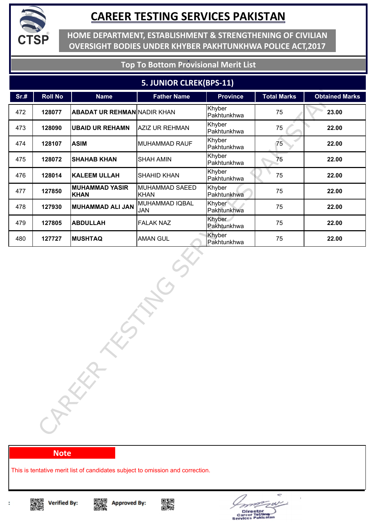

**HOME DEPARTMENT, ESTABLISHMENT & STRENGTHENING OF CIVILIAN OVERSIGHT BODIES UNDER KHYBER PAKHTUNKHWA POLICE ACT,2017**

### **Top To Bottom Provisional Merit List**

#### **5. JUNIOR CLREK(BPS-11)**

| Sr.# | <b>Roll No</b> | <b>Name</b>                          | <b>Father Name</b>            | <b>Province</b>       | <b>Total Marks</b> | <b>Obtained Marks</b> |
|------|----------------|--------------------------------------|-------------------------------|-----------------------|--------------------|-----------------------|
| 472  | 128077         | <b>ABADAT UR REHMAN NADIR KHAN</b>   |                               | Khyber<br>Pakhtunkhwa | 75                 | 23.00                 |
| 473  | 128090         | <b>UBAID UR REHAMN</b>               | AZIZ UR REHMAN                | Khyber<br>Pakhtunkhwa | 75                 | 22.00                 |
| 474  | 128107         | <b>ASIM</b>                          | MUHAMMAD RAUF                 | Khyber<br>Pakhtunkhwa | 75                 | 22.00                 |
| 475  | 128072         | <b>SHAHAB KHAN</b>                   | SHAH AMIN                     | Khyber<br>Pakhtunkhwa | 75                 | 22.00                 |
| 476  | 128014         | <b>KALEEM ULLAH</b>                  | SHAHID KHAN                   | Khyber<br>Pakhtunkhwa | 75                 | 22.00                 |
| 477  | 127850         | <b>MUHAMMAD YASIR</b><br><b>KHAN</b> | MUHAMMAD SAEED<br><b>KHAN</b> | Khyber<br>Pakhtunkhwa | 75                 | 22.00                 |
| 478  | 127930         | <b>MUHAMMAD ALI JAN</b>              | MUHAMMAD IQBAL<br>JAN         | Khyber<br>Pakhtunkhwa | 75                 | 22.00                 |
| 479  | 127805         | <b>ABDULLAH</b>                      | <b>FALAK NAZ</b>              | Khyber<br>Pakhtunkhwa | 75                 | 22.00                 |
| 480  | 127727         | <b>MUSHTAQ</b>                       | <b>AMAN GUL</b>               | Khyber<br>Pakhtunkhwa | 75                 | 22.00                 |
|      |                | CAREER                               |                               |                       |                    |                       |

#### **Note**

This is tentative merit list of candidates subject to omission and correction.









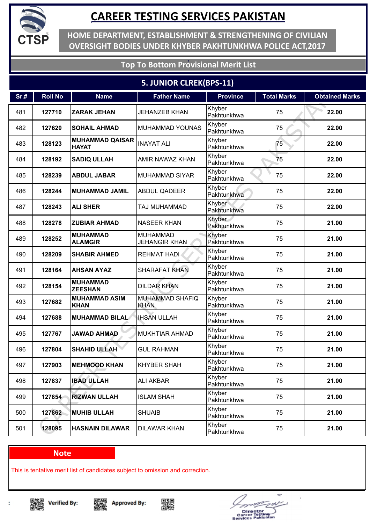

**HOME DEPARTMENT, ESTABLISHMENT & STRENGTHENING OF CIVILIAN OVERSIGHT BODIES UNDER KHYBER PAKHTUNKHWA POLICE ACT,2017**

### **Top To Bottom Provisional Merit List**

### **5. JUNIOR CLREK(BPS-11)**

| Sr.# | <b>Roll No</b> | <b>Name</b>                            | <b>Father Name</b>                      | <b>Province</b>       | <b>Total Marks</b> | <b>Obtained Marks</b> |
|------|----------------|----------------------------------------|-----------------------------------------|-----------------------|--------------------|-----------------------|
| 481  | 127710         | <b>ZARAK JEHAN</b>                     | <b>JEHANZEB KHAN</b>                    | Khyber<br>Pakhtunkhwa | 75                 | 22.00                 |
| 482  | 127620         | <b>SOHAIL AHMAD</b>                    | <b>MUHAMMAD YOUNAS</b>                  | Khyber<br>Pakhtunkhwa | 75                 | 22.00                 |
| 483  | 128123         | <b>MUHAMMAD QAISAR</b><br><b>HAYAT</b> | <b>INAYAT ALI</b>                       | Khyber<br>Pakhtunkhwa | 75                 | 22.00                 |
| 484  | 128192         | <b>SADIQ ULLAH</b>                     | <b>AMIR NAWAZ KHAN</b>                  | Khyber<br>Pakhtunkhwa | 75                 | 22.00                 |
| 485  | 128239         | <b>ABDUL JABAR</b>                     | <b>MUHAMMAD SIYAR</b>                   | Khyber<br>Pakhtunkhwa | 75                 | 22.00                 |
| 486  | 128244         | <b>MUHAMMAD JAMIL</b>                  | <b>ABDUL QADEER</b>                     | Khyber<br>Pakhtunkhwa | 75                 | 22.00                 |
| 487  | 128243         | <b>ALI SHER</b>                        | TAJ MUHAMMAD                            | Khyber<br>Pakhtunkhwa | 75                 | 22.00                 |
| 488  | 128278         | <b>ZUBIAR AHMAD</b>                    | <b>NASEER KHAN</b>                      | Khyber<br>Pakhtunkhwa | 75                 | 21.00                 |
| 489  | 128252         | <b>MUHAMMAD</b><br><b>ALAMGIR</b>      | <b>MUHAMMAD</b><br><b>JEHANGIR KHAN</b> | Khyber<br>Pakhtunkhwa | 75                 | 21.00                 |
| 490  | 128209         | <b>SHABIR AHMED</b>                    | <b>REHMAT HADI</b>                      | Khyber<br>Pakhtunkhwa | 75                 | 21.00                 |
| 491  | 128164         | <b>AHSAN AYAZ</b>                      | <b>SHARAFAT KHAN</b>                    | Khyber<br>Pakhtunkhwa | 75                 | 21.00                 |
| 492  | 128154         | <b>MUHAMMAD</b><br><b>ZEESHAN</b>      | <b>DILDAR KHAN</b>                      | Khyber<br>Pakhtunkhwa | 75                 | 21.00                 |
| 493  | 127682         | <b>MUHAMMAD ASIM</b><br><b>KHAN</b>    | <b>MUHAMMAD SHAFIQ</b><br><b>KHAN</b>   | Khyber<br>Pakhtunkhwa | 75                 | 21.00                 |
| 494  | 127688         | <b>MUHAMMAD BILAL</b>                  | <b>IHSAN ULLAH</b>                      | Khyber<br>Pakhtunkhwa | 75                 | 21.00                 |
| 495  | 127767         | <b>JAWAD AHMAD</b>                     | <b>MUKHTIAR AHMAD</b>                   | Khyber<br>Pakhtunkhwa | 75                 | 21.00                 |
| 496  | 127804         | <b>SHAHID ULLAH</b>                    | <b>GUL RAHMAN</b>                       | Khyber<br>Pakhtunkhwa | 75                 | 21.00                 |
| 497  | 127903         | <b>MEHMOOD KHAN</b>                    | <b>KHYBER SHAH</b>                      | Khyber<br>Pakhtunkhwa | 75                 | 21.00                 |
| 498  | 127837         | <b>IBAD ULLAH</b>                      | <b>ALI AKBAR</b>                        | Khyber<br>Pakhtunkhwa | 75                 | 21.00                 |
| 499  | 127854         | <b>RIZWAN ULLAH</b>                    | <b>ISLAM SHAH</b>                       | Khyber<br>Pakhtunkhwa | 75                 | 21.00                 |
| 500  | 127862         | <b>MUHIB ULLAH</b>                     | <b>SHUAIB</b>                           | Khyber<br>Pakhtunkhwa | 75                 | 21.00                 |
| 501  | 128095         | <b>HASNAIN DILAWAR</b>                 | <b>DILAWAR KHAN</b>                     | Khyber<br>Pakhtunkhwa | 75                 | 21.00                 |

#### **Note**

This is tentative merit list of candidates subject to omission and correction.

▓ **Verified By:** 







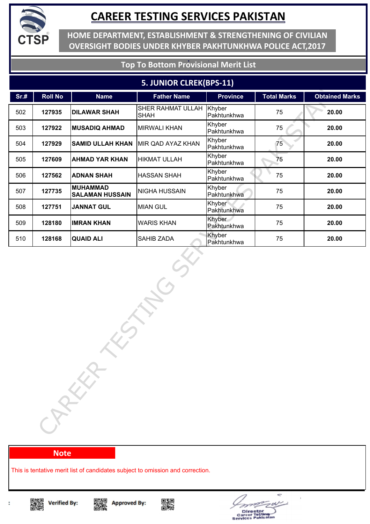

**HOME DEPARTMENT, ESTABLISHMENT & STRENGTHENING OF CIVILIAN OVERSIGHT BODIES UNDER KHYBER PAKHTUNKHWA POLICE ACT,2017**

#### **Top To Bottom Provisional Merit List**

#### **5. JUNIOR CLREK(BPS-11)**

| Sr.# | <b>Roll No</b> | <b>Name</b>                               | <b>Father Name</b>               | <b>Province</b>       | <b>Total Marks</b> | <b>Obtained Marks</b> |
|------|----------------|-------------------------------------------|----------------------------------|-----------------------|--------------------|-----------------------|
| 502  | 127935         | <b>DILAWAR SHAH</b>                       | SHER RAHMAT ULLAH<br><b>SHAH</b> | Khyber<br>Pakhtunkhwa | 75                 | 20.00                 |
| 503  | 127922         | <b>MUSADIQ AHMAD</b>                      | <b>MIRWALI KHAN</b>              | Khyber<br>Pakhtunkhwa | 75                 | 20.00                 |
| 504  | 127929         | <b>SAMID ULLAH KHAN</b>                   | MIR QAD AYAZ KHAN                | Khyber<br>Pakhtunkhwa | 75                 | 20.00                 |
| 505  | 127609         | <b>AHMAD YAR KHAN</b>                     | <b>HIKMAT ULLAH</b>              | Khyber<br>Pakhtunkhwa | 75                 | 20.00                 |
| 506  | 127562         | <b>ADNAN SHAH</b>                         | <b>HASSAN SHAH</b>               | Khyber<br>Pakhtunkhwa | 75                 | 20.00                 |
| 507  | 127735         | <b>MUHAMMAD</b><br><b>SALAMAN HUSSAIN</b> | NIGHA HUSSAIN                    | Khyber<br>Pakhtunkhwa | 75                 | 20.00                 |
| 508  | 127751         | <b>JANNAT GUL</b>                         | <b>MIAN GUL</b>                  | Khyber<br>Pakhtunkhwa | 75                 | 20.00                 |
| 509  | 128180         | <b>IMRAN KHAN</b>                         | <b>WARIS KHAN</b>                | Khyber<br>Pakhtunkhwa | 75                 | 20.00                 |
| 510  | 128168         | <b>QUAID ALI</b>                          | SAHIB ZADA                       | Khyber<br>Pakhtunkhwa | 75                 | 20.00                 |
|      |                | CARKA                                     |                                  |                       |                    |                       |

#### **Note**

This is tentative merit list of candidates subject to omission and correction.









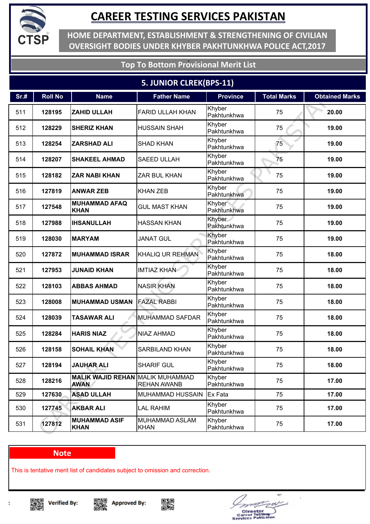

**HOME DEPARTMENT, ESTABLISHMENT & STRENGTHENING OF CIVILIAN OVERSIGHT BODIES UNDER KHYBER PAKHTUNKHWA POLICE ACT,2017**

### **Top To Bottom Provisional Merit List**

### **5. JUNIOR CLREK(BPS-11)**

| Sr.# | <b>Roll No</b> | <b>Name</b>                                            | <b>Father Name</b>            | <b>Province</b>       | <b>Total Marks</b> | <b>Obtained Marks</b> |
|------|----------------|--------------------------------------------------------|-------------------------------|-----------------------|--------------------|-----------------------|
| 511  | 128195         | <b>ZAHID ULLAH</b>                                     | <b>FARID ULLAH KHAN</b>       | Khyber<br>Pakhtunkhwa | 75                 | 20.00                 |
| 512  | 128229         | <b>SHERIZ KHAN</b>                                     | <b>HUSSAIN SHAH</b>           | Khyber<br>Pakhtunkhwa | 75                 | 19.00                 |
| 513  | 128254         | <b>ZARSHAD ALI</b>                                     | <b>SHAD KHAN</b>              | Khyber<br>Pakhtunkhwa | 75                 | 19.00                 |
| 514  | 128207         | <b>SHAKEEL AHMAD</b>                                   | <b>SAEED ULLAH</b>            | Khyber<br>Pakhtunkhwa | 75                 | 19.00                 |
| 515  | 128182         | <b>ZAR NABI KHAN</b>                                   | <b>ZAR BUL KHAN</b>           | Khyber<br>Pakhtunkhwa | 75                 | 19.00                 |
| 516  | 127819         | <b>ANWAR ZEB</b>                                       | <b>KHAN ZEB</b>               | Khyber<br>Pakhtunkhwa | 75                 | 19.00                 |
| 517  | 127548         | <b>MUHAMMAD AFAQ</b><br><b>KHAN</b>                    | <b>GUL MAST KHAN</b>          | Khyber<br>Pakhtunkhwa | 75                 | 19.00                 |
| 518  | 127988         | <b>IHSANULLAH</b>                                      | <b>HASSAN KHAN</b>            | Khyber<br>Pakhtunkhwa | 75                 | 19.00                 |
| 519  | 128030         | <b>MARYAM</b>                                          | <b>JANAT GUL</b>              | Khyber<br>Pakhtunkhwa | 75                 | 19.00                 |
| 520  | 127872         | <b>MUHAMMAD ISRAR</b>                                  | KHALIQ UR REHMAN              | Khyber<br>Pakhtunkhwa | 75                 | 18.00                 |
| 521  | 127953         | <b>JUNAID KHAN</b>                                     | <b>IMTIAZ KHAN</b>            | Khyber<br>Pakhtunkhwa | 75                 | 18.00                 |
| 522  | 128103         | <b>ABBAS AHMAD</b>                                     | <b>NASIR KHAN</b>             | Khyber<br>Pakhtunkhwa | 75                 | 18.00                 |
| 523  | 128008         | <b>MUHAMMAD USMAN</b>                                  | <b>FAZAL RABBI</b>            | Khyber<br>Pakhtunkhwa | 75                 | 18.00                 |
| 524  | 128039         | <b>TASAWAR ALI</b>                                     | <b>MUHAMMAD SAFDAR</b>        | Khyber<br>Pakhtunkhwa | 75                 | 18.00                 |
| 525  | 128284         | <b>HARIS NIAZ</b>                                      | <b>NIAZ AHMAD</b>             | Khyber<br>Pakhtunkhwa | 75                 | 18.00                 |
| 526  | 128158         | <b>SOHAIL KHAN</b>                                     | <b>SARBILAND KHAN</b>         | Khyber<br>Pakhtunkhwa | 75                 | 18.00                 |
| 527  | 128194         | <b>JAUHAR ALI</b>                                      | <b>SHARIF GUL</b>             | Khyber<br>Pakhtunkhwa | 75                 | 18.00                 |
| 528  | 128216         | <b>MALIK WAJID REHAN MALIK MUHAMMAD</b><br><b>AWAN</b> | <b>REHAN AWANB</b>            | Khyber<br>Pakhtunkhwa | 75                 | 17.00                 |
| 529  | 127630         | <b>ASAD ULLAH</b>                                      | MUHAMMAD HUSSAIN              | Ex Fata               | 75                 | 17.00                 |
| 530  | 127745         | <b>AKBAR ALI</b>                                       | <b>LAL RAHIM</b>              | Khyber<br>Pakhtunkhwa | 75                 | 17.00                 |
| 531  | 127812         | <b>MUHAMMAD ASIF</b><br><b>KHAN</b>                    | MUHAMMAD ASLAM<br><b>KHAN</b> | Khyber<br>Pakhtunkhwa | 75                 | 17.00                 |

#### **Note**

This is tentative merit list of candidates subject to omission and correction.



t





÷

Director<br>areer Tostin<br>vices Pakis

e.  $\blacksquare$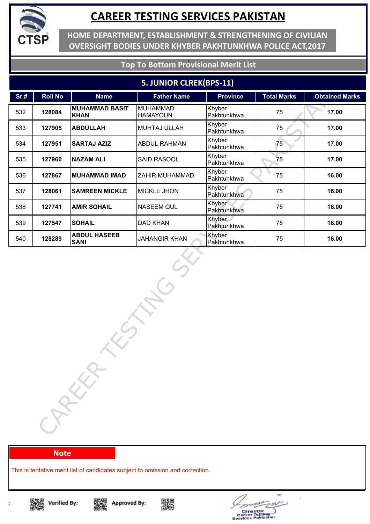

**HOME DEPARTMENT, ESTABLISHMENT & STRENGTHENING OF CIVILIAN OVERSIGHT BODIES UNDER KHYBER PAKHTUNKHWA POLICE ACT,2017**

### **Top To Bottom Provisional Merit List**

#### **5. JUNIOR CLREK(BPS-11)**

| Sr.# | <b>Roll No</b> | <b>Name</b>                          | <b>Father Name</b>                 | <b>Province</b>       | <b>Total Marks</b> | <b>Obtained Marks</b> |
|------|----------------|--------------------------------------|------------------------------------|-----------------------|--------------------|-----------------------|
| 532  | 128084         | <b>MUHAMMAD BASIT</b><br><b>KHAN</b> | <b>MUHAMMAD</b><br><b>HAMAYOUN</b> | Khyber<br>Pakhtunkhwa | 75                 | 17.00                 |
| 533  | 127905         | <b>ABDULLAH</b>                      | MUHTAJ ULLAH                       | Khyber<br>Pakhtunkhwa | 75                 | 17.00                 |
| 534  | 127951         | <b>SARTAJ AZIZ</b>                   | <b>ABDUL RAHMAN</b>                | Khyber<br>Pakhtunkhwa | 75                 | 17.00                 |
| 535  | 127960         | <b>NAZAM ALI</b>                     | SAID RASOOL                        | Khyber<br>Pakhtunkhwa | 75                 | 17.00                 |
| 536  | 127867         | <b>MUHAMMAD IMAD</b>                 | ZAHIR MUHAMMAD                     | Khyber<br>Pakhtunkhwa | 75                 | 16.00                 |
| 537  | 128061         | <b>SAMREEN MICKLE</b>                | <b>MICKLE JHON</b>                 | Khyber<br>Pakhtunkhwa | 75                 | 16.00                 |
| 538  | 127741         | <b>AMIR SOHAIL</b>                   | <b>NASEEM GUL</b>                  | Khyber<br>Pakhtunkhwa | 75                 | 16.00                 |
| 539  | 127547         | <b>SOHAIL</b>                        | DAD KHAN                           | Khyber<br>Pakhtunkhwa | 75                 | 16.00                 |
| 540  | 128289         | <b>ABDUL HASEEB</b><br><b>SANI</b>   | <b>JAHANGIR KHAN</b>               | Khyber<br>Pakhtunkhwa | 75                 | 16.00                 |
|      |                | $\tilde{G}$<br>CAREER                |                                    |                       |                    |                       |

#### **Note**

This is tentative merit list of candidates subject to omission and correction.







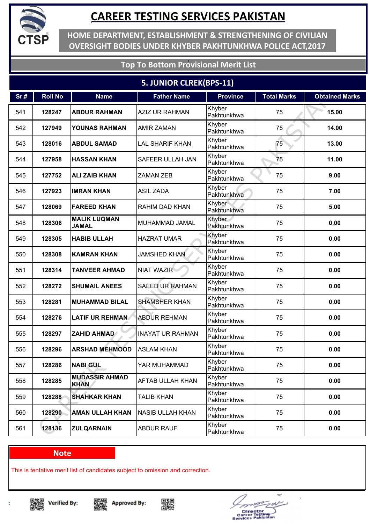

**HOME DEPARTMENT, ESTABLISHMENT & STRENGTHENING OF CIVILIAN OVERSIGHT BODIES UNDER KHYBER PAKHTUNKHWA POLICE ACT,2017**

### **Top To Bottom Provisional Merit List**

### **5. JUNIOR CLREK(BPS-11)**

| Sr.# | <b>Roll No</b> | <b>Name</b>                          | <b>Father Name</b>      | <b>Province</b>       | <b>Total Marks</b> | <b>Obtained Marks</b> |
|------|----------------|--------------------------------------|-------------------------|-----------------------|--------------------|-----------------------|
| 541  | 128247         | <b>ABDUR RAHMAN</b>                  | <b>AZIZ UR RAHMAN</b>   | Khyber<br>Pakhtunkhwa | 75                 | 15.00                 |
| 542  | 127949         | <b>YOUNAS RAHMAN</b>                 | <b>AMIR ZAMAN</b>       | Khyber<br>Pakhtunkhwa | 75                 | 14.00                 |
| 543  | 128016         | <b>ABDUL SAMAD</b>                   | <b>LAL SHARIF KHAN</b>  | Khyber<br>Pakhtunkhwa | 75                 | 13.00                 |
| 544  | 127958         | <b>HASSAN KHAN</b>                   | <b>SAFEER ULLAH JAN</b> | Khyber<br>Pakhtunkhwa | 75                 | 11.00                 |
| 545  | 127752         | <b>ALIZAIB KHAN</b>                  | <b>ZAMAN ZEB</b>        | Khyber<br>Pakhtunkhwa | 75                 | 9.00                  |
| 546  | 127923         | <b>IMRAN KHAN</b>                    | <b>ASIL ZADA</b>        | Khyber<br>Pakhtunkhwa | 75                 | 7.00                  |
| 547  | 128069         | <b>FAREED KHAN</b>                   | RAHIM DAD KHAN          | Khyber<br>Pakhtunkhwa | 75                 | 5.00                  |
| 548  | 128306         | <b>MALIK LUQMAN</b><br><b>JAMAL</b>  | MUHAMMAD JAMAL          | Khyber<br>Pakhtunkhwa | 75                 | 0.00                  |
| 549  | 128305         | <b>HABIB ULLAH</b>                   | <b>HAZRAT UMAR</b>      | Khyber<br>Pakhtunkhwa | 75                 | 0.00                  |
| 550  | 128308         | <b>KAMRAN KHAN</b>                   | <b>JAMSHED KHAN</b>     | Khyber<br>Pakhtunkhwa | 75                 | 0.00                  |
| 551  | 128314         | <b>TANVEER AHMAD</b>                 | <b>NIAT WAZIR</b>       | Khyber<br>Pakhtunkhwa | 75                 | 0.00                  |
| 552  | 128272         | <b>SHUMAIL ANEES</b>                 | <b>SAEED UR RAHMAN</b>  | Khyber<br>Pakhtunkhwa | 75                 | 0.00                  |
| 553  | 128281         | <b>MUHAMMAD BILAL</b>                | <b>SHAMSHER KHAN</b>    | Khyber<br>Pakhtunkhwa | 75                 | 0.00                  |
| 554  | 128276         | <b>LATIF UR REHMAN</b>               | <b>ABDUR REHMAN</b>     | Khyber<br>Pakhtunkhwa | 75                 | 0.00                  |
| 555  | 128297         | <b>ZAHID AHMAD</b>                   | <b>INAYAT UR RAHMAN</b> | Khyber<br>Pakhtunkhwa | 75                 | 0.00                  |
| 556  | 128296         | <b>ARSHAD MEHMOOD</b>                | <b>ASLAM KHAN</b>       | Khyber<br>Pakhtunkhwa | 75                 | 0.00                  |
| 557  | 128286         | <b>NABI GUL</b>                      | YAR MUHAMMAD            | Khyber<br>Pakhtunkhwa | 75                 | 0.00                  |
| 558  | 128285         | <b>MUDASSIR AHMAD</b><br><b>KHAN</b> | <b>AFTAB ULLAH KHAN</b> | Khyber<br>Pakhtunkhwa | 75                 | 0.00                  |
| 559  | 128288         | <b>SHAHKAR KHAN</b>                  | <b>TALIB KHAN</b>       | Khyber<br>Pakhtunkhwa | 75                 | 0.00                  |
| 560  | 128290         | <b>AMAN ULLAH KHAN</b>               | <b>NASIB ULLAH KHAN</b> | Khyber<br>Pakhtunkhwa | 75                 | 0.00                  |
| 561  | 128136         | <b>ZULQARNAIN</b>                    | <b>ABDUR RAUF</b>       | Khyber<br>Pakhtunkhwa | 75                 | 0.00                  |

#### **Note**

This is tentative merit list of candidates subject to omission and correction.

▓ **Verified By:** 







÷ Director<br>areer Tostin<br>vices Pakisa e.  $\blacksquare$ 

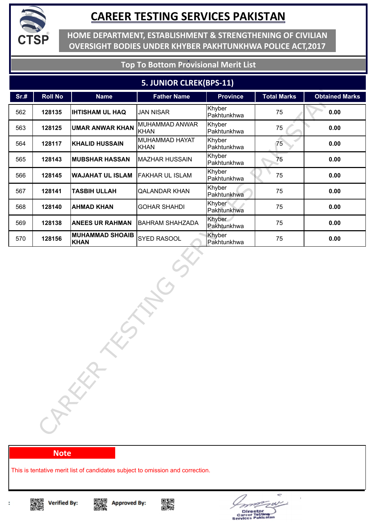

**HOME DEPARTMENT, ESTABLISHMENT & STRENGTHENING OF CIVILIAN OVERSIGHT BODIES UNDER KHYBER PAKHTUNKHWA POLICE ACT,2017**

### **Top To Bottom Provisional Merit List**

#### **5. JUNIOR CLREK(BPS-11)**

| Sr.# | <b>Roll No</b>        | <b>Name</b>             | <b>Father Name</b>            | <b>Province</b>       | <b>Total Marks</b> | <b>Obtained Marks</b> |  |  |
|------|-----------------------|-------------------------|-------------------------------|-----------------------|--------------------|-----------------------|--|--|
| 562  | 128135                | <b>IHTISHAM UL HAQ</b>  | <b>JAN NISAR</b>              | Khyber<br>Pakhtunkhwa | 75                 | 0.00                  |  |  |
| 563  | 128125                | <b>UMAR ANWAR KHAN</b>  | MUHAMMAD ANWAR<br><b>KHAN</b> | Khyber<br>Pakhtunkhwa | 75                 | 0.00                  |  |  |
| 564  | 128117                | <b>KHALID HUSSAIN</b>   | MUHAMMAD HAYAT<br><b>KHAN</b> | Khyber<br>Pakhtunkhwa | 75                 | 0.00                  |  |  |
| 565  | 128143                | <b>MUBSHAR HASSAN</b>   | <b>MAZHAR HUSSAIN</b>         | Khyber<br>Pakhtunkhwa | 75                 | 0.00                  |  |  |
| 566  | 128145                | <b>WAJAHAT UL ISLAM</b> | <b>FAKHAR UL ISLAM</b>        | Khyber<br>Pakhtunkhwa | 75                 | 0.00                  |  |  |
| 567  | 128141                | <b>TASBIH ULLAH</b>     | <b>QALANDAR KHAN</b>          | Khyber<br>Pakhtunkhwa | 75                 | 0.00                  |  |  |
| 568  | 128140                | <b>AHMAD KHAN</b>       | <b>GOHAR SHAHDI</b>           | Khyber<br>Pakhtunkhwa | 75                 | 0.00                  |  |  |
| 569  | 128138                | <b>ANEES UR RAHMAN</b>  | <b>BAHRAM SHAHZADA</b>        | Khyber<br>Pakhtunkhwa | 75                 | 0.00                  |  |  |
| 570  | 128156                | <b>MUHAMMAD SHOAIB</b>  | SYED RASOOL                   | Khyber<br>Pakhtunkhwa | 75                 | 0.00                  |  |  |
|      | <b>KHAN</b><br>CAREER |                         |                               |                       |                    |                       |  |  |

#### **Note**

This is tentative merit list of candidates subject to omission and correction.









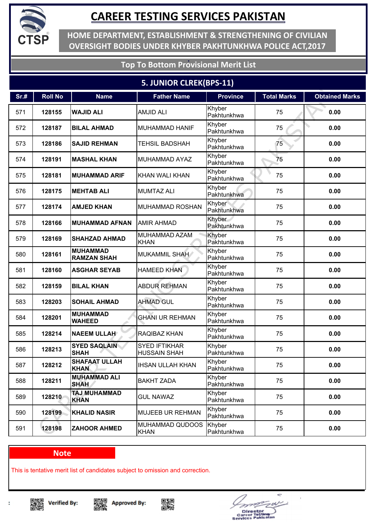

**HOME DEPARTMENT, ESTABLISHMENT & STRENGTHENING OF CIVILIAN OVERSIGHT BODIES UNDER KHYBER PAKHTUNKHWA POLICE ACT,2017**

### **Top To Bottom Provisional Merit List**

### **5. JUNIOR CLREK(BPS-11)**

| Sr.# | <b>Roll No</b> | <b>Name</b>                           | <b>Father Name</b>                          | <b>Province</b>       | <b>Total Marks</b> | <b>Obtained Marks</b> |
|------|----------------|---------------------------------------|---------------------------------------------|-----------------------|--------------------|-----------------------|
| 571  | 128155         | <b>WAJID ALI</b>                      | <b>AMJID ALI</b>                            | Khyber<br>Pakhtunkhwa | 75                 | 0.00                  |
| 572  | 128187         | <b>BILAL AHMAD</b>                    | <b>MUHAMMAD HANIF</b>                       | Khyber<br>Pakhtunkhwa | 75                 | 0.00                  |
| 573  | 128186         | <b>SAJID REHMAN</b>                   | <b>TEHSIL BADSHAH</b>                       | Khyber<br>Pakhtunkhwa | 75                 | 0.00                  |
| 574  | 128191         | <b>MASHAL KHAN</b>                    | <b>MUHAMMAD AYAZ</b>                        | Khyber<br>Pakhtunkhwa | 75                 | 0.00                  |
| 575  | 128181         | <b>MUHAMMAD ARIF</b>                  | <b>KHAN WALI KHAN</b>                       | Khyber<br>Pakhtunkhwa | 75                 | 0.00                  |
| 576  | 128175         | <b>MEHTAB ALI</b>                     | <b>MUMTAZ ALI</b>                           | Khyber<br>Pakhtunkhwa | 75                 | 0.00                  |
| 577  | 128174         | <b>AMJED KHAN</b>                     | <b>MUHAMMAD ROSHAN</b>                      | Khyber<br>Pakhtunkhwa | 75                 | 0.00                  |
| 578  | 128166         | <b>MUHAMMAD AFNAN</b>                 | <b>AMIR AHMAD</b>                           | Khyber<br>Pakhtunkhwa | 75                 | 0.00                  |
| 579  | 128169         | <b>SHAHZAD AHMAD</b>                  | MUHAMMAD AZAM<br><b>KHAN</b>                | Khyber<br>Pakhtunkhwa | 75                 | 0.00                  |
| 580  | 128161         | <b>MUHAMMAD</b><br><b>RAMZAN SHAH</b> | <b>MUKAMMIL SHAH</b>                        | Khyber<br>Pakhtunkhwa | 75                 | 0.00                  |
| 581  | 128160         | <b>ASGHAR SEYAB</b>                   | <b>HAMEED KHAN</b>                          | Khyber<br>Pakhtunkhwa | 75                 | 0.00                  |
| 582  | 128159         | <b>BILAL KHAN</b>                     | <b>ABDUR REHMAN</b>                         | Khyber<br>Pakhtunkhwa | 75                 | 0.00                  |
| 583  | 128203         | <b>SOHAIL AHMAD</b>                   | <b>AHMAD GUL</b>                            | Khyber<br>Pakhtunkhwa | 75                 | 0.00                  |
| 584  | 128201         | <b>MUHAMMAD</b><br><b>WAHEED</b>      | <b>GHANI UR REHMAN</b>                      | Khyber<br>Pakhtunkhwa | 75                 | 0.00                  |
| 585  | 128214         | <b>NAEEM ULLAH</b>                    | RAQIBAZ KHAN                                | Khyber<br>Pakhtunkhwa | 75                 | 0.00                  |
| 586  | 128213         | <b>SYED SAQLAIN</b><br><b>SHAH</b>    | <b>SYED IFTIKHAR</b><br><b>HUSSAIN SHAH</b> | Khyber<br>Pakhtunkhwa | 75                 | 0.00                  |
| 587  | 128212         | <b>SHAFAAT ULLAH</b><br><b>KHAN</b>   | <b>IHSAN ULLAH KHAN</b>                     | Khyber<br>Pakhtunkhwa | 75                 | 0.00                  |
| 588  | 128211         | <b>MUHAMMAD ALI</b><br><b>SHAH</b>    | <b>BAKHT ZADA</b>                           | Khyber<br>Pakhtunkhwa | 75                 | 0.00                  |
| 589  | 128210         | <b>TAJ MUHAMMAD</b><br><b>KHAN</b>    | <b>GUL NAWAZ</b>                            | Khyber<br>Pakhtunkhwa | 75                 | 0.00                  |
| 590  | 128199         | <b>KHALID NASIR</b>                   | MUJEEB UR REHMAN                            | Khyber<br>Pakhtunkhwa | 75                 | 0.00                  |
| 591  | 128198         | <b>ZAHOOR AHMED</b>                   | MUHAMMAD QUDOOS<br><b>KHAN</b>              | Khyber<br>Pakhtunkhwa | 75                 | 0.00                  |

#### **Note**

This is tentative merit list of candidates subject to omission and correction.







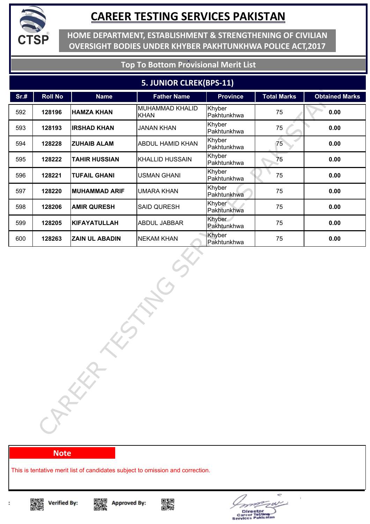

**HOME DEPARTMENT, ESTABLISHMENT & STRENGTHENING OF CIVILIAN OVERSIGHT BODIES UNDER KHYBER PAKHTUNKHWA POLICE ACT,2017**

#### **Top To Bottom Provisional Merit List**

#### **5. JUNIOR CLREK(BPS-11)**

| Sr.# | <b>Roll No</b>       | <b>Name</b>           | <b>Father Name</b>             | <b>Province</b>       | <b>Total Marks</b> | <b>Obtained Marks</b> |  |  |
|------|----------------------|-----------------------|--------------------------------|-----------------------|--------------------|-----------------------|--|--|
| 592  | 128196               | <b>HAMZA KHAN</b>     | MUHAMMAD KHALID<br><b>KHAN</b> | Khyber<br>Pakhtunkhwa | 75                 | 0.00                  |  |  |
| 593  | 128193               | <b>IRSHAD KHAN</b>    | <b>JANAN KHAN</b>              | Khyber<br>Pakhtunkhwa | 75                 | 0.00                  |  |  |
| 594  | 128228               | <b>ZUHAIB ALAM</b>    | <b>ABDUL HAMID KHAN</b>        | Khyber<br>Pakhtunkhwa | 75                 | 0.00                  |  |  |
| 595  | 128222               | <b>TAHIR HUSSIAN</b>  | <b>KHALLID HUSSAIN</b>         | Khyber<br>Pakhtunkhwa | 75                 | 0.00                  |  |  |
| 596  | 128221               | <b>TUFAIL GHANI</b>   | <b>USMAN GHANI</b>             | Khyber<br>Pakhtunkhwa | 75                 | 0.00                  |  |  |
| 597  | 128220               | <b>MUHAMMAD ARIF</b>  | <b>UMARA KHAN</b>              | Khyber<br>Pakhtunkhwa | 75                 | 0.00                  |  |  |
| 598  | 128206               | <b>AMIR QURESH</b>    | <b>SAID QURESH</b>             | Khyber<br>Pakhtunkhwa | 75                 | 0.00                  |  |  |
| 599  | 128205               | <b>KIFAYATULLAH</b>   | <b>ABDUL JABBAR</b>            | Khyber<br>Pakhtunkhwa | 75                 | 0.00                  |  |  |
| 600  | 128263               | <b>ZAIN UL ABADIN</b> | <b>NEKAM KHAN</b>              | Khyber                | 75                 | 0.00                  |  |  |
|      | Pakhtunkhwa<br>CARKA |                       |                                |                       |                    |                       |  |  |

#### **Note**

This is tentative merit list of candidates subject to omission and correction.









Director<br>areer Tostl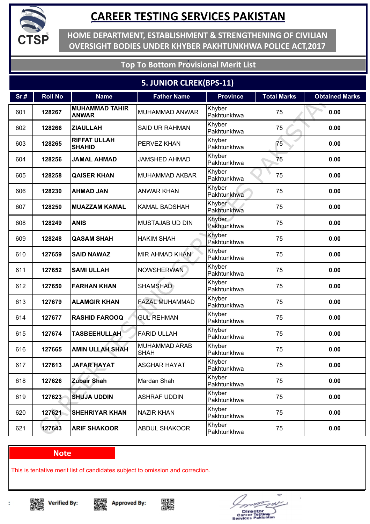

**HOME DEPARTMENT, ESTABLISHMENT & STRENGTHENING OF CIVILIAN OVERSIGHT BODIES UNDER KHYBER PAKHTUNKHWA POLICE ACT,2017**

### **Top To Bottom Provisional Merit List**

### **5. JUNIOR CLREK(BPS-11)**

| Sr.# | <b>Roll No</b> | <b>Name</b>                           | <b>Father Name</b>                  | <b>Province</b>       | <b>Total Marks</b> | <b>Obtained Marks</b> |
|------|----------------|---------------------------------------|-------------------------------------|-----------------------|--------------------|-----------------------|
| 601  | 128267         | <b>MUHAMMAD TAHIR</b><br><b>ANWAR</b> | MUHAMMAD ANWAR                      | Khyber<br>Pakhtunkhwa | 75                 | 0.00                  |
| 602  | 128266         | <b>ZIAULLAH</b>                       | <b>SAID UR RAHMAN</b>               | Khyber<br>Pakhtunkhwa | 75                 | 0.00                  |
| 603  | 128265         | <b>RIFFAT ULLAH</b><br><b>SHAHID</b>  | <b>PERVEZ KHAN</b>                  | Khyber<br>Pakhtunkhwa | 75                 | 0.00                  |
| 604  | 128256         | <b>JAMAL AHMAD</b>                    | <b>JAMSHED AHMAD</b>                | Khyber<br>Pakhtunkhwa | 75                 | 0.00                  |
| 605  | 128258         | <b>QAISER KHAN</b>                    | <b>MUHAMMAD AKBAR</b>               | Khyber<br>Pakhtunkhwa | 75                 | 0.00                  |
| 606  | 128230         | <b>AHMAD JAN</b>                      | <b>ANWAR KHAN</b>                   | Khyber<br>Pakhtunkhwa | 75                 | 0.00                  |
| 607  | 128250         | <b>MUAZZAM KAMAL</b>                  | <b>KAMAL BADSHAH</b>                | Khyber<br>Pakhtunkhwa | 75                 | 0.00                  |
| 608  | 128249         | <b>ANIS</b>                           | <b>MUSTAJAB UD DIN</b>              | Khyber<br>Pakhtunkhwa | 75                 | 0.00                  |
| 609  | 128248         | <b>QASAM SHAH</b>                     | <b>HAKIM SHAH</b>                   | Khyber<br>Pakhtunkhwa | 75                 | 0.00                  |
| 610  | 127659         | <b>SAID NAWAZ</b>                     | <b>MIR AHMAD KHAN</b>               | Khyber<br>Pakhtunkhwa | 75                 | 0.00                  |
| 611  | 127652         | <b>SAMI ULLAH</b>                     | <b>NOWSHERWAN</b>                   | Khyber<br>Pakhtunkhwa | 75                 | 0.00                  |
| 612  | 127650         | <b>FARHAN KHAN</b>                    | <b>SHAMSHAD</b>                     | Khyber<br>Pakhtunkhwa | 75                 | 0.00                  |
| 613  | 127679         | <b>ALAMGIR KHAN</b>                   | <b>FAZAL MUHAMMAD</b>               | Khyber<br>Pakhtunkhwa | 75                 | 0.00                  |
| 614  | 127677         | <b>RASHID FAROOQ</b>                  | <b>GUL REHMAN</b>                   | Khyber<br>Pakhtunkhwa | 75                 | 0.00                  |
| 615  | 127674         | <b>TASBEEHULLAH</b>                   | <b>FARID ULLAH</b>                  | Khyber<br>Pakhtunkhwa | 75                 | 0.00                  |
| 616  | 127665         | <b>AMIN ULLAH SHAH</b>                | <b>MUHAMMAD ARAB</b><br><b>SHAH</b> | Khyber<br>Pakhtunkhwa | 75                 | 0.00                  |
| 617  | 127613         | <b>JAFAR HAYAT</b>                    | <b>ASGHAR HAYAT</b>                 | Khyber<br>Pakhtunkhwa | 75                 | 0.00                  |
| 618  | 127626         | <b>Zubair Shah</b>                    | Mardan Shah                         | Khyber<br>Pakhtunkhwa | 75                 | 0.00                  |
| 619  | 127623         | <b>SHUJA UDDIN</b>                    | <b>ASHRAF UDDIN</b>                 | Khyber<br>Pakhtunkhwa | 75                 | 0.00                  |
| 620  | 127621         | <b>SHEHRIYAR KHAN</b>                 | <b>NAZIR KHAN</b>                   | Khyber<br>Pakhtunkhwa | 75                 | 0.00                  |
| 621  | 127643         | <b>ARIF SHAKOOR</b>                   | <b>ABDUL SHAKOOR</b>                | Khyber<br>Pakhtunkhwa | 75                 | 0.00                  |

#### **Note**

This is tentative merit list of candidates subject to omission and correction.

▓ **Verified By:** 





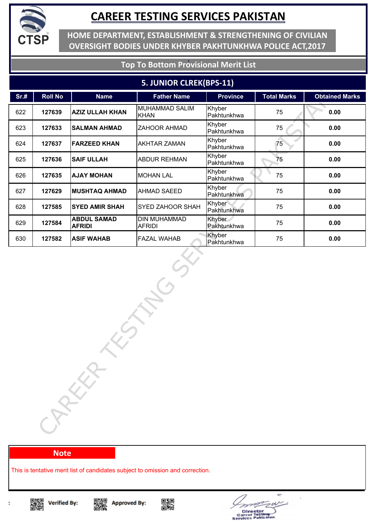

**HOME DEPARTMENT, ESTABLISHMENT & STRENGTHENING OF CIVILIAN OVERSIGHT BODIES UNDER KHYBER PAKHTUNKHWA POLICE ACT,2017**

### **Top To Bottom Provisional Merit List**

#### **5. JUNIOR CLREK(BPS-11)**

| <b>Roll No</b> | <b>Name</b>                         | <b>Father Name</b>                   | <b>Province</b>       | <b>Total Marks</b> | <b>Obtained Marks</b> |
|----------------|-------------------------------------|--------------------------------------|-----------------------|--------------------|-----------------------|
| 127639         | <b>AZIZ ULLAH KHAN</b>              | MUHAMMAD SALIM<br><b>KHAN</b>        | Khyber<br>Pakhtunkhwa | 75                 | 0.00                  |
| 127633         | <b>SALMAN AHMAD</b>                 | ZAHOOR AHMAD                         | Khyber<br>Pakhtunkhwa | 75                 | 0.00                  |
| 127637         | <b>FARZEED KHAN</b>                 | <b>AKHTAR ZAMAN</b>                  | Khyber<br>Pakhtunkhwa | 75                 | 0.00                  |
| 127636         | <b>SAIF ULLAH</b>                   | <b>ABDUR REHMAN</b>                  | Khyber<br>Pakhtunkhwa | 75                 | 0.00                  |
| 127635         | <b>AJAY MOHAN</b>                   | <b>MOHAN LAL</b>                     | Khyber<br>Pakhtunkhwa | 75                 | 0.00                  |
| 127629         | <b>MUSHTAQ AHMAD</b>                | AHMAD SAEED                          | Khyber<br>Pakhtunkhwa | 75                 | 0.00                  |
| 127585         | <b>SYED AMIR SHAH</b>               | SYED ZAHOOR SHAH                     | Khyber<br>Pakhtunkhwa | 75                 | 0.00                  |
| 127584         | <b>ABDUL SAMAD</b><br><b>AFRIDI</b> | <b>DIN MUHAMMAD</b><br><b>AFRIDI</b> | Khyber<br>Pakhtunkhwa | 75                 | 0.00                  |
| 127582         | <b>ASIF WAHAB</b>                   | <b>FAZAL WAHAB</b>                   | Khyber                | 75                 | 0.00                  |
|                | $\mathcal{T}_i$                     |                                      |                       |                    |                       |
|                |                                     | CARKA                                |                       | Pakhtunkhwa        |                       |

#### **Note**

This is tentative merit list of candidates subject to omission and correction.



t

Singer<br>Dengan







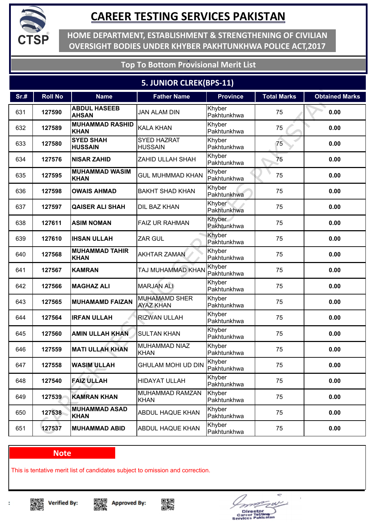

**HOME DEPARTMENT, ESTABLISHMENT & STRENGTHENING OF CIVILIAN OVERSIGHT BODIES UNDER KHYBER PAKHTUNKHWA POLICE ACT,2017**

### **Top To Bottom Provisional Merit List**

### **5. JUNIOR CLREK(BPS-11)**

| Sr.# | <b>Roll No</b> | <b>Name</b>                           | <b>Father Name</b>                       | <b>Province</b>       | <b>Total Marks</b> | <b>Obtained Marks</b> |
|------|----------------|---------------------------------------|------------------------------------------|-----------------------|--------------------|-----------------------|
| 631  | 127590         | <b>ABDUL HASEEB</b><br><b>AHSAN</b>   | <b>JAN ALAM DIN</b>                      | Khyber<br>Pakhtunkhwa | 75                 | 0.00                  |
| 632  | 127589         | <b>MUHAMMAD RASHID</b><br><b>KHAN</b> | <b>KALA KHAN</b>                         | Khyber<br>Pakhtunkhwa | 75                 | 0.00                  |
| 633  | 127580         | <b>SYED SHAH</b><br><b>HUSSAIN</b>    | <b>SYED HAZRAT</b><br><b>HUSSAIN</b>     | Khyber<br>Pakhtunkhwa | 75                 | 0.00                  |
| 634  | 127576         | <b>NISAR ZAHID</b>                    | ZAHID ULLAH SHAH                         | Khyber<br>Pakhtunkhwa | 75                 | 0.00                  |
| 635  | 127595         | <b>MUHAMMAD WASIM</b><br><b>KHAN</b>  | <b>GUL MUHMMAD KHAN</b>                  | Khyber<br>Pakhtunkhwa | 75                 | 0.00                  |
| 636  | 127598         | <b>OWAIS AHMAD</b>                    | <b>BAKHT SHAD KHAN</b>                   | Khyber<br>Pakhtunkhwa | 75                 | 0.00                  |
| 637  | 127597         | <b>QAISER ALI SHAH</b>                | DIL BAZ KHAN                             | Khyber<br>Pakhtunkhwa | 75                 | 0.00                  |
| 638  | 127611         | <b>ASIM NOMAN</b>                     | <b>FAIZ UR RAHMAN</b>                    | Khyber<br>Pakhtunkhwa | 75                 | 0.00                  |
| 639  | 127610         | <b>IHSAN ULLAH</b>                    | <b>ZAR GUL</b>                           | Khyber<br>Pakhtunkhwa | 75                 | 0.00                  |
| 640  | 127568         | <b>MUHAMMAD TAHIR</b><br><b>KHAN</b>  | <b>AKHTAR ZAMAN</b>                      | Khyber<br>Pakhtunkhwa | 75                 | 0.00                  |
| 641  | 127567         | <b>KAMRAN</b>                         | TAJ MUHAMMAD KHAN                        | Khyber<br>Pakhtunkhwa | 75                 | 0.00                  |
| 642  | 127566         | <b>MAGHAZ ALI</b>                     | <b>MARJAN ALI</b>                        | Khyber<br>Pakhtunkhwa | 75                 | 0.00                  |
| 643  | 127565         | <b>MUHAMAMD FAIZAN</b>                | <b>MUHAMAMD SHER</b><br><b>AYAZ KHAN</b> | Khyber<br>Pakhtunkhwa | 75                 | 0.00                  |
| 644  | 127564         | <b>IRFAN ULLAH</b>                    | <b>RIZWAN ULLAH</b>                      | Khyber<br>Pakhtunkhwa | 75                 | 0.00                  |
| 645  | 127560         | <b>AMIN ULLAH KHAN</b>                | <b>SULTAN KHAN</b>                       | Khyber<br>Pakhtunkhwa | 75                 | 0.00                  |
| 646  | 127559         | <b>MATI ULLAH KHAN</b>                | MUHAMMAD NIAZ<br><b>KHAN</b>             | Khyber<br>Pakhtunkhwa | 75                 | 0.00                  |
| 647  | 127558         | <b>WASIM ULLAH</b>                    | <b>GHULAM MOHI UD DIN</b>                | Khyber<br>Pakhtunkhwa | 75                 | 0.00                  |
| 648  | 127540         | <b>FAIZ ULLAH</b>                     | <b>HIDAYAT ULLAH</b>                     | Khyber<br>Pakhtunkhwa | 75                 | 0.00                  |
| 649  | 127539         | <b>KAMRAN KHAN</b>                    | MUHAMMAD RAMZAN<br><b>KHAN</b>           | Khyber<br>Pakhtunkhwa | 75                 | 0.00                  |
| 650  | 127538         | <b>MUHAMMAD ASAD</b><br><b>KHAN</b>   | ABDUL HAQUE KHAN                         | Khyber<br>Pakhtunkhwa | 75                 | 0.00                  |
| 651  | 127537         | <b>MUHAMMAD ABID</b>                  | <b>ABDUL HAQUE KHAN</b>                  | Khyber<br>Pakhtunkhwa | 75                 | 0.00                  |

#### **Note**

This is tentative merit list of candidates subject to omission and correction.

▓ **Verified By:** 







÷ Director<br>areer Tosting<br>vices Pakisat c.  $\blacksquare$ 

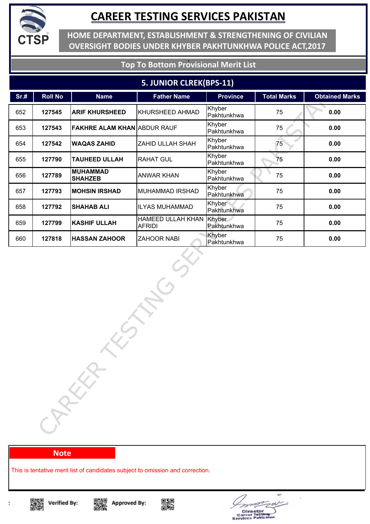

**HOME DEPARTMENT, ESTABLISHMENT & STRENGTHENING OF CIVILIAN OVERSIGHT BODIES UNDER KHYBER PAKHTUNKHWA POLICE ACT,2017**

### **Top To Bottom Provisional Merit List**

#### **5. JUNIOR CLREK(BPS-11)**

| <b>Roll No</b> | <b>Name</b>          | <b>Father Name</b>                                                                                                                                                                    | <b>Province</b>                    | <b>Total Marks</b> | <b>Obtained Marks</b> |  |  |
|----------------|----------------------|---------------------------------------------------------------------------------------------------------------------------------------------------------------------------------------|------------------------------------|--------------------|-----------------------|--|--|
| 127545         |                      | KHURSHEED AHMAD                                                                                                                                                                       | Khyber<br>Pakhtunkhwa              | 75                 | 0.00                  |  |  |
| 127543         |                      |                                                                                                                                                                                       | Khyber<br>Pakhtunkhwa              | 75                 | 0.00                  |  |  |
| 127542         |                      | ZAHID ULLAH SHAH                                                                                                                                                                      | Khyber<br>Pakhtunkhwa              | 75                 | 0.00                  |  |  |
| 127790         | <b>TAUHEED ULLAH</b> | RAHAT GUL                                                                                                                                                                             | Khyber<br>Pakhtunkhwa              | 75                 | 0.00                  |  |  |
| 127789         |                      | ANWAR KHAN                                                                                                                                                                            | Khyber<br>Pakhtunkhwa              | 75                 | 0.00                  |  |  |
| 127793         |                      | MUHAMMAD IRSHAD                                                                                                                                                                       | Khyber<br>Pakhtunkhwa              | 75                 | 0.00                  |  |  |
| 127792         |                      | <b>ILYAS MUHAMMAD</b>                                                                                                                                                                 | Khyber<br>Pakhtunkhwa              | 75                 | 0.00                  |  |  |
| 127799         |                      | HAMEED ULLAH KHAN<br><b>AFRIDI</b>                                                                                                                                                    | Khyber<br>Pakhtunkhwa              | 75                 | 0.00                  |  |  |
| 127818         |                      | <b>ZAHOOR NABI</b>                                                                                                                                                                    | Khyber                             | 75                 | 0.00                  |  |  |
|                |                      |                                                                                                                                                                                       |                                    |                    |                       |  |  |
|                |                      | <b>ARIF KHURSHEED</b><br><b>WAQAS ZAHID</b><br><b>MUHAMMAD</b><br><b>SHAHZEB</b><br><b>MOHSIN IRSHAD</b><br><b>SHAHAB ALI</b><br><b>KASHIF ULLAH</b><br><b>HASSAN ZAHOOR</b><br>CARKA | <b>FAKHRE ALAM KHAN ABDUR RAUF</b> | Pakhtunkhwa        |                       |  |  |

#### **Note**

This is tentative merit list of candidates subject to omission and correction.







![](_page_43_Picture_12.jpeg)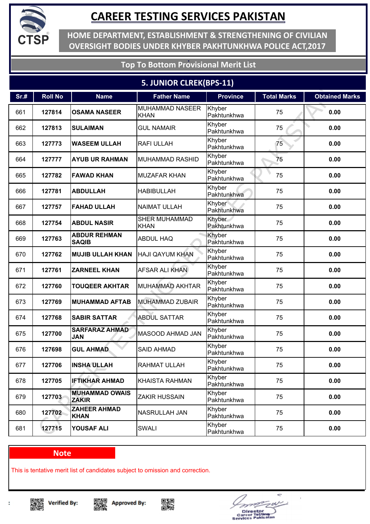![](_page_44_Picture_0.jpeg)

**HOME DEPARTMENT, ESTABLISHMENT & STRENGTHENING OF CIVILIAN OVERSIGHT BODIES UNDER KHYBER PAKHTUNKHWA POLICE ACT,2017**

**Top To Bottom Provisional Merit List**

### **5. JUNIOR CLREK(BPS-11)**

| Sr.# | <b>Roll No</b> | <b>Name</b>                           | <b>Father Name</b>                    | <b>Province</b>       | <b>Total Marks</b> | <b>Obtained Marks</b> |
|------|----------------|---------------------------------------|---------------------------------------|-----------------------|--------------------|-----------------------|
| 661  | 127814         | <b>OSAMA NASEER</b>                   | <b>MUHAMMAD NASEER</b><br><b>KHAN</b> | Khyber<br>Pakhtunkhwa | 75                 | 0.00                  |
| 662  | 127813         | <b>SULAIMAN</b>                       | <b>GUL NAMAIR</b>                     | Khyber<br>Pakhtunkhwa | 75                 | 0.00                  |
| 663  | 127773         | <b>WASEEM ULLAH</b>                   | <b>RAFI ULLAH</b>                     | Khyber<br>Pakhtunkhwa | 75                 | 0.00                  |
| 664  | 127777         | <b>AYUB UR RAHMAN</b>                 | <b>MUHAMMAD RASHID</b>                | Khyber<br>Pakhtunkhwa | 75                 | 0.00                  |
| 665  | 127782         | <b>FAWAD KHAN</b>                     | <b>MUZAFAR KHAN</b>                   | Khyber<br>Pakhtunkhwa | 75                 | 0.00                  |
| 666  | 127781         | <b>ABDULLAH</b>                       | <b>HABIBULLAH</b>                     | Khyber<br>Pakhtunkhwa | 75                 | 0.00                  |
| 667  | 127757         | <b>FAHAD ULLAH</b>                    | <b>NAIMAT ULLAH</b>                   | Khyber<br>Pakhtunkhwa | 75                 | 0.00                  |
| 668  | 127754         | <b>ABDUL NASIR</b>                    | <b>SHER MUHAMMAD</b><br><b>KHAN</b>   | Khyber<br>Pakhtunkhwa | 75                 | 0.00                  |
| 669  | 127763         | <b>ABDUR REHMAN</b><br><b>SAQIB</b>   | <b>ABDUL HAQ</b>                      | Khyber<br>Pakhtunkhwa | 75                 | 0.00                  |
| 670  | 127762         | <b>MUJIB ULLAH KHAN</b>               | <b>HAJI QAYUM KHAN</b>                | Khyber<br>Pakhtunkhwa | 75                 | 0.00                  |
| 671  | 127761         | <b>ZARNEEL KHAN</b>                   | <b>AFSAR ALI KHAN</b>                 | Khyber<br>Pakhtunkhwa | 75                 | 0.00                  |
| 672  | 127760         | <b>TOUQEER AKHTAR</b>                 | MUHAMMAD AKHTAR                       | Khyber<br>Pakhtunkhwa | 75                 | 0.00                  |
| 673  | 127769         | <b>MUHAMMAD AFTAB</b>                 | <b>MUHAMMAD ZUBAIR</b>                | Khyber<br>Pakhtunkhwa | 75                 | 0.00                  |
| 674  | 127768         | <b>SABIR SATTAR</b>                   | <b>ABDUL SATTAR</b>                   | Khyber<br>Pakhtunkhwa | 75                 | 0.00                  |
| 675  | 127700         | <b>SARFARAZ AHMAD</b><br><b>JAN</b>   | MASOOD AHMAD JAN                      | Khyber<br>Pakhtunkhwa | 75                 | 0.00                  |
| 676  | 127698         | <b>GUL AHMAD</b>                      | <b>SAID AHMAD</b>                     | Khyber<br>Pakhtunkhwa | 75                 | 0.00                  |
| 677  | 127706         | <b>INSHA ULLAH</b>                    | <b>RAHMAT ULLAH</b>                   | Khyber<br>Pakhtunkhwa | 75                 | 0.00                  |
| 678  | 127705         | <b>IFTIKHAR AHMAD</b>                 | <b>KHAISTA RAHMAN</b>                 | Khyber<br>Pakhtunkhwa | 75                 | 0.00                  |
| 679  | 127703         | <b>MUHAMMAD OWAIS</b><br><b>ZAKIR</b> | <b>ZAKIR HUSSAIN</b>                  | Khyber<br>Pakhtunkhwa | 75                 | 0.00                  |
| 680  | 127702         | <b>ZAHEER AHMAD</b><br><b>KHAN</b>    | NASRULLAH JAN                         | Khyber<br>Pakhtunkhwa | 75                 | 0.00                  |
| 681  | 127715         | YOUSAF ALI                            | <b>SWALI</b>                          | Khyber<br>Pakhtunkhwa | 75                 | 0.00                  |

#### **Note**

This is tentative merit list of candidates subject to omission and correction.

▓ **Verified By:** 

t

![](_page_44_Picture_9.jpeg)

![](_page_44_Picture_10.jpeg)

÷

Director<br>areer Tosting<br>vices Pakisat

e.  $\blacksquare$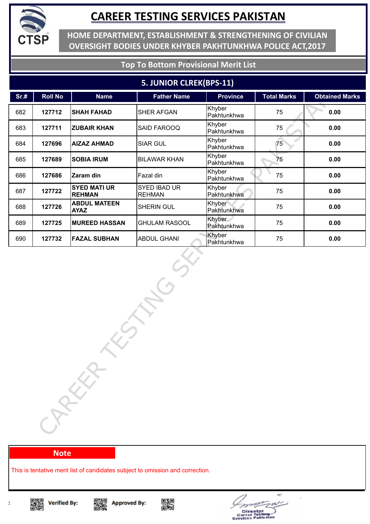![](_page_45_Picture_0.jpeg)

**HOME DEPARTMENT, ESTABLISHMENT & STRENGTHENING OF CIVILIAN OVERSIGHT BODIES UNDER KHYBER PAKHTUNKHWA POLICE ACT,2017**

### **Top To Bottom Provisional Merit List**

#### **5. JUNIOR CLREK(BPS-11)**

| Sr.# | <b>Roll No</b> | <b>Name</b>                          | <b>Father Name</b>            | <b>Province</b>       | <b>Total Marks</b> | <b>Obtained Marks</b> |
|------|----------------|--------------------------------------|-------------------------------|-----------------------|--------------------|-----------------------|
| 682  | 127712         | <b>SHAH FAHAD</b>                    | <b>SHER AFGAN</b>             | Khyber<br>Pakhtunkhwa | 75                 | 0.00                  |
| 683  | 127711         | <b>ZUBAIR KHAN</b>                   | <b>SAID FAROOQ</b>            | Khyber<br>Pakhtunkhwa | 75                 | 0.00                  |
| 684  | 127696         | <b>AIZAZ AHMAD</b>                   | <b>SIAR GUL</b>               | Khyber<br>Pakhtunkhwa | 75                 | 0.00                  |
| 685  | 127689         | <b>SOBIA IRUM</b>                    | <b>BILAWAR KHAN</b>           | Khyber<br>Pakhtunkhwa | 75                 | 0.00                  |
| 686  | 127686         | Zaram din                            | Fazal din                     | Khyber<br>Pakhtunkhwa | 75                 | 0.00                  |
| 687  | 127722         | <b>SYED MATI UR</b><br><b>REHMAN</b> | SYED IBAD UR<br><b>REHMAN</b> | Khyber<br>Pakhtunkhwa | 75                 | 0.00                  |
| 688  | 127726         | <b>ABDUL MATEEN</b><br><b>AYAZ</b>   | SHERIN GUL                    | Khyber<br>Pakhtunkhwa | 75                 | 0.00                  |
| 689  | 127725         | <b>MUREED HASSAN</b>                 | <b>GHULAM RASOOL</b>          | Khyber<br>Pakhtunkhwa | 75                 | 0.00                  |
| 690  | 127732         | <b>FAZAL SUBHAN</b>                  | <b>ABDUL GHANI</b>            | Khyber<br>Pakhtunkhwa | 75                 | 0.00                  |
|      |                | CARKA                                |                               |                       |                    |                       |

#### **Note**

This is tentative merit list of candidates subject to omission and correction.

![](_page_45_Picture_8.jpeg)

![](_page_45_Picture_10.jpeg)

![](_page_45_Picture_11.jpeg)

![](_page_45_Picture_12.jpeg)

![](_page_45_Picture_14.jpeg)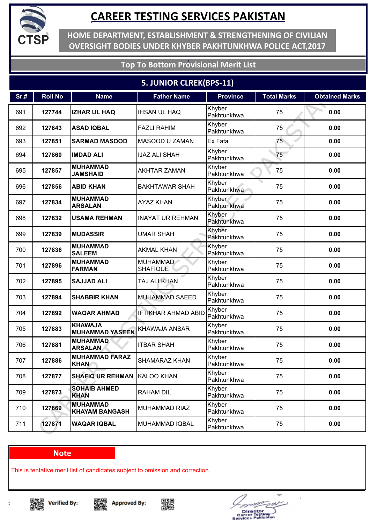![](_page_46_Picture_0.jpeg)

**HOME DEPARTMENT, ESTABLISHMENT & STRENGTHENING OF CIVILIAN OVERSIGHT BODIES UNDER KHYBER PAKHTUNKHWA POLICE ACT,2017**

### **Top To Bottom Provisional Merit List**

### **5. JUNIOR CLREK(BPS-11)**

| Sr.# | <b>Roll No</b> | <b>Name</b>                              | <b>Father Name</b>                 | <b>Province</b>       | <b>Total Marks</b> | <b>Obtained Marks</b> |
|------|----------------|------------------------------------------|------------------------------------|-----------------------|--------------------|-----------------------|
| 691  | 127744         | <b>IZHAR UL HAQ</b>                      | <b>IHSAN UL HAQ</b>                | Khyber<br>Pakhtunkhwa | 75                 | 0.00                  |
| 692  | 127843         | <b>ASAD IQBAL</b>                        | <b>FAZLI RAHIM</b>                 | Khyber<br>Pakhtunkhwa | 75                 | 0.00                  |
| 693  | 127851         | <b>SARMAD MASOOD</b>                     | MASOOD U ZAMAN                     | Ex Fata               | 75 <sub>2</sub>    | 0.00                  |
| 694  | 127860         | <b>IMDAD ALI</b>                         | <b>IJAZ ALI SHAH</b>               | Khyber<br>Pakhtunkhwa | 75                 | 0.00                  |
| 695  | 127857         | <b>MUHAMMAD</b><br><b>JAMSHAID</b>       | <b>AKHTAR ZAMAN</b>                | Khyber<br>Pakhtunkhwa | 75                 | 0.00                  |
| 696  | 127856         | <b>ABID KHAN</b>                         | <b>BAKHTAWAR SHAH</b>              | Khyber<br>Pakhtunkhwa | 75                 | 0.00                  |
| 697  | 127834         | <b>MUHAMMAD</b><br><b>ARSALAN</b>        | <b>AYAZ KHAN</b>                   | Khyber<br>Pakhtunkhwa | 75                 | 0.00                  |
| 698  | 127832         | <b>USAMA REHMAN</b>                      | <b>INAYAT UR REHMAN</b>            | Khyber<br>Pakhtunkhwa | 75                 | 0.00                  |
| 699  | 127839         | <b>MUDASSIR</b>                          | <b>UMAR SHAH</b>                   | Khyber<br>Pakhtunkhwa | 75                 | 0.00                  |
| 700  | 127836         | <b>MUHAMMAD</b><br><b>SALEEM</b>         | <b>AKMAL KHAN</b>                  | Khyber<br>Pakhtunkhwa | 75                 | 0.00                  |
| 701  | 127896         | <b>MUHAMMAD</b><br><b>FARMAN</b>         | <b>MUHAMMAD</b><br><b>SHAFIQUE</b> | Khyber<br>Pakhtunkhwa | 75                 | 0.00                  |
| 702  | 127895         | <b>SAJJAD ALI</b>                        | TAJ ALI KHAN                       | Khyber<br>Pakhtunkhwa | 75                 | 0.00                  |
| 703  | 127894         | <b>SHABBIR KHAN</b>                      | <b>MUHAMMAD SAEED</b>              | Khyber<br>Pakhtunkhwa | 75                 | 0.00                  |
| 704  | 127892         | <b>WAQAR AHMAD</b>                       | <b>IFTIKHAR AHMAD ABID</b>         | Khyber<br>Pakhtunkhwa | 75                 | 0.00                  |
| 705  | 127883         | <b>KHAWAJA</b><br><b>MUHAMMAD YASEEN</b> | KHAWAJA ANSAR                      | Khyber<br>Pakhtunkhwa | 75                 | 0.00                  |
| 706  | 127881         | <b>MUHAMMAD</b><br><b>ARSALAN</b>        | <b>ITBAR SHAH</b>                  | Khyber<br>Pakhtunkhwa | 75                 | 0.00                  |
| 707  | 127886         | <b>MUHAMMAD FARAZ</b><br><b>KHAN</b>     | <b>SHAMARAZ KHAN</b>               | Khyber<br>Pakhtunkhwa | 75                 | 0.00                  |
| 708  | 127877         | <b>SHAFIQ UR REHMAN</b>                  | KALOO KHAN                         | Khyber<br>Pakhtunkhwa | 75                 | 0.00                  |
| 709  | 127873         | <b>SOHAIB AHMED</b><br><b>KHAN</b>       | <b>RAHAM DIL</b>                   | Khyber<br>Pakhtunkhwa | 75                 | 0.00                  |
| 710  | 127869         | <b>MUHAMMAD</b><br><b>KHAYAM BANGASH</b> | <b>MUHAMMAD RIAZ</b>               | Khyber<br>Pakhtunkhwa | 75                 | 0.00                  |
| 711  | 127871         | <b>WAQAR IQBAL</b>                       | <b>MUHAMMAD IQBAL</b>              | Khyber<br>Pakhtunkhwa | 75                 | 0.00                  |

#### **Note**

This is tentative merit list of candidates subject to omission and correction.

![](_page_46_Picture_8.jpeg)

![](_page_46_Picture_10.jpeg)

![](_page_46_Picture_11.jpeg)

![](_page_46_Picture_13.jpeg)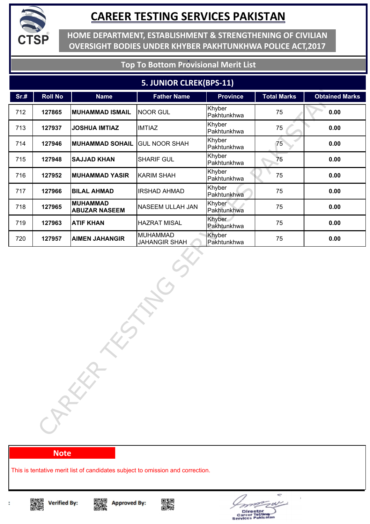![](_page_47_Picture_0.jpeg)

**HOME DEPARTMENT, ESTABLISHMENT & STRENGTHENING OF CIVILIAN OVERSIGHT BODIES UNDER KHYBER PAKHTUNKHWA POLICE ACT,2017**

### **Top To Bottom Provisional Merit List**

#### **5. JUNIOR CLREK(BPS-11)**

| Sr.#   | <b>Roll No</b> | <b>Name</b>                             | <b>Father Name</b>                      | <b>Province</b>       | <b>Total Marks</b> | <b>Obtained Marks</b> |  |
|--------|----------------|-----------------------------------------|-----------------------------------------|-----------------------|--------------------|-----------------------|--|
| 712    | 127865         | <b>MUHAMMAD ISMAIL</b>                  | <b>NOOR GUL</b>                         | Khyber<br>Pakhtunkhwa | 75                 | 0.00                  |  |
| 713    | 127937         | <b>JOSHUA IMTIAZ</b>                    | <b>IMTIAZ</b>                           | Khyber<br>Pakhtunkhwa | 75                 | 0.00                  |  |
| 714    | 127946         | <b>MUHAMMAD SOHAIL</b>                  | <b>GUL NOOR SHAH</b>                    | Khyber<br>Pakhtunkhwa | 75                 | 0.00                  |  |
| 715    | 127948         | <b>SAJJAD KHAN</b>                      | SHARIF GUL                              | Khyber<br>Pakhtunkhwa | 75                 | 0.00                  |  |
| 716    | 127952         | <b>MUHAMMAD YASIR</b>                   | <b>KARIM SHAH</b>                       | Khyber<br>Pakhtunkhwa | 75                 | 0.00                  |  |
| 717    | 127966         | <b>BILAL AHMAD</b>                      | <b>IRSHAD AHMAD</b>                     | Khyber<br>Pakhtunkhwa | 75                 | 0.00                  |  |
| 718    | 127965         | <b>MUHAMMAD</b><br><b>ABUZAR NASEEM</b> | NASEEM ULLAH JAN                        | Khyber<br>Pakhtunkhwa | 75                 | 0.00                  |  |
| 719    | 127963         | <b>ATIF KHAN</b>                        | <b>HAZRAT MISAL</b>                     | Khyber<br>Pakhtunkhwa | 75                 | 0.00                  |  |
| 720    | 127957         | <b>AIMEN JAHANGIR</b>                   | <b>MUHAMMAD</b><br><b>JAHANGIR SHAH</b> | Khyber<br>Pakhtunkhwa | 75                 | 0.00                  |  |
| CAREER |                |                                         |                                         |                       |                    |                       |  |

#### **Note**

This is tentative merit list of candidates subject to omission and correction.

![](_page_47_Picture_8.jpeg)

![](_page_47_Picture_10.jpeg)

![](_page_47_Picture_11.jpeg)

![](_page_47_Picture_12.jpeg)

![](_page_47_Picture_14.jpeg)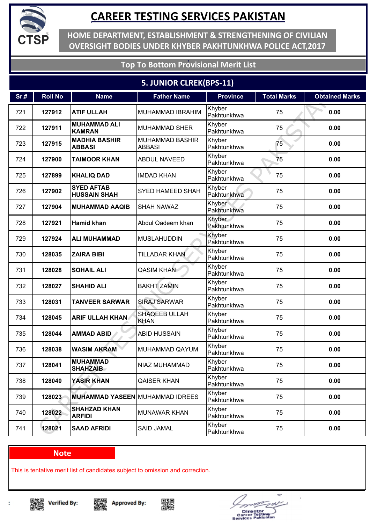![](_page_48_Picture_0.jpeg)

**HOME DEPARTMENT, ESTABLISHMENT & STRENGTHENING OF CIVILIAN OVERSIGHT BODIES UNDER KHYBER PAKHTUNKHWA POLICE ACT,2017**

### **Top To Bottom Provisional Merit List**

### **5. JUNIOR CLREK(BPS-11)**

| Sr.# | <b>Roll No</b> | <b>Name</b>                              | <b>Father Name</b>                      | <b>Province</b>       | <b>Total Marks</b> | <b>Obtained Marks</b> |
|------|----------------|------------------------------------------|-----------------------------------------|-----------------------|--------------------|-----------------------|
| 721  | 127912         | <b>ATIF ULLAH</b>                        | <b>MUHAMMAD IBRAHIM</b>                 | Khyber<br>Pakhtunkhwa | 75                 | 0.00                  |
| 722  | 127911         | <b>MUHAMMAD ALI</b><br><b>KAMRAN</b>     | <b>MUHAMMAD SHER</b>                    | Khyber<br>Pakhtunkhwa | 75                 | 0.00                  |
| 723  | 127915         | <b>MADHIA BASHIR</b><br><b>ABBASI</b>    | <b>MUHAMMAD BASHIR</b><br><b>ABBASI</b> | Khyber<br>Pakhtunkhwa | 75                 | 0.00                  |
| 724  | 127900         | <b>TAIMOOR KHAN</b>                      | <b>ABDUL NAVEED</b>                     | Khyber<br>Pakhtunkhwa | 75                 | 0.00                  |
| 725  | 127899         | <b>KHALIQ DAD</b>                        | <b>IMDAD KHAN</b>                       | Khyber<br>Pakhtunkhwa | 75                 | 0.00                  |
| 726  | 127902         | <b>SYED AFTAB</b><br><b>HUSSAIN SHAH</b> | SYED HAMEED SHAH                        | Khyber<br>Pakhtunkhwa | 75                 | 0.00                  |
| 727  | 127904         | <b>MUHAMMAD AAQIB</b>                    | <b>SHAH NAWAZ</b>                       | Khyber<br>Pakhtunkhwa | 75                 | 0.00                  |
| 728  | 127921         | Hamid khan                               | Abdul Qadeem khan                       | Khyber<br>Pakhtunkhwa | 75                 | 0.00                  |
| 729  | 127924         | <b>ALI MUHAMMAD</b>                      | <b>MUSLAHUDDIN</b>                      | Khyber<br>Pakhtunkhwa | 75                 | 0.00                  |
| 730  | 128035         | <b>ZAIRA BIBI</b>                        | <b>TILLADAR KHAN</b>                    | Khyber<br>Pakhtunkhwa | 75                 | 0.00                  |
| 731  | 128028         | <b>SOHAIL ALI</b>                        | <b>QASIM KHAN</b>                       | Khyber<br>Pakhtunkhwa | 75                 | 0.00                  |
| 732  | 128027         | <b>SHAHID ALI</b>                        | <b>BAKHT ZAMIN</b>                      | Khyber<br>Pakhtunkhwa | 75                 | 0.00                  |
| 733  | 128031         | <b>TANVEER SARWAR</b>                    | <b>SIRAJ SARWAR</b>                     | Khyber<br>Pakhtunkhwa | 75                 | 0.00                  |
| 734  | 128045         | <b>ARIF ULLAH KHAN</b>                   | <b>SHAQEEB ULLAH</b><br><b>KHAN</b>     | Khyber<br>Pakhtunkhwa | 75                 | 0.00                  |
| 735  | 128044         | <b>AMMAD ABID</b>                        | <b>ABID HUSSAIN</b>                     | Khyber<br>Pakhtunkhwa | 75                 | 0.00                  |
| 736  | 128038         | <b>WASIM AKRAM</b>                       | MUHAMMAD QAYUM                          | Khyber<br>Pakhtunkhwa | 75                 | 0.00                  |
| 737  | 128041         | <b>MUHAMMAD</b><br><b>SHAHZAIB</b>       | <b>NIAZ MUHAMMAD</b>                    | Khyber<br>Pakhtunkhwa | 75                 | 0.00                  |
| 738  | 128040         | <b>YASIR KHAN</b>                        | <b>QAISER KHAN</b>                      | Khyber<br>Pakhtunkhwa | 75                 | 0.00                  |
| 739  | 128023         | <b>MUHAMMAD YASEEN MUHAMMAD IDREES</b>   |                                         | Khyber<br>Pakhtunkhwa | 75                 | 0.00                  |
| 740  | 128022         | <b>SHAHZAD KHAN</b><br><b>ARFIDI</b>     | <b>MUNAWAR KHAN</b>                     | Khyber<br>Pakhtunkhwa | 75                 | 0.00                  |
| 741  | 128021         | <b>SAAD AFRIDI</b>                       | <b>SAID JAMAL</b>                       | Khyber<br>Pakhtunkhwa | 75                 | 0.00                  |

#### **Note**

This is tentative merit list of candidates subject to omission and correction.

![](_page_48_Picture_8.jpeg)

![](_page_48_Picture_10.jpeg)

![](_page_48_Picture_11.jpeg)

![](_page_48_Picture_12.jpeg)

![](_page_48_Picture_14.jpeg)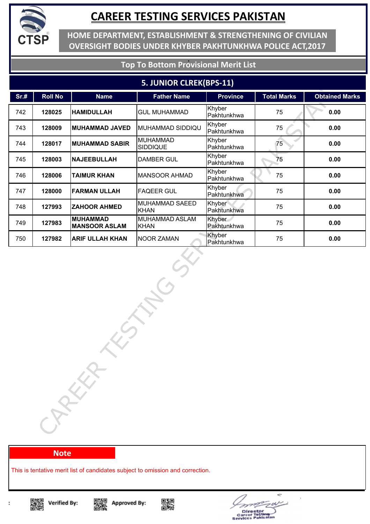![](_page_49_Picture_0.jpeg)

**HOME DEPARTMENT, ESTABLISHMENT & STRENGTHENING OF CIVILIAN OVERSIGHT BODIES UNDER KHYBER PAKHTUNKHWA POLICE ACT,2017**

### **Top To Bottom Provisional Merit List**

#### **5. JUNIOR CLREK(BPS-11)**

| <b>Roll No</b> | <b>Name</b>                             | <b>Father Name</b>                 | <b>Province</b>       | <b>Total Marks</b> | <b>Obtained Marks</b> |
|----------------|-----------------------------------------|------------------------------------|-----------------------|--------------------|-----------------------|
| 128025         | <b>HAMIDULLAH</b>                       | <b>GUL MUHAMMAD</b>                | Khyber<br>Pakhtunkhwa | 75                 | 0.00                  |
| 128009         | <b>MUHAMMAD JAVED</b>                   | MUHAMMAD SIDDIQU                   | Khyber<br>Pakhtunkhwa | 75                 | 0.00                  |
| 128017         | <b>MUHAMMAD SABIR</b>                   | <b>MUHAMMAD</b><br><b>SIDDIQUE</b> | Khyber<br>Pakhtunkhwa | 75                 | 0.00                  |
| 128003         | <b>NAJEEBULLAH</b>                      | <b>DAMBER GUL</b>                  | Khyber<br>Pakhtunkhwa | 75                 | 0.00                  |
| 128006         | <b>TAIMUR KHAN</b>                      | <b>MANSOOR AHMAD</b>               | Khyber<br>Pakhtunkhwa | 75                 | 0.00                  |
| 128000         | <b>FARMAN ULLAH</b>                     | <b>FAQEER GUL</b>                  | Khyber<br>Pakhtunkhwa | 75                 | 0.00                  |
| 127993         | <b>ZAHOOR AHMED</b>                     | MUHAMMAD SAEED<br><b>KHAN</b>      | Khyber<br>Pakhtunkhwa | 75                 | 0.00                  |
| 127983         | <b>MUHAMMAD</b><br><b>MANSOOR ASLAM</b> | MUHAMMAD ASLAM<br><b>KHAN</b>      | Khyber<br>Pakhtunkhwa | 75                 | 0.00                  |
| 127982         | <b>ARIF ULLAH KHAN</b>                  | <b>NOOR ZAMAN</b>                  | Khyber                | 75                 | 0.00                  |
|                |                                         |                                    |                       |                    |                       |
|                |                                         | CARKA                              |                       | Pakhtunkhwa        |                       |

#### **Note**

This is tentative merit list of candidates subject to omission and correction.

![](_page_49_Picture_8.jpeg)

![](_page_49_Picture_10.jpeg)

![](_page_49_Picture_11.jpeg)

![](_page_49_Picture_12.jpeg)

Director<br>areer Tostl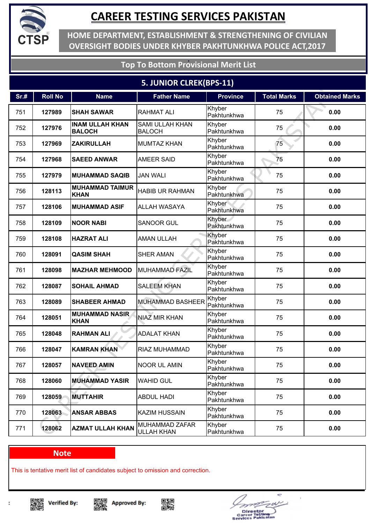![](_page_50_Picture_0.jpeg)

**HOME DEPARTMENT, ESTABLISHMENT & STRENGTHENING OF CIVILIAN OVERSIGHT BODIES UNDER KHYBER PAKHTUNKHWA POLICE ACT,2017**

### **Top To Bottom Provisional Merit List**

### **5. JUNIOR CLREK(BPS-11)**

| Sr.# | <b>Roll No</b> | <b>Name</b>                             | <b>Father Name</b>                      | <b>Province</b>       | <b>Total Marks</b> | <b>Obtained Marks</b> |
|------|----------------|-----------------------------------------|-----------------------------------------|-----------------------|--------------------|-----------------------|
| 751  | 127989         | <b>SHAH SAWAR</b>                       | <b>RAHMAT ALI</b>                       | Khyber<br>Pakhtunkhwa | 75                 | 0.00                  |
| 752  | 127976         | <b>INAM ULLAH KHAN</b><br><b>BALOCH</b> | <b>SAMI ULLAH KHAN</b><br><b>BALOCH</b> | Khyber<br>Pakhtunkhwa | 75                 | 0.00                  |
| 753  | 127969         | <b>ZAKIRULLAH</b>                       | <b>MUMTAZ KHAN</b>                      | Khyber<br>Pakhtunkhwa | 75                 | 0.00                  |
| 754  | 127968         | <b>SAEED ANWAR</b>                      | <b>AMEER SAID</b>                       | Khyber<br>Pakhtunkhwa | 75                 | 0.00                  |
| 755  | 127979         | <b>MUHAMMAD SAQIB</b>                   | <b>JAN WALI</b>                         | Khyber<br>Pakhtunkhwa | 75                 | 0.00                  |
| 756  | 128113         | <b>MUHAMMAD TAIMUR</b><br><b>KHAN</b>   | <b>HABIB UR RAHMAN</b>                  | Khyber<br>Pakhtunkhwa | 75                 | 0.00                  |
| 757  | 128106         | <b>MUHAMMAD ASIF</b>                    | ALLAH WASAYA                            | Khyber<br>Pakhtunkhwa | 75                 | 0.00                  |
| 758  | 128109         | <b>NOOR NABI</b>                        | <b>SANOOR GUL</b>                       | Khyber<br>Pakhtunkhwa | 75                 | 0.00                  |
| 759  | 128108         | <b>HAZRAT ALI</b>                       | <b>AMAN ULLAH</b>                       | Khyber<br>Pakhtunkhwa | 75                 | 0.00                  |
| 760  | 128091         | <b>QASIM SHAH</b>                       | <b>SHER AMAN</b>                        | Khyber<br>Pakhtunkhwa | 75                 | 0.00                  |
| 761  | 128098         | <b>MAZHAR MEHMOOD</b>                   | <b>MUHAMMAD FAZIL</b>                   | Khyber<br>Pakhtunkhwa | 75                 | 0.00                  |
| 762  | 128087         | <b>SOHAIL AHMAD</b>                     | <b>SALEEM KHAN</b>                      | Khyber<br>Pakhtunkhwa | 75                 | 0.00                  |
| 763  | 128089         | <b>SHABEER AHMAD</b>                    | <b>MUHAMMAD BASHEER</b>                 | Khyber<br>Pakhtunkhwa | 75                 | 0.00                  |
| 764  | 128051         | <b>MUHAMMAD NASIR</b><br><b>KHAN</b>    | <b>NIAZ MIR KHAN</b>                    | Khyber<br>Pakhtunkhwa | 75                 | 0.00                  |
| 765  | 128048         | <b>RAHMAN ALI</b>                       | <b>ADALAT KHAN</b>                      | Khyber<br>Pakhtunkhwa | 75                 | 0.00                  |
| 766  | 128047         | <b>KAMRAN KHAN</b>                      | RIAZ MUHAMMAD                           | Khyber<br>Pakhtunkhwa | 75                 | 0.00                  |
| 767  | 128057         | <b>NAVEED AMIN</b>                      | <b>NOOR UL AMIN</b>                     | Khyber<br>Pakhtunkhwa | 75                 | 0.00                  |
| 768  | 128060         | <b>MUHAMMAD YASIR</b>                   | <b>WAHID GUL</b>                        | Khyber<br>Pakhtunkhwa | 75                 | 0.00                  |
| 769  | 128059         | <b>MUTTAHIR</b>                         | <b>ABDUL HADI</b>                       | Khyber<br>Pakhtunkhwa | 75                 | 0.00                  |
| 770  | 128063         | <b>ANSAR ABBAS</b>                      | <b>KAZIM HUSSAIN</b>                    | Khyber<br>Pakhtunkhwa | 75                 | 0.00                  |
| 771  | 128062         | <b>AZMAT ULLAH KHAN</b>                 | MUHAMMAD ZAFAR<br><b>ULLAH KHAN</b>     | Khyber<br>Pakhtunkhwa | 75                 | 0.00                  |

#### **Note**

This is tentative merit list of candidates subject to omission and correction.

![](_page_50_Picture_8.jpeg)

![](_page_50_Picture_10.jpeg)

![](_page_50_Picture_11.jpeg)

![](_page_50_Picture_12.jpeg)

![](_page_50_Picture_13.jpeg)